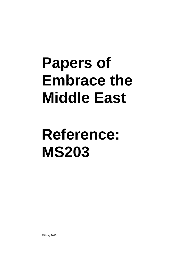# **Reference: MS203**

15 May 2015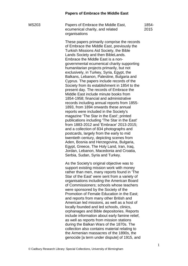MS203 Papers of Embrace the Middle East, ecumenical charity, and related **organisations** 1854- 2015

> These papers primarily comprise the records of Embrace the Middle East, previously the Turkish Missions Aid Society, the Bible Lands Society and then BibleLands. Embrace the Middle East is a nongovernmental ecumenical charity supporting humanitarian projects primarily, but not exclusively, in Turkey, Syria, Egypt, the Balkans, Lebanon, Palestine, Bulgaria and Cyprus. The papers include records of the Society from its establishment in 1854 to the present day. The records of Embrace the Middle East include minute books from 1854-1958; financial and administrative records including annual reports from 1855- 1893, from 1894 onwards these annual reports were included in the Society's magazine 'The Star in the East'; printed publications including 'The Star in the East' from 1883-2012 and 'Embrace' 2013-2015; and a collection of 834 photographs and postcards, largely from the early to mid twentieth century, depicting scenes from Aden, Bosnia and Herzegovina, Bulgaria, Egypt, Greece, The Holy Land, Iran, Iraq, Jordan, Lebanon, Macedonia and Croatia, Serbia, Sudan, Syria and Turkey.

> As the Society's original objective was to support existing mission work with money rather than men, many reports found in 'The Star of the East' were sent from a variety of organisations including the American Board of Commissioners; schools whose teachers were sponsored by the Society of the Promotion of Female Education in the East; and reports from many other British and American led missions, as well as a host of locally founded and led schools, clinics, orphanages and Bible depositories. Reports include information about early famine relief, as well as reports from mission stations during the Balkan Wars of the 1870s. The collection also contains material relating to the Armenian massacres of the 1890s, the genocide [a term under dispute] of 1915, and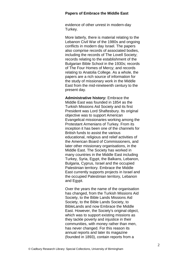evidence of other unrest in modern-day Turkey.

More latterly, there is material relating to the Lebanon Civil War of the 1980s and ongoing conflicts in modern day Israel. The papers also comprise records of associated bodies, including the records of The Lovell Society; records relating to the establishment of the Bulgarian Bible School in the 1930s; records of The Four Homes of Mercy; and records relating to Anatolia College. As a whole, the papers are a rich source of information for the study of missionary work in the Middle East from the mid-nineteenth century to the present day.

**Administrative history:** Embrace the Middle East was founded in 1854 as the Turkish Missions Aid Society and its first President was Lord Shaftesbury. Its original objective was to support American Evangelical missionaries working among the Protestant Armenians of Turkey. From its inception it has been one of the channels for British funds to assist the various educational, religious and relief activities of the American Board of Commissioners, and later other missionary organisations, in the Middle East. The Society has worked in many countries in the Middle East including Turkey, Syria, Egypt, the Balkans, Lebanon, Bulgaria, Cyprus, Israel and the occupied Palestinian territory. Embrace the Middle East currently supports projects in Israel and the occupied Palestinian territory, Lebanon and Egypt.

Over the years the name of the organisation has changed, from the Turkish Missions Aid Society, to the Bible Lands Missions Aid Society, to the Bible Lands Society, to BibleLands and now Embrace the Middle East. However, the Society's original object, which was to support existing missions as they tackle poverty and injustice in their communities, with money rather than men, has never changed. For this reason its annual reports and later its magazine (founded in 1893), contain reports from a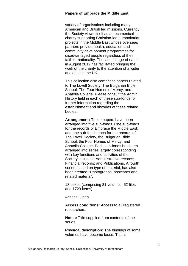variety of organisations including many American and British led missions. Currently the Society views itself as an ecumenical charity supporting Christian-led humanitarian projects in the Middle East whose overseas partners provide health, education and community development programmes for disadvantaged people regardless of their faith or nationality. The last change of name in August 2012 has facilitated bringing the work of the charity to the attention of a wider audience in the UK.

This collection also comprises papers related to The Lovell Society; The Bulgarian Bible School; The Four Homes of Mercy; and Anatolia College. Please consult the Admin History field in each of these sub-fonds for further information regarding the establishment and histories of these related bodies.

**Arrangement:** These papers have been arranged into five sub-fonds. One sub-fonds for the records of Embrace the Middle East; and one sub-fonds each for the records of The Lovell Society, the Bulgarian Bible School, the Four Homes of Mercy, and Anatolia College. Each sub-fonds has been arranged into series largely corresponding with key functions and activities of the Society including: Administrative records; Financial records; and Publications. A fourth series, based on type of material, has also been created: 'Photographs, postcards and related material'.

18 boxes (comprising 31 volumes, 52 files and 1729 items)

Access: Open

**Access conditions:** Access to all registered researchers.

**Notes:** Title supplied from contents of the series.

**Physical description:** The bindings of some volumes have become loose. This is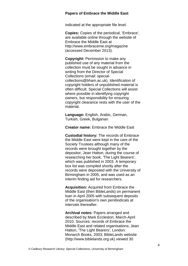indicated at the appropriate file level.

**Copies:** Copies of the periodical, 'Embrace', are available online through the website of Embrace the Middle East at http://www.embraceme.org/magazine (accessed December 2013).

**Copyright:** Permission to make any published use of any material from the collection must be sought in advance in writing from the Director of Special Collections (email: specialcollections@bham.ac.uk). Identification of copyright holders of unpublished material is often difficult. Special Collections will assist where possible in identifying copyright owners, but responsibility for ensuring copyright clearance rests with the user of the material.

**Language:** English, Arabic, German, Turkish, Greek, Bulgarian

**Creator name:** Embrace the Middle East

**Custodial history:** The records of Embrace the Middle East were kept in the care of the Society Trustees although many of the records were brought together by the depositor, Jean Hatton, during the course of researching her book, 'The Light Bearers', which was published in 2003. A temporary box list was compiled shortly after the records were deposited with the University of Birmingham in 2005, and was used as an interim finding aid for researchers.

**Acquisition:** Acquired from Embrace the Middle East (then BibleLands) on permanent loan in April 2005 with subsequent deposits of the organisation's own peridiodicals at intervals thereafter.

**Archival notes:** Papers arranged and described by Mark Eccleston, March-April 2010. Sources: records of Embrace the Middle East and related organisations; Jean Hatton, 'The Light Bearers', London: Monarch Books, 2003; BibleLands website (http://www.biblelands.org.uk) viewed 30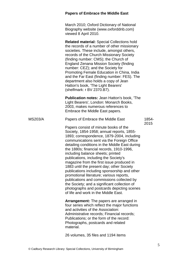# **Papers of Embrace the Middle East** March 2010; Oxford Dictionary of National Biography website (www.oxforddnb.com) viewed 8 April 2010. **Related material:** Special Collections hold the records of a number of other missionary societies. These include, amongst others, records of the Church Missionary Society (finding number: CMS); the Church of England Zenana Mission Society (finding number: CEZ); and the Society for Promoting Female Education in China, India and the Far East (finding number: FES). The department also holds a copy of Jean Hatton's book, 'The Light Bearers' (shelfmark: r BV 2370.B7). **Publication notes:** Jean Hatton's book, 'The Light Bearers', London: Monarch Books, 2003, makes numerous references to Embrace the Middle East papers. MS203/A Papers of Embrace the Middle East Papers consist of minute books of the Society, 1854-1958; annual reports, 1855- 1893; correspondence, 1879-2004, including communications sent via the Foreign Office detailing conditions in the Middle East during the 1880s; financial records, 1910-1996, including balance sheets; printed publications, including the Society's magazine from the first issue produced in 1883 until the present day; other Society publications including sponsorship and other 1854- 2015

promotional literature; various reports, publications and commissions collected by the Society; and a significant collection of photographs and postcards depicting scenes of life and work in the Middle East.

**Arrangement:** The papers are arranged in four series which reflect the major functions and activities of the Association: Administrative records; Financial records; Publications; or the form of the record: Photographs, postcards and related material.

26 volumes, 35 files and 1194 items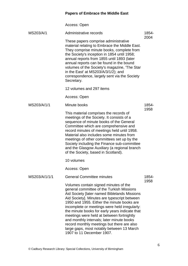|               | Access: Open                                                                                                                                                                                                                                                                                                                                                                                                                                                                                                                                          |               |
|---------------|-------------------------------------------------------------------------------------------------------------------------------------------------------------------------------------------------------------------------------------------------------------------------------------------------------------------------------------------------------------------------------------------------------------------------------------------------------------------------------------------------------------------------------------------------------|---------------|
| MS203/A/1     | Administrative records                                                                                                                                                                                                                                                                                                                                                                                                                                                                                                                                | 1854-         |
|               | These papers comprise administrative<br>material relating to Embrace the Middle East.<br>They comprise minute books, complete from<br>the Society's inception in 1854 until 1958;<br>annual reports from 1855 until 1893 (later<br>annual reports can be found in the bound<br>volumes of the Society's magazine, 'The Star<br>in the East' at MS203/A/3/1/2); and<br>correspondence, largely sent via the Society<br>Secretary.                                                                                                                      | 2004          |
|               | 12 volumes and 297 items                                                                                                                                                                                                                                                                                                                                                                                                                                                                                                                              |               |
|               | Access: Open                                                                                                                                                                                                                                                                                                                                                                                                                                                                                                                                          |               |
| MS203/A/1/1   | Minute books                                                                                                                                                                                                                                                                                                                                                                                                                                                                                                                                          | 1854-<br>1958 |
|               | This material comprises the records of<br>meetings of the Society. It consists of a<br>sequence of minute books of the General<br>Committee which are comprehensive and<br>record minutes of meetings held until 1958.<br>Material also includes some minutes from<br>meetings of other committees set up by the<br>Society including the Finance sub-committee<br>and the Glasgow Auxiliary (a regional branch<br>of the Society, based in Scotland).                                                                                                |               |
|               | 10 volumes                                                                                                                                                                                                                                                                                                                                                                                                                                                                                                                                            |               |
|               | Access: Open                                                                                                                                                                                                                                                                                                                                                                                                                                                                                                                                          |               |
| MS203/A/1/1/1 | <b>General Committee minutes</b>                                                                                                                                                                                                                                                                                                                                                                                                                                                                                                                      | 1854-<br>1958 |
|               | Volumes contain signed minutes of the<br>general committee of the Turkish Missions<br>Aid Society [later named Biblelands Missions<br>Aid Society]. Minutes are typescript between<br>1950 and 1955. Either the minute books are<br>incomplete or meetings were held irregularly:<br>the minute books for early years indicate that<br>meetings were held at between fortnightly<br>and monthly intervals; later minute books<br>record monthly meetings but there are also<br>large gaps, most notably between 13 March<br>1907 to 11 December 1907. |               |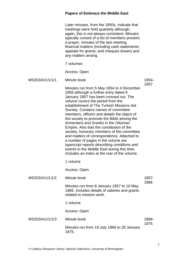| Later minutes, from the 1950s, indicate that    |
|-------------------------------------------------|
| meetings were held quarterly although,          |
| again, this is not always consistent. Minutes   |
| typically consist of a list of members present, |
| a prayer, minutes of the last meeting,          |
| financial matters (including cash statements;   |
| appeals for grants; and cheques drawn) and      |
| any matters arising.                            |
|                                                 |

7 volumes

Access: Open

| MS203/A/1/1/1/1 | Minute book                                                                                                                                                                                                                                                                                                                                                                                                                                                                                                                                                                                                                                                                                                                | 1854-         |
|-----------------|----------------------------------------------------------------------------------------------------------------------------------------------------------------------------------------------------------------------------------------------------------------------------------------------------------------------------------------------------------------------------------------------------------------------------------------------------------------------------------------------------------------------------------------------------------------------------------------------------------------------------------------------------------------------------------------------------------------------------|---------------|
|                 | Minutes run from 5 May 1854 to 4 December<br>1856 although a further entry dated 8<br>January 1857 has been crossed out. The<br>volume covers the period from the<br>establishment of The Turkish Missions Aid<br>Society. Contains names of committee<br>members, officers and details the object of<br>the society to promote the Bible among the<br>Armenians and Greeks in the Ottoman<br>Empire. Also lists the constitution of the<br>society, honorary members of the committee<br>and matters of correspondence. Attached to<br>a number of pages in the volume are<br>typescript reports describing conditions and<br>events in the Middle East during this time.<br>Includes an index at the rear of the volume. | 1857          |
|                 | 1 volume                                                                                                                                                                                                                                                                                                                                                                                                                                                                                                                                                                                                                                                                                                                   |               |
|                 | Access: Open                                                                                                                                                                                                                                                                                                                                                                                                                                                                                                                                                                                                                                                                                                               |               |
| MS203/A/1/1/1/2 | Minute book                                                                                                                                                                                                                                                                                                                                                                                                                                                                                                                                                                                                                                                                                                                | 1857-<br>1866 |
|                 | Minutes run from 8 January 1857 to 10 May<br>1866. Includes details of salaries and grants<br>related to mission work.                                                                                                                                                                                                                                                                                                                                                                                                                                                                                                                                                                                                     |               |
|                 | 1 volume                                                                                                                                                                                                                                                                                                                                                                                                                                                                                                                                                                                                                                                                                                                   |               |
|                 | Access: Open                                                                                                                                                                                                                                                                                                                                                                                                                                                                                                                                                                                                                                                                                                               |               |
| MS203/A/1/1/1/3 | Minute book                                                                                                                                                                                                                                                                                                                                                                                                                                                                                                                                                                                                                                                                                                                | 1866-<br>1875 |
|                 | Minutes run from 19 July 1866 to 26 January<br>1875.                                                                                                                                                                                                                                                                                                                                                                                                                                                                                                                                                                                                                                                                       |               |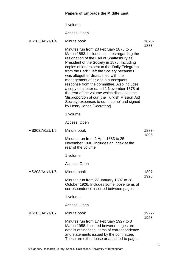|                 | 1 volume                                                                                                                                                                                                                                                                                                                                                                                                                                                                                                                                                                                                                                      |               |
|-----------------|-----------------------------------------------------------------------------------------------------------------------------------------------------------------------------------------------------------------------------------------------------------------------------------------------------------------------------------------------------------------------------------------------------------------------------------------------------------------------------------------------------------------------------------------------------------------------------------------------------------------------------------------------|---------------|
|                 | Access: Open                                                                                                                                                                                                                                                                                                                                                                                                                                                                                                                                                                                                                                  |               |
| MS203/A/1/1/1/4 | Minute book                                                                                                                                                                                                                                                                                                                                                                                                                                                                                                                                                                                                                                   | 1875-         |
|                 | Minutes run from 23 February 1875 to 5<br>March 1883. Includes minutes regarding the<br>resignation of the Earl of Shaftesbury as<br>President of the Society in 1876. Including<br>copies of letters sent to the 'Daily Telegraph'<br>from the Earl: 'I left the Society because I<br>was altogether dissatisfied with the<br>management of it'; and a subsequent<br>response from the committee. Also includes<br>a copy of a letter dated 1 November 1878 at<br>the rear of the volume which discusses the<br>'disproportion of our [the Turkish Mission Aid<br>Society] expenses to our income' and signed<br>by Henry Jones [Secretary]. | 1883          |
|                 | 1 volume                                                                                                                                                                                                                                                                                                                                                                                                                                                                                                                                                                                                                                      |               |
|                 | Access: Open                                                                                                                                                                                                                                                                                                                                                                                                                                                                                                                                                                                                                                  |               |
| MS203/A/1/1/1/5 | Minute book                                                                                                                                                                                                                                                                                                                                                                                                                                                                                                                                                                                                                                   | 1883-<br>1896 |
|                 | Minutes run from 2 April 1883 to 25<br>November 1896. Includes an index at the<br>rear of the volume.                                                                                                                                                                                                                                                                                                                                                                                                                                                                                                                                         |               |
|                 | 1 volume                                                                                                                                                                                                                                                                                                                                                                                                                                                                                                                                                                                                                                      |               |
|                 | Access: Open                                                                                                                                                                                                                                                                                                                                                                                                                                                                                                                                                                                                                                  |               |
| MS203/A/1/1/1/6 | Minute book                                                                                                                                                                                                                                                                                                                                                                                                                                                                                                                                                                                                                                   | 1897-<br>1926 |
|                 | Minutes run from 27 January 1897 to 28<br>October 1926. Includes some loose items of<br>correspondence inserted between pages.                                                                                                                                                                                                                                                                                                                                                                                                                                                                                                                |               |
|                 | 1 volume                                                                                                                                                                                                                                                                                                                                                                                                                                                                                                                                                                                                                                      |               |
|                 | Access: Open                                                                                                                                                                                                                                                                                                                                                                                                                                                                                                                                                                                                                                  |               |
| MS203/A/1/1/1/7 | Minute book                                                                                                                                                                                                                                                                                                                                                                                                                                                                                                                                                                                                                                   | 1927-<br>1958 |
|                 | Minutes run from 17 February 1927 to 3<br>March 1958. Inserted between pages are<br>details of finances, items of correspondence<br>and statements issued by the committee.<br>These are either loose or attached to pages.                                                                                                                                                                                                                                                                                                                                                                                                                   |               |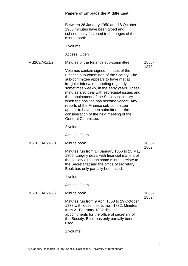Between 26 January 1950 and 18 October 1955 minutes have been typed and subsequently fastened to the pages of the minute book.

1 volume

Access: Open

MS203/A/1/1/2 Minutes of the Finance sub-committee Volumes contain signed minutes of the Finance sub-committee of the Society. The 1856- 1878

sub-committee appears to have met at irregular intervals - meeting regularly, sometimes weekly, in the early years. These minutes also deal with secretariat issues and the appointment of the Society secretary when the position has become vacant. Any reports of the Finance sub-committee appear to have been submitted for the consideration of the next meeting of the General Committee.

2 volumes

Access: Open

- MS203/A/1/1/2/1 Minute book
	- Minutes run from 14 January 1856 to 25 May 1869. Largely deals with financial matters of the society although some minutes relate to the Secretariat and the office of secretary. Book has only partially been used.

1 volume

Access: Open

MS203/A/1/1/2/2 Minute book Minutes run from 9 April 1868 to 29 October 1878 with loose inserts from 1882. Minutes from 21 February 1882 discuss appointments for the office of secretary of the Society. Book has only partially been used. 1868- 1882

1 volume

1856- 1869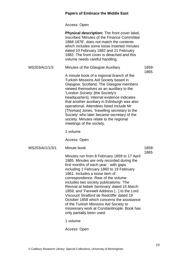Access: Open

|                 | <b>Physical description:</b> The front cover label,<br>inscribed 'Minutes of the Finance Committee<br>1868-1878', does not match the contents<br>which includes some loose inserted minutes<br>dated 10 February 1882 and 21 February<br>1882. The front cover is detached and this<br>volume needs careful handling.                                                                                                                                                                                                                                                                                                     |               |
|-----------------|---------------------------------------------------------------------------------------------------------------------------------------------------------------------------------------------------------------------------------------------------------------------------------------------------------------------------------------------------------------------------------------------------------------------------------------------------------------------------------------------------------------------------------------------------------------------------------------------------------------------------|---------------|
| MS203/A/1/1/3   | Minutes of the Glasgow Auxiliary                                                                                                                                                                                                                                                                                                                                                                                                                                                                                                                                                                                          | 1859-         |
|                 | A minute book of a regional branch of the<br>Turkish Missions Aid Society based in<br>Glasgow, Scotland. The Glasgow members<br>viewed themselves as an auxillary to the<br>'London Society' [the Society's<br>headquarters]. Internal evidence indicates<br>that another auxiliary in Edinburgh was also<br>operational. Attendees listed include Mr<br>[Thomas] Jones, 'travelling secretary to the<br>Society' who later became secretary of the<br>society. Minutes relate to the regional<br>meetings of the society.                                                                                                | 1865          |
|                 | 1 volume                                                                                                                                                                                                                                                                                                                                                                                                                                                                                                                                                                                                                  |               |
|                 | Access: Open                                                                                                                                                                                                                                                                                                                                                                                                                                                                                                                                                                                                              |               |
| MS203/A/1/1/3/1 | Minute book                                                                                                                                                                                                                                                                                                                                                                                                                                                                                                                                                                                                               | 1859-<br>1865 |
|                 | Minutes run from 8 February 1859 to 17 April<br>1865. Minutes are only recorded during the<br>first months of each year - with gaps<br>including 1 February 1860 to 19 February<br>1861. Includes a loose item of<br>correspondence. Rear of the volume<br>includes two society publications: The<br>Revival at bebek Seminary' dated 15 March<br>1859; and 'Farewell Address [] to the Lord<br>Viscount Stratford de Redcliffe' dated 19<br>October 1858 which concerns the assistance<br>of the Turkish Missions Aid Society to<br>missionary work at Constantinople. Book has<br>only partially been used.<br>1 volume |               |
|                 |                                                                                                                                                                                                                                                                                                                                                                                                                                                                                                                                                                                                                           |               |

Access: Open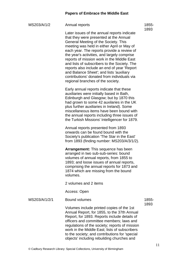| MS203/A/1/2 | Annual reports |
|-------------|----------------|
|             |                |

Later issues of the annual reports indicate that they were presented at the Annual General Meeting of the Society. This meeting was held in either April or May of each year. The reports provide a review of the year's activities, and largely comprise reports of mission work in the Middle East and lists of subscribers to the Society. The reports also include an end of year 'Report and Balance Sheet'; and lists 'auxiliary contributions' donated from individuals via regional branches of the society.

Early annual reports indicate that these auxiliaries were initially based in Bath, Edinburgh and Glasgow; but by 1870 this had grown to some 42 auxilaries in the UK plus further auxiliaries in Ireland). Some miscellaneous items have been bound with the annual reports including three issues of the Turkish Missions' Intelligencer for 1879.

Annual reports presented from 1893 onwards can be found bound with the Society's publication 'The Star in the East' from 1893 (finding number: MS203/A/3/1/2).

**Arrangement:** This sequence has been arranged in two sub-sub-series: bound volumes of annual reports, from 1855 to 1893; and loose issues of annual reports, comprising the annual reports for 1873 and 1874 which are missing from the bound volumes.

2 volumes and 2 items

Access: Open

```
MS203/A/1/2/1 Bound volumes
```
1855- 1893

Volumes include printed copies of the 1st Annual Report, for 1855, to the 37th Annual Report, for 1893. Reports include details of officers and committee members; laws and regulations of the society; reports of mission work in the Middle East; lists of subscribers to the society; and contributions for 'special objects' including rebuilding churches and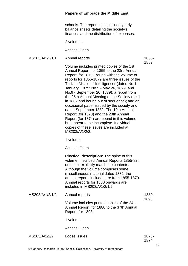schools. The reports also include yearly balance sheets detailing the society's finances and the distribution of expenses.

2 volumes

Access: Open

```
MS203/A/1/2/1/1 Annual reports
```
1855- 1882

Volume includes printed copies of the 1st Annual Report, for 1855 to the 23rd Annual Report, for 1879. Bound with the volume of reports for 1855-1879 are three issues of the Turkish Missions' Intelligencer (dated No.1 - January, 1879; No.5 - May 26, 1879; and No.9 - September 20, 1879); a report from the 26th Annual Meeting of the Society (held in 1882 and bound out of sequence); and an occasional paper issued by the society and dated September 1882. The 19th Annual Report (for 1873) and the 20th Annual Report (for 1874) are bound in this volume but appear to be incomplete. Individual copies of these issues are included at MS203/A/1/2/2.

1 volume

Access: Open

**Physical description:** The spine of this volume, inscribed 'Annual Reports 1855-82', does not explicitly match the contents. Although the volume comprises some miscellaneous material dated 1882, the annual reports included are from 1855-1879. Annual reports for 1880 onwards are included in MS203/A/1/2/1/2.

| MS203/A/1/2/1/2 | Annual reports                                                                                                | 1880-<br>1893 |
|-----------------|---------------------------------------------------------------------------------------------------------------|---------------|
|                 | Volume includes printed copies of the 24th<br>Annual Report, for 1880 to the 37th Annual<br>Report, for 1893. |               |
|                 | 1 volume                                                                                                      |               |
|                 | Access: Open                                                                                                  |               |
|                 |                                                                                                               |               |

| MS203/A/1/2/2 | Loose issues | 1873- |
|---------------|--------------|-------|
|               |              | 1874  |
|               |              |       |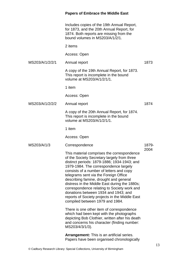|                 | Includes copies of the 19th Annual Report,<br>for 1873, and the 20th Annual Report, for<br>1874. Both reports are missing from the<br>bound volumes in MS203/A/1/2/1.                                                                                                                                                                                                                                                                                                                                                                         |       |
|-----------------|-----------------------------------------------------------------------------------------------------------------------------------------------------------------------------------------------------------------------------------------------------------------------------------------------------------------------------------------------------------------------------------------------------------------------------------------------------------------------------------------------------------------------------------------------|-------|
|                 | 2 items                                                                                                                                                                                                                                                                                                                                                                                                                                                                                                                                       |       |
|                 | Access: Open                                                                                                                                                                                                                                                                                                                                                                                                                                                                                                                                  |       |
| MS203/A/1/2/2/1 | Annual report                                                                                                                                                                                                                                                                                                                                                                                                                                                                                                                                 | 1873  |
|                 | A copy of the 19th Annual Report, for 1873.<br>This report is incomplete in the bound<br>volume at MS203/A/1/2/1/1.                                                                                                                                                                                                                                                                                                                                                                                                                           |       |
|                 | 1 item                                                                                                                                                                                                                                                                                                                                                                                                                                                                                                                                        |       |
|                 | Access: Open                                                                                                                                                                                                                                                                                                                                                                                                                                                                                                                                  |       |
| MS203/A/1/2/2/2 | Annual report                                                                                                                                                                                                                                                                                                                                                                                                                                                                                                                                 | 1874  |
|                 | A copy of the 20th Annual Report, for 1874.<br>This report is incomplete in the bound<br>volume at MS203/A/1/2/1/1.                                                                                                                                                                                                                                                                                                                                                                                                                           |       |
|                 | 1 item                                                                                                                                                                                                                                                                                                                                                                                                                                                                                                                                        |       |
|                 | Access: Open                                                                                                                                                                                                                                                                                                                                                                                                                                                                                                                                  |       |
| MS203/A/1/3     | Correspondence                                                                                                                                                                                                                                                                                                                                                                                                                                                                                                                                | 1879- |
|                 | This material comprises the correspondence<br>of the Society Secretary largely from three<br>distinct periods: 1879-1886; 1934-1943; and<br>1979-1984. The correspondence largely<br>consists of a number of letters and copy<br>telegrams sent via the Foreign Office<br>describing famine, drought and general<br>distress in the Middle East during the 1880s;<br>correspondence relating to Society work and<br>donations between 1934 and 1943; and<br>reports of Society projects in the Middle East<br>compiled between 1979 and 1984. | 2004  |
|                 | There is one other item of correspondence<br>which had been kept with the photographs<br>depicting Bob Clothier, written after his death<br>and concerns his character (finding number:<br>MS203/4/3/1/3).                                                                                                                                                                                                                                                                                                                                    |       |
|                 | <b>Arrangement:</b> This is an artificial series.<br>Papers have been organised chronologically                                                                                                                                                                                                                                                                                                                                                                                                                                               |       |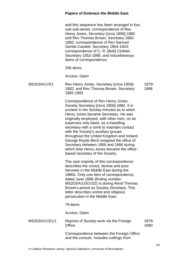and this sequence has been arranged in four sub-sub-series: correspondence of Rev Henry Jones, Secretary [circa 1856]-1882 and Rev Thomas Brown, Secretary 1882- 1892; correspondence of Rev Samuel Gentle-Cackett, Secretary 1904-1943; correspondence of C. R. [Bob] Clothier, Secretary 1952-1985; and miscellaneous items of correspondence.

#### 295 items

Access: Open

| MS203/A/1/3/1 | Rev Henry Jones, Secretary [circa 1856]-<br>1882; and Rev Thomas Brown, Secretary | 1879-<br>1886 |
|---------------|-----------------------------------------------------------------------------------|---------------|
|               | 1882-1892                                                                         |               |

Correspondence of Rev Henry Jones, Society Secretary [circa 1856]-1882. It is unclear in the Society minutes as to when Henry Jones became Secretary. He was originally employed, with other men, on an expenses only basis, as a travelling secretary with a remit to maintain contact with the Society's auxiliary groups throughout the United Kingdom and Ireland. George Royds Birch resigned the office of Secretary between 1856 and 1866 during which time Henry Jones became the officebased secretary of the Society.

The vast majority of this correspondence describes the unrest, famine and poor harvests in the Middle East during the 1880s. Only one item of correspondence, dated June 1886 (finding number: MS203/A/1/3/1/2/2) is during Revd Thomas Brown's period as Society Secretary. This letter describes unrest and religious persecution in the Middle East.

### 79 items

Access: Open

| MS203/A/1/3/1/1 | Reports of Society work via the Foreign<br>Office                                    | 1879-<br>1880 |
|-----------------|--------------------------------------------------------------------------------------|---------------|
|                 | Correspondence between the Foreign Office<br>and the consuls. Includes cuttings from |               |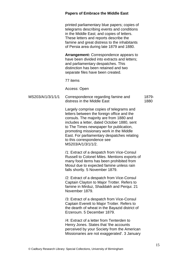printed parliamentary blue papers; copies of telegrams describing events and conditions in the Middle East; and copies of letters. These letters and reports describe the famine and great distress to the inhabitants of Persia area during late 1879 and 1880.

**Arrangement:** Correspondence appears to have been divided into extracts and letters; and parliamentary despatches. This distinction has been retained and two separate files have been created.

77 items

Access: Open

| MS203/A/1/3/1/1/1 | Correspondence regarding famine and | 1879- |
|-------------------|-------------------------------------|-------|
|                   | distress in the Middle East         | 1880  |

Largely comprise copies of telegrams and letters between the foreign office and the consuls. The majority are from 1880 and includes a letter, dated October 1880, sent to The Times newspaper for publication, promoting missionary work in the Middle East. For parliamentary despatches relating to this correspondence see MS203/A/1/3/1/1/2.

/1: Extract of a despatch from Vice-Consul Russell to Colonel Miles. Mentions exports of many food items has been prohibited from Mosul due to expected famine unless rain falls shortly. 5 November 1879.

/2: Extract of a despatch from Vice-Consul Captain Clayton to Major Trotter. Refers to famine in Mirduz, Shaddakh and Perqui. 21 November 1879.

/3: Extract of a despatch from Vice-Consul Captain Everett to Major Trotter. Refers to the dearth of wheat in the Bayazid district of Erzeroum. 5 December 1879.

/4: Extract of a letter from Tenterden to Henry Jones. States that 'the accounts perceived by your Society from the American Missionaries are not exaggerated', 3 January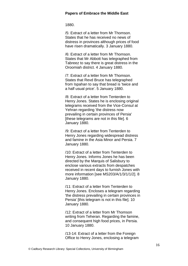1880.

/5: Extract of a letter from Mr Thomson. States that he has received no news of distress in provinces although prices of food have risen dramatically. 3 January 1880.

/6: Extract of a letter from Mr Thomson. States that Mr Abbott has telegraphed from Tabreez to say there is great distress in the Oroomiah district. 4 January 1880.

/7: Extract of a letter from Mr Thomson. States that Revd Bruce has telegraphed from Ispahan to say that bread is 'twice and a half usual price'. 5 January 1880.

/8: Extract of a letter from Tenterden to Henry Jones. States he is enclosing original telegrams received from the Vice-Consul at Yehran regarding 'the distress now prevailing in certain provinces of Persia' [these telegrams are not in this file]. 6 January 1880.

/9: Extract of a letter from Tenterden to Henry Jones regarding widespread distress and famine in the Asia Minor and Persia. 7 January 1880.

/10: Extract of a letter from Tenterden to Henry Jones. Informs Jones he has been directed by the Marquis of Salisbury to enclose various extracts from despatches received in recent days to furnish Jones with more information [see MS203/A/1/3/1/1/2]. 8 January 1880.

/11: Extract of a letter from Tenterden to Henry Jones. Encloses a telegram regarding 'the distress prevailing in certain provinces in Persia' [this telegram is not in this file]. 10 January 1880.

/12: Extract of a letter from Mr Thomson writing from Teheran. Regarding the famine, and consequent high food prices, in Persia. 10 January 1880.

/13-14: Extract of a letter from the Foreign Office to Henry Jones, enclosing a telegram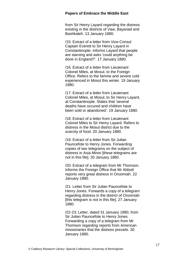from Sir Henry Layard regarding the distress existing in the districts of Vaw, Bayaraid and Bashkaleh. 13 January 1880.

/15: Extract of a letter from Vice-Consul Captain Everett to Sir Henry Layard in Constantinople. Informs Layard that people are starving and asks 'could anything be done in England?'. 17 January 1880.

/16: Extract of a letter from Lieutenant Colonel Miles, at Mosul, to the Foreign Office. Refers to the famine and severe cold experienced in Mosul this winter. 19 January 1880.

/17: Extract of a letter from Lieutenant Colonel Miles, at Mosul, to Sir Henry Layard, at Constantinople. States that 'several deaths have occured and children have been sold or abandoned'. 19 January 1880.

/18: Extract of a letter from Lieutenant Colonel Miles to Sir Henry Layard. Refers to distress in the Mosul district due to the scarcity of food. 20 January 1880.

/19: Extract of a letter from Sir Julian Pauncefote to Henry Jones. Forwarding copies of two telegrams on the subject of distress in Asia Minor [these telegrams are not in this file]. 20 January 1880.

/20: Extract of a telegram from Mr Thomson. Informs the Foreign Office that Mr Abbott reports very great distress in Oroomiah. 22 January 1880.

/21: Letter from Sir Julian Pauncefote to Henry Jones. Forwards a copy of a telegram regarding distress in the district of Oroomiah [this telegram is not in this file]. 27 January 1880.

/22-23: Letter, dated 31 January 1880, from Sir Julian Pauncefote to Henry Jones. Forwarding a copy of a telegram from Mr Thomson regarding reports from American missionaries that the distress prevails. 30 January 1880.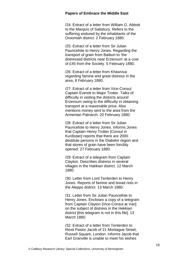/24: Extract of a letter from William G. Abbott to the Marquis of Salisbury. Refers to the suffering endured by the inhabitants of the Oroomiah district. 2 February 1880.

/25: Extract of a letter from Sir Julian Pauncefote to Henry Jones. Regarding the transport of grain from Baiburt to 'the distressed districts near Erzeroum' at a cost of £45 from the Society. 5 February 1880.

/26: Extract of a letter from Khasrova regarding famine and great distress in the area. 8 February 1880.

/27: Extract of a letter from Vice-Consul Captain Everett to Major Trotter. Talks of difficulty in visiting the districts around Erzeroum owing to the difficulty in obtaining transport at a reasonable price. Also mentions money sent to the area from the Armenian Patriarch. 20 February 1880.

/28: Extract of a letter from Sir Julian Pauncefote to Henry Jones. Informs Jones that Captain Henry Trotter [Consul in Kurdistan] reports that there are 2000 destitute persons in the Diabekir region and that stores of grain have been forcibly opened. 27 February 1880.

/29: Extract of a telegram from Captain Clayton. Describes distress in several villages in the Hakkiari district. 12 March 1880.

/30: Letter from Lord Tenterden to Henry Jones. Reports of famine and bread riots in the Aleppo district. 13 March 1880.

/31: Letter from Sir Julian Pauncefote to Henry Jones. Encloses a copy of a telegram from Captain Clayton [Vice-Consul at Van] on the subject of distress in the Hekkiari district [this telegram is not in this file]. 13 March 1880.

/32: Extract of a letter from Tenterden to Revd Pastor Jacob of 21 Montague Street, Russell Square, London. Informs Jacob that Earl Granville is unable to meet his wishes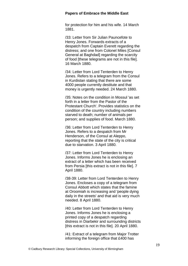for protection for him and his wife. 14 March 1881.

/33: Letter from Sir Julian Pauncefote to Henry Jones. Forwards extracts of a despatch from Captain Everett regarding the distress; and one from Colonel Miles [Consul General at Baghdad] regarding the scarcity of food [these telegrams are not in this file]. 16 March 1880.

/34: Letter from Lord Tenterden to Henry Jones. Refers to a telegram from the Consul in Kurdistan stating that there are some 4000 people currently destitute and that money is urgently needed. 24 March 1880.

/35: Notes on the condition in Mossul 'as set forth in a letter from the Pastor of the Protestant Church'. Provides statistics on the condition of the country including numbers starved to death; number of animals per person; and supplies of food. March 1880.

/36: Letter from Lord Tenterden to Henry Jones. Refers to a despatch from Mr Henderson, of the Consul at Aleppo, reporting that the state of the city is critical due to starvation. 3 April 1880.

/37: Letter from Lord Tenterden to Henry Jones. Informs Jones he is enclosing an extract of a letter which has been received from Persia [this extract is not in this file]. 7 April 1880.

/38-39: Letter from Lord Tenterden to Henry Jones. Encloses a copy of a telegram from Consul Abbott which states that the famine at Oroomiah is increasing and 'people dying daily in the streets' and that aid is very much needed. 8 April 1880.

/40: Letter from Lord Tenterden to Henry Jones. Informs Jones he is enclosing a printed copy of a despatch regarding distress in Diarbekir and surrounding districts [this extract is not in this file]. 20 April 1880.

/41: Extract of a telegram from Major Trotter informing the foreign office that £400 has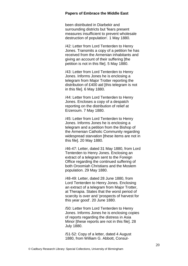been distributed in Diarbekir and surrounding districts but 'fears present measures insufficient to prevent wholesale destruction of population'. 1 May 1880.

/42: Letter from Lord Tenterden to Henry Jones. Transmits a copy of a petition he has received from the Armenian inhabitants and giving an account of their suffering [the petition is not in this file]. 5 May 1880.

/43: Letter from Lord Tenterden to Henry Jones. Informs Jones he is enclosing a telegram from Major Trotter reporting the distribution of £400 aid [this telegram is not in this file]. 6 May 1880.

/44: Letter from Lord Tenterden to Henry Jones. Encloses a copy of a despatch reporting on the distribution of relief at Erzeroum. 7 May 1880.

/45: Letter from Lord Tenterden to Henry Jones. Informs Jones he is enclosing a telegram and a petition from the Bishop of the Armenian Catholic Community regarding widespread starvation [these items are not in this file]. 20 May 1880.

/46-47: Letter, dated 31 May 1880, from Lord Tenterden to Henry Jones. Enclosing an extract of a telegram sent to the Foreign Office regarding the continued suffering of both Oroomiah Christians and the Moslem population. 29 May 1880.

/48-49: Letter, dated 28 June 1880, from Lord Tenterden to Henry Jones. Enclosing an extract of a telegram from Major Trotter, at Therapia. States that the worst period of scarcity is over and 'prospects of harvest for this year good'. 20 June 1880.

/50: Letter from Lord Tenterden to Henry Jones. Informs Jones he is enclosing copies of reports regarding the distress in Asia Minor [these reports are not in this file]. 28 July 1880.

/51-52: Copy of a letter, dated 4 August 1880, from William G. Abbott, Consul-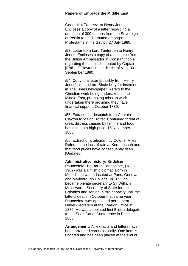General at Tabreez, to Henry Jones. Encloses a copy of a letter regarding a donation of 300 tomans from the Sovereign of Persia to be distrbuted amongst Protestants in the district. 27 July 1880.

/53: Letter from Lord Tenterden to Henry Jones. Encloses a copy of a despatch from the British Ambassador in Constantinople regarding the sums distributed by Captain [Emilius] Clayton in the district of Van. 30 September 1880.

/54: Copy of a letter [possibly from Henry Jones] sent to Lord Shaftsbury for insertion in The Times newspaper. Refers to the Christian work being undertaken in the Middle East, promoting mission work undertaken there providing they have financial support. October 1880.

/55: Extract of a despatch from Captain Clayton to Major Trotter. Continued threat of great distress caused by famine and food has risen to a high price. 15 November 1880.

/56: Extract of a telegram by Colonel Miles. Refers to the lack of rain at Kermaushah and that food prices have consequently risen. [Undated].

**Administrative history:** Sir Julian Pauncefote, 1st Baron Pauncefote, (1828 - 1902) was a British diplomat. Born in Munich, he was educated at Paris, Geneva, and Marlborough College. In 1855 he became private secretary to Sir William Molesworth, Secretary of State for the Colonies and served in this capacity until the latter's death in October that same year. Pauncefote was appointed permanent Under-Secretary at the Foreign Office in 1882. He was appointed first British delegate to the Suez Canal Conference in Paris in 1885.

**Arrangement:** All extracts and letters have been arranged chronologically. One item is undated and has been placed at the end of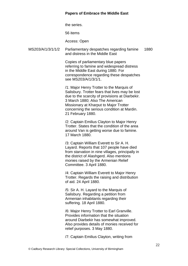the series.

56 items

Access: Open

MS203/A/1/3/1/1/2 Parliamentary despatches regarding famine and distress in the Middle East 1880

> Copies of parliamentary blue papers referring to famine and widespread distress in the Middle East during 1880. For correspondence regarding these despatches see MS203/A/1/3/1/1.

> /1: Major Henry Trotter to the Marquis of Salisbury. Trotter fears that lives may be lost due to the scarcity of provisions at Diarbekir. 3 March 1880; Also The American Missionary at Kharput to Major Trotter concerning the serious condition at Mardin. 21 February 1880.

/2: Captain Emilius Clayton to Major Henry Trotter. States that the condition of the area around Van is getting worse due to famine. 17 March 1880.

/3: Captain William Everett to Sir A. H. Layard. Reports that 107 people have died from starvation in nine villages, principally in the district of Alashgerd. Also mentions monies raised by the Armenian Relief Committee. 3 April 1880.

/4: Captain William Everett to Major Henry Trotter. Regards the raising and distribution of aid. 24 April 1880.

/5: Sir A. H. Layard to the Marquis of Salisbury. Regarding a petition from Armenian inhabitants regarding their suffering. 18 April 1880.

/6: Major Henry Trotter to Earl Granville. Provides information that the situation around Diarbekir has somewhat improved. Also provides details of monies received for relief purposes. 3 May 1880.

/7: Captain Emilius Clayton, writing from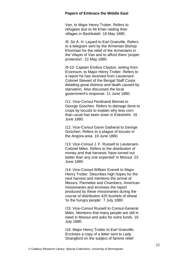Van, to Major Henry Trotter. Refers to refugees due to Ali Khan raiding their villages in Bashkalah. 18 May 1880.

/8: Sir A. H. Layard to Earl Granville. Refers to a telegram sent by the Armenian Bishop Khorinian for the relief of the Armenians in the Vilayet of Van and to afford them 'proper protection'. 22 May 1880.

/9-10: Captain Emilius Clayton, writing from Erzeroum, to Major Henry Trotter. Refers to a report he has received from Lieutenant-Colonel Stewart of the Bengal Staff Corps detailing great distress and death caused by starvation. Also discusses the local government's response. 11 June 1880.

/11: Vice-Consul Ferdinand Bennet to George Goschen. Refers to damage done to crops by locusts to explain why less corn than usual has been sown in Eskishehr. 16 June 1880.

/12: Vice-Consul Gavin Gatheral to George Goschen. Refers to a plague of locusts in the Angora area. 19 June 1880.

/13: Vice-Consul J. F. Russell to Lieutenant-Colonel Miles. Refers to the distribution of money and that harvests 'have turned out better than any one expected' in Mossul. 23 June 1880.

/14: Vice-Consul William Everett to Major Henry Trotter. Describes high hopes for the next harvest and mentions the arrival of Messrs. Parmelee and Chambers, American missionaries and encloses the report produced by these missionaries during the course of distribution 420 bushels of wheat 'to the hungry people'. 7 July 1880.

/15: Vice-Consul Russell to Consul-General Miles. Mentions that many people are still in need in Mossul and asks for extra funds. 16 July 1880.

/16: Major Henry Trotter to Earl Granville. Encloses a copy of a letter sent to Lady Strangford on the subject of famine relief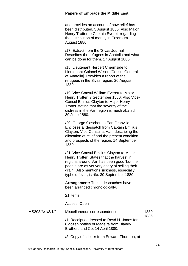and provides an account of how relief has been distributed. 5 August 1880; Also Major Henry Trotter to Captain Everett regarding the distribution of money in Erzeroum. 1 August 1880.

/17: Extract from the 'Sivas Journal'. Describes the refugees in Anatolia and what can be done for them. 17 August 1880.

/18: Lieutenant Herbert Chermside to Lieutenant-Colonel Wilson [Consul General of Anatolia]. Provides a report of the refugees in the Sivas region. 26 August 1880.

/19: Vice-Consul William Everett to Major Henry Trotter. 7 September 1880; Also Vice-Consul Emilius Clayton to Major Henry Trotter stating that the severity of the distress in the Van region is much abated. 30 June 1880.

/20: George Goschen to Earl Granville. Encloses a despatch from Captain Emilius Clayton, Vice-Consul at Van, describing the allocation of relief and the present condition and prospects of the region. 14 September 1880.

/21: Vice-Consul Emilius Clayton to Major Henry Trotter. States that the harvest in regions around Van has been good 'but the people are as yet very chary of selling their grain'. Also mentions sickness, especially typhoid fever, is rife. 30 September 1880.

**Arrangement:** These despatches have been arranged chronologically.

21 items

Access: Open

MS203/A/1/3/1/2 Miscellaneous correspondence /1: Receipt addressed to Revd H. Jones for 6 dozen bottles of Madeira from Blandy Brothers and Co. 14 April 1880. 1880- 1886

/2: Copy of a letter from Edward Thornton, at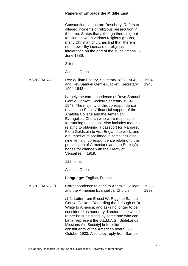Constantinople, to Lord Rosebery. Refers to alleged incidents of religious persecution in the area. States that although there is great tension between various religious groups, many Christian churches find that 'there is no noteworthy increase of religious intolerance on the part of the Mussulmans'. 5 June 1886.

2 items

Access: Open

MS203/A/1/3/2 Rev William Essery, Secretary 1892-1904; and Rev Samuel Gentle-Cackett, Secretary 1904-1943 1904- 1943

> Largely the correspondence of Revd Samuel Gentle-Cackett, Society Secretary 1904- 1943. The majority of this correspondence relates the Society' financial support of the Anatolia College and the Armenian Evangelical Church who were responsible for running the school. Also includes material relating to obtaining a passport for Margaret Flora Goldstein to visit England to work; and a number of miscellaneous items including nine items of correspondence relating to the persecution of Armenians and the Society's hopes for change with the Treaty of Versailles in 1919.

122 items

Access: Open

**Language:** English, French

MS203/A/1/3/2/1 Correspondence relating to Anatolia College and the Armenian Evangelical Church 1933- 1937

> /1-2: Letter from Ernest W. Riggs to Samuel Gentle-Cackett. Regarding the furlough of Dr White to America; and asks no longer to be considered as honorary director as he would rather be substituted 'by some one who can better represent the B.L.M.A.S. [BibleLands Missions Aid Society] before the constituency of the American board'. 23 October 1933; Also copy reply from Samuel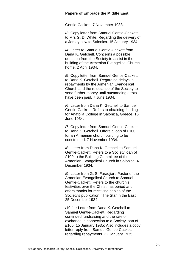Gentle-Cackett. 7 November 1933.

/3: Copy letter from Samuel Gentle-Cackett to Mrs G. D. White. Regarding the delivery of a Jersey cow to Salonica. 15 January 1934.

/4: Letter to Samuel Gentle-Cackett from Dana K. Getchell. Concerns a possible donation from the Society to assist in the building of the Armenian Evangelical Church home. 2 April 1934.

/5: Copy letter from Samuel Gentle-Cackett to Dana K. Getchell. Regarding delays in repayments by the Armenian Evangelical Church and the reluctance of the Society to send further money until outstanding debts have been paid. 7 June 1934.

/6: Letter from Dana K. Getchell to Samuel Gentle-Cackett. Refers to obtaining funding for Anatolia College in Salonica, Greece. 16 June 1934.

/7: Copy letter from Samuel Gentle-Cackett to Dana K. Getchell. Offers a loan of £100 for an Armenian church building to be constructed. 7 November 1934.

/8: Letter from Dana K. Getchell to Samuel Gentle-Cackett. Refers to a Society loan of £100 to the Building Committee of the Armenian Evangelical Church in Salonica. 4 December 1934.

/9: Letter from G. S. Faradjian, Pastor of the Armenian Evangelical Church to Samuel Gentle-Cackett. Refers to the church's festivities over the Christmas period and offers thanks for receiving copies of the Society's publication, 'The Star in the East'. 25 December 1934.

/10-11: Letter from Dana K. Getchell to Samuel Gentle-Cackett. Regarding continued fundraising and the rate of exchange in connection to a Society loan of £100. 15 January 1935; Also includes a copy letter reply from Samuel Gentle-Cackett regarding repayments. 22 January 1935.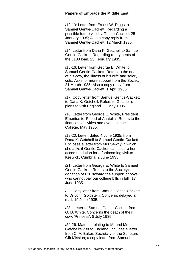/12-13: Letter from Ernest W. Riggs to Samuel Gentle-Cackett. Regarding a possible future visit by Gentle-Cackett. 25 January 1935; Also a copy reply from Samuel Gentle-Cackett. 12 March 1935.

/14: Letter from Dana K. Getchell to Samuel Gentle-Cackett. Regarding repayments of the £100 loan. 23 February 1935.

/15-16: Letter from George E. White to Samuel Gentle-Cackett. Refers to the death of his cow, the illness of his wife and salary cuts. Asks for more support from the Society. 21 March 1935; Also a copy reply from Samuel Gentle-Cackett. 1 April 1935.

/17: Copy letter from Samuel Gentle-Cackett to Dana K. Getchell. Refers to Getchell's plans to visit England. 13 May 1935.

/18: Letter from George E. White, President Emeritus to 'Friend of Anatolia'. Refers to the finances, activities and events in the College. May 1935.

/19-20: Letter, dated 4 June 1935, from Dana K. Getchell to Samuel Gentle-Cackett. Encloses a letter from Mrs Sewny in which she asks if Gentle-Cackett can secure her accommodation for a forthcoming visit to Keswick, Cumbria. 2 June 1935.

/21: Letter from George E. White to Samuel Gentle-Cackett. Refers to the Society's donation of £20 'toward the support of boys who cannot pay our college bills in full'. 17 June 1935.

/22: Copy letter from Samuel Gentle-Cackett to Dr John Goldstein. Concerns delayed air mail. 19 June 1935.

/23: Letter to Samuel Gentle-Cackett from G. D. White. Concerns the death of their cow, 'Princess'. 8 July 1935.

/24-26: Material relating to Mr and Mrs Getchell's visit to England. Includes a letter from C. A. Baker, Secretary of the Scripture Gift Mission; a copy letter from Samuel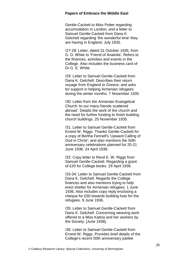Gentle-Cackett to Miss Potter regarding accomodation in London; and a letter to Samuel Gentle-Cackett from Dana K. Getchell regarding 'the wonderful time' they are having in England. July 1935.

/27-28: Letter, dated 31 October 1935, from G. D. White to 'Friend of Anatolia'. Refers to the finances, activities and events in the College. Also includes the business card of Dr G. E. White.

/29: Letter to Samuel Gentle-Cackett from Dana K. Getchell. Describes their return voyage from England to Greece; and asks for support in helping Armenian refugees during the winter months. 7 November 1935.

/30: Letter from the Armenian Evangelical Church 'to our many friends scattered abroad'. Details the work of the church and the need for further funding to finish building church buildings. 25 November 1935.

/31: Letter to Samuel Gentle-Cackett from Ernest W. Riggs. Thanks Gentle-Cackett for a copy of Bertha Fennell's 'Upward Calling of God in Christ'; and also mentions the 50th anniversary celebrations planned for 20-21 June 1936. 24 April 1936.

/32: Copy letter to Revd E. W. Riggs from Samuel Gentle-Cackett. Regarding a grant of £20 for College books. 29 April 1936.

/33-34: Letter to Samuel Gentle-Cackett from Dana K. Getchell. Regards the College finances and also mentions trying to help erect shelter for Armenian refugees. 1 June 1936; Also includes copy reply enclosing a cheque for £50 towards building huts for the refugees. 9 June 1936.

/35: Letter to Samuel Gentle-Cackett from Dana K. Getchell. Concerning weaving work offered to a Miss Katina and her workers by the Society. [June 1936].

/36: Letter to Samuel Gentle-Cackett from Ernest W. Riggs. Provides brief details of the College's recent 50th anniversary jubilee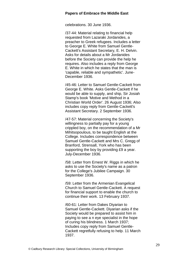celebrations. 30 June 1936.

/37-44: Material relating to financial help requested from Lazaraki Jordanides, a preacher to Greek refugees. Includes a letter to George E. White from Samuel Gentle-Cackett's Assistant Secretary, E. H. Delvin. Asks for details about a Mr Jordanides before the Society can provide the help he requires. Also includes a reply from George E. White in which he states that the man is 'capable, reliable and sympathetic'. June-December 1936.

/45-46: Letter to Samuel Gentle-Cackett from George E. White. Asks Gentle-Cackett if he would be able to supply, and ship, Sir Josiah Stamp's book 'Motive and Method in a Christian World Order'. 26 August 1936; Also includes copy reply from Gentle-Cackett's Assistant Secretary. 2 September 1936.

/47-57: Material concerning the Society's willingness to partially pay for a young crippled boy, on the recommendation of a Mr Mihitsopoulous, to be taught English at the College. Includes correspondence between Samuel Gentle-Cackett and Mrs C. Gregg of Branford, Strensall, York who has been supporting the boy by providing £9 a year. July-December 1936.

/58: Letter from Ernest W. Riggs in which he asks to use the Society's name as a patron for the College's Jubilee Campaign. 30 September 1936.

/59: Letter from the Armenian Evangelical Church to Samuel Gentle-Cackett. A request for financial support to enable the church to continue their work. 13 February 1937.

/60-61: Letter from Dakes Diyarian to Samuel Gentle-Cackett. Diyarian asks if the Society would be prepared to assist him in paying to see a n eye specialist in the hope of curing his blindness. 1 March 1937; Includes copy reply from Samuel Gentle-Cackett regretfully refusing to help. 11 March 1937.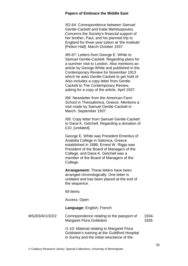/62-64: Correspondence between Samuel Gentle-Cackett and Katie Mehitsopoulos. Concerns the Society's financial support of her brother, Paul, and his planned trip to England for three year tuition at 'the Institute' [Petton Hall]. March-October 1937.

/65-67: Letters from George E. White to Samuel Gentle-Cackett. Regarding plans for a summer visit to London. Also mentions an article by George White and published in the Contemporary Review for November 1913 which he asks Gentle-Cackett to get hold of. Also includes a copy letter from Gentle-Cackett to The Contemporary Review, asking for a copy of the article. April 1937.

/68: Newsletter from the American Farm School in Thessalonica, Greece. Mentions a visit made by Samuel Gentle-Cackett in March. September 1937.

/69: Copy letter from Samuel Gentle-Cackett to Dana K. Getchell. Regarding a donation of £10. [undated].

George E. White was President Emeritus of Anatolia College in Salonica, Greece established in 1886; Ernest W. Riggs was President of the Board of Managers of the College; and Dana K. Getchell was a member of the Board of Managers of the College.

**Arrangement:** These letters have been arranged chronologically. One letter is undated and has been placed at the end of the sequence.

69 items

Access: Open

**Language:** English, French

MS203/A/1/3/2/2 Correspondence relating to the passport of Margaret Flora Goldstein 1934- 1935

> /1-10: Material relating to Margaret Flora Goldstein's training at the Guildford Hospital in Surrey and the initial reluctance of the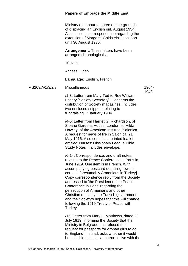Ministry of Labour to agree on the grounds of displacing an English girl. August 1934; Also includes correspondence regarding the extension of Margaret Goldstein's passport until 30 August 1935.

**Arrangement:** These letters have been arranged chronologically.

10 items

Access: Open

#### **Language:** English, French

MS203/A/1/3/2/3 Miscellaneous

1904- 1943

/1-3: Letter from Mary Tod to Rev William Essery [Society Secretary]. Concerns the distribution of Society magazines. Includes two enclosed snippets relating to fundraising. 7 January 1904.

/4-5: Letter from Harriet G. Richardson, of Sloane Gardens House, London, to Hilda Hawley, of the American Institute, Salonica. A request for news of life in Salonica. 21 May 1916; Also contains a printed leaflet entitled 'Nurses' Missionary League Bible Study Notes'. Includes envelope.

/6-14: Correspondence, and draft notes, relating to the Peace Conference in Paris in June 1919. One item is in French. With accompanying postcard depicting rows of corpses [presumably Armenians in Turkey]. Copy correspondence reply from the Society addressed to 'the President of the Peace Conference in Paris' regarding the persecution of Armenians and other Christian races by the Turkish government and the Society's hopes that this will change following the 1919 Treaty of Peace with Turkey.

/15: Letter from Mary L. Matthews, dated 29 July 1919, informing the Society that the Ministry in Belgrade has refused their request for passports for orphan girls to go to England. Instead, asks whether it would be possible to install a matron to live with the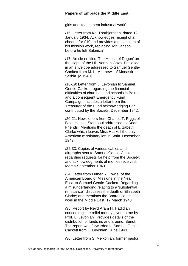girls and 'teach them industrial work'.

/16: Letter from Kaj Thorbjornsen, dated 12 January 1934. Acknowledges receipt of a cheque for £10 and provides a description of his mission work, replacing 'Mr Hanson before he left Salonica'.

/17: Article entitled 'The House of Dagon' on the slope of the Hill North in Gaza. Enclosed in an envelope addressed to Samuel Gentle-Cankett from M. L. Matthews of Monastir, Serbia. [c 1940].

/18-19: Letter from L. Levonian to Samuel Gentle-Cackett regarding the financial difficulties of churches and schools in Beirut and a consequent Emergency Fund Campaign. Includes a letter from the Treasurer of the Fund acknowledging £27 contributed by the Society. December 1942.

/20-21: Newsletters from Charles T. Riggs of Bible House, Stamboul addressed to 'Dear Friends'. Mentions the death of Elizabeth Clarke which leaves Miss Haskell the only American missionary left in Sofia. December 1942.

/22-33: Copies of various cables and airgraphs sent to Samuel Gentle-Cackett regarding requests for help from the Society; and acknowledgments of monies received. March-September 1943.

/34: Letter from Luther R. Fowle, of the American Board of Missions in the Near East, to Samuel Gentle-Cackett. Regarding a misundertanding relating to a 'substantial remittance'; discusses the death of Elizabeth Clarke; and mentions the Boards continuing work in the Middle East. 17 March 1943.

/35: Report by Revd Aram H. Hadidian concerning 'the relief money given to me by Prof. L. Levonian'. Provides details of the distribution of funds in, and around, Beirut. The report was forwarded to Samuel Gentle-Cackett from L. Levonian. June 1943.

/36: Letter from S. Melkonian, former pastor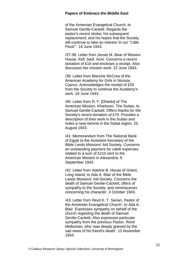of the Armenian Evangelical Church, to Samuel Gentle-Cackett. Regards the pastor's recent stroke; his subsequent replacement; and his hopes that the Society will continue to take an interest 'in our ''Little Flock'''. 16 June 1943.

/37-38: Letter from Jessie M. Bear of Mission House, Kefr Jasif, Acre. Concerns a recent donation of £19 and encloses a receipt. Also discusses her mission work. 22 June 1943.

/39: Letter from Blanche McCrea of the American Academy for Girls in Nicosia, Cyprus. Acknowledges the receipt of £20 from the Society to continue the Academy's work. 24 June 1943.

/40: Letter from R. F. [Dhiedo] of The American Mission, Khartoum, The Sudan, to Samuel Gentle-Cackett. Offers thanks for the Society's recent donation of £70. Provides a description of their work in the Sudan and notes a near-famine in the Sobat region. 25 August 1943.

/41: Memorandum from The National Bank of Egypt to the Assistant-Secretary of the Bible Lands Missions' Aid Society. Concerns an outstanding payment for cable expenses related to a sum of £210 sent to the American Mission in Alexandria. 9 September 1943.

/42: Letter from Adeline B. House of Orient, Long Island, to Ada A. Blair of the Bible Lands Missions' Aid Society. Concerns the death of Samuel Gentle-Cackett; offers of sympathy to the Society; and reminiscenes concerning his character. 3 October 1943.

/43: Letter from Revd K. T. Sarian, Pastor of the Armenian Evangelical Church', to Ada A. Blair. Expresses sympathy on behalf of the church regarding the death of Samuel Gentle-Cackett. Also expresses particular sympathy from the previous Pastor, Revd Melkonian, who 'was deeply grieved by the sad news of his friend's death'. 13 November 1943.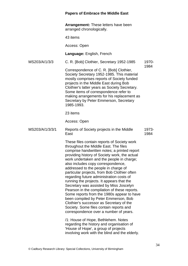**Arrangement:** These letters have been arranged chronologically.

43 items

Access: Open

**Language:** English, French

MS203/A/1/3/3 C. R. [Bob] Clothier, Secretary 1952-1985 1970- 1984

Correspondence of C. R. [Bob] Clothier, Society Secretary 1952-1985. This material mostly comprises reports of Society funded projects in the Middle East during Bob Clothier's latter years as Society Secretary. Some items of correspondence refer to making arrangements for his replacement as Secretary by Peter Emmerson, Secretary 1985-1993.

23 items

Access: Open

MS203/A/1/3/3/1 Reports of Society projects in the Middle East 1973- 1984

> These files contain reports of Society work throughout the Middle East. The files comprise handwritten notes; a printed report providing history of Society work, the actual work undertaken and the people in charge: also includes copy correspondence, addressed to the people in charge of particular projects, from Bob Clothier often regarding future administration costs of running the projects. It appears that the Secretary was assisted by Miss Joscelyn Pearson in the compilation of these reports. Some reports from the 1980s appear to have been compiled by Peter Emmerson, Bob Clothier's successor as Secretary of the Society. Some files contain reports and correspondence over a number of years.

/1: House of Hope, Bethlehem. Notes regarding the history and organisation of 'House of Hope', a group of projects involving work with the blind and the elderly.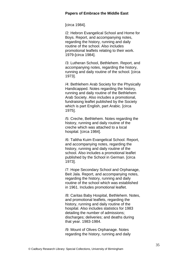[circa 1984].

/2: Hebron Evangelical School and Home for Boys. Report, and accompanying notes, regarding the history, running and daily routine of the school. Also includes promotional leaflets relating to their work. 1979-[circa 1984].

/3: Lutheran School, Bethlehem. Report, and accompanying notes, regarding the history, running and daily routine of the school. [circa 1973].

/4: Bethlehem Arab Society for the Physically Handicapped. Notes regarding the history, running and daily routine of the Bethlehem Arab Society. Also includes a promotional, fundraising leaflet published by the Society which is part English, part Arabic. *Icirca* 1975].

/5: Creche, Bethlehem. Notes regarding the history, running and daily routine of the creche which was attached to a local hospital. [circa 1984].

/6: Talitha Kuim Evangelical School. Report, and accompanying notes, regarding the history, running and daily routine of the school. Also includes a promotional leaflet published by the School in German. [circa 1973].

/7: Hope Secondary School and Orphanage, Beit Jala. Report, and accompanying notes, regarding the history, running and daily routine of the school which was established in 1961. Includes promotional leaflet.

/8: Caritas Baby Hospital, Bethlehem. Notes, and promotional leaflets, regarding the history, running and daily routine of the hospital. Also includes statistics for 1983 detailing the number of admissions; discharges; deliveries; and deaths during that year. 1983-1984.

/9: Mount of Olives Orphanage. Notes regarding the history, running and daily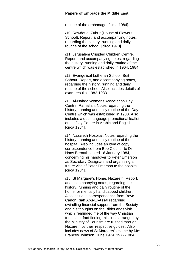routine of the orphanage. [circa 1984].

/10: Rawdat el-Zuhur (House of Flowers School). Report, and accompanying notes, regarding the history, running and daily routine of the school. [circa 1973].

/11: Jerusalem Crippled Children Centre. Report, and accompanying notes, regarding the history, running and daily routine of the centre which was established in 1964. 1984.

/12: Evangelical Lutheran School, Beit Sahour. Report, and accompanying notes, regarding the history, running and daily routine of the school. Also includes details of exam results. 1982-1983.

/13: Al-Nahda Womens Association Day Centre, Ramallah. Notes regarding the history, running and daily routine of the Day Centre which was established in 1980. Also includes a dual-language promotional leaflet of the Day Centre in Arabic and English. [circa 1984].

/14: Nazareth Hospital. Notes regarding the history, running and daily routine of the hospital. Also includes an item of copy correspondence from Bob Clothier to Dr Hans Bernath, dated 16 January 1984, concerning his handover to Peter Emerson as Secretary Designate and organising a future visit of Peter Emerson to the hospital. [circa 1984].

/15: St Margaret's Home, Nazareth. Report, and accompanying notes, regarding the history, running and daily routine of the home for mentally handicapped children. Also includes correspondence from Revd Canon Riah Abu-El-Assal regarding dwindling financial support from the Society and his thoughts on the BibleLands visit which 'reminded me of the way Christian tourists or fact-finding-missions arranged by the Ministry of Tourism are rushed through Nazareth by their respective guides'. Also includes news of St Margaret's Home by Mrs Frances Johnson, June 1974. 1972-1984.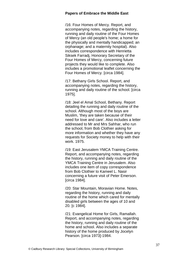/16: Four Homes of Mercy. Report, and accompanying notes, regarding the history, running and daily routine of the Four Homes of Mercy (an old people's home; a home for the physically and mentally handicapped; an orphanage; and a maternity hospital). Also includes correspondence with Henrietta Siksek Farradj, Honorary Secretary of the Four Homes of Mercy, concerning future projects they would like to complete. Also includes a promotional leaflet concerning the Four Homes of Mercy. [circa 1984].

/17: Bethany Girls School. Report, and accompanying notes, regarding the history, running and daily routine of the school. [circa 1975].

/18: Jeel el Amal School, Bethany. Report detailing the running and daily routine of the school. Although most of the boys are Muslim, 'they are taken because of their need for love and care'. Also includes a letter addressed to Mr and Mrs Sahhar, who run the school, from Bob Clothier asking for more information and whether they have any requests for Society money to help with their work. 1975.

/19: East Jerusalem YMCA Training Centre. Report, and accompanying notes, regarding the history, running and daily routine of the YMCA Training Centre in Jerusalem. Also includes one item of copy correspondence from Bob Clothier to Kameel L. Nasir concerning a future visit of Peter Emerson. [circa 1984].

/20: Star Mountain, Moravian Home. Notes, regarding the history, running and daily routine of the home which cared for mentally disabled girls between the ages of 10 and 20. [c 1984].

/21: Evangelical Home for Girls, Ramallah. Report, and accompanying notes, regarding the history, running and daily routine of the home and school. Also includes a separate history of the home produced by Jocelyn Pearson. [circa 1973]-1984.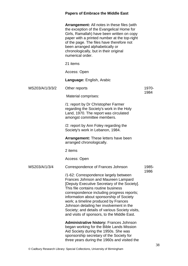| Arrangement: All notes in these files (with  |
|----------------------------------------------|
| the exception of the Evangelical Home for    |
| Girls, Ramallah) have been written on copy   |
| paper with a printed number at the top-right |
| of the page. The files have therefore not    |
| been arranged alphabetically or              |
| chronologically, but in their original       |
| numerical order.                             |

21 items

Access: Open

**Language:** English, Arabic

MS203/A/1/3/3/2 Other reports

Material comprises:

/1: report by Dr Christopher Farmer regarding the Society's work in the Holy Land, 1970. The report was circulated amongst committee members.

/2: report by Ann Foley regarding the Society's work in Lebanon, 1984.

**Arrangement:** These letters have been arranged chronologically.

2 items

Access: Open

MS203/A/1/3/4 Correspondence of Frances Johnson /1-62: Correspondence largely between Frances Johnson and Maureen Lampard [Deputy Executive Secretary of the Society]. This file contains routine business correspondence including progress reports; information about sponsorship of Society work; a timeline produced by Frances Johnson detailing her involvement in the Society; and details of various Society visits, and visits of sponsors, to the Middle East. **Administrative history:** Frances Johnson began working for the Bible Lands Mission Aid Society during the 1950s. She was sponsorship secretary of the Society for 1985- 1986

three years during the 1960s and visited the

1970- 1984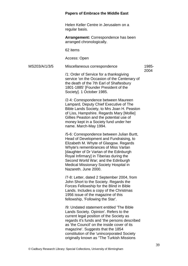Helen Keller Centre in Jerusalem on a regular basis.

**Arrangement:** Correspondence has been arranged chronologically.

62 items

Access: Open

MS203/A/1/3/5 Miscellaneous correspondence

1985- 2004

/1: Order of Service for a thanksgiving service 'on the Occasion of the Centenary of the death of the 7th Earl of Shaftesbury 1801-1885' [Founder President of the Society]. 1 October 1985.

/2-4: Correspondence between Maureen Lampard, Deputy Chief Executive of The Bible Lands Society, to Mrs Joan H. Peaston of Liss, Hampshire. Regards Mary [Mollie] Gillies Peaston and the potential use of money kept in a Society fund under her name. March-May 1994.

/5-6: Correspondence between Julian Burtt, Head of Development and Fundraising, to Elizabeth M. Whyte of Glasgow. Regards Whyte's remembrances of Miss Vartan [daughter of Dr Vartan of the Edinburgh Royal Infirmary] in Tiberias during the Second World War; and the Edinburgh Medical Missionary Society Hospital in Nazareth. June 2000.

/7-8: Letter, dated 2 September 2004, from John Short to the Society. Regards the Forces Fellowship for the Blind in Bible Lands. Includes a copy of the Christmas 1956 issue of the magazine of this fellowship, 'Following the Star'.

/9: Undated statement entitled 'The Bible Lands Society. Opinion'. Refers to the current legal position of the Society as regards it's funds and 'the persons described as 'the Council' on the inside cover of its magazine'. Suggests that the 1854 constitution of the 'unincorporated Society originally known as ''The Turkish Missions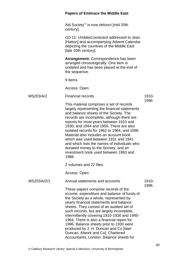|             | <b>Papers of Embrace the Middle East</b>                                                                                                                                                                                                                                                                                                                                                                                                                                                                                                            |               |
|-------------|-----------------------------------------------------------------------------------------------------------------------------------------------------------------------------------------------------------------------------------------------------------------------------------------------------------------------------------------------------------------------------------------------------------------------------------------------------------------------------------------------------------------------------------------------------|---------------|
|             | Aid Society"' is now defunct [mid 20th<br>century].                                                                                                                                                                                                                                                                                                                                                                                                                                                                                                 |               |
|             | /10-11: Undated postcard addressed to Jean<br>[Hatton] and accompanying Advent Calendar<br>depicting the countries of the Middle East<br>[late 20th century].                                                                                                                                                                                                                                                                                                                                                                                       |               |
|             | <b>Arrangement:</b> Correspondence has been<br>arranged chronologically. One item is<br>undated and has been placed at the end of<br>the sequence.                                                                                                                                                                                                                                                                                                                                                                                                  |               |
|             | 9 items                                                                                                                                                                                                                                                                                                                                                                                                                                                                                                                                             |               |
|             | Access: Open                                                                                                                                                                                                                                                                                                                                                                                                                                                                                                                                        |               |
| MS203/A/2   | <b>Financial records</b>                                                                                                                                                                                                                                                                                                                                                                                                                                                                                                                            | 1910-         |
|             | This material comprises a set of records<br>largely representing the financial statements<br>and balance sheets of the Society. The<br>records are incomplete, although there are<br>reports for most years between 1910 and<br>1930; and 1944 and 1955. There are also<br>isolated records for 1962 to 1964, and 1996.<br>Material also includes an account book<br>which was used between 1931 and 1941<br>and which lists the names of individuals who<br>donated money to the Society; and an<br>investment book used between 1963 and<br>1988. | 1996          |
|             | 2 volumes and 22 files                                                                                                                                                                                                                                                                                                                                                                                                                                                                                                                              |               |
|             | Access: Open                                                                                                                                                                                                                                                                                                                                                                                                                                                                                                                                        |               |
| MS203/A/2/1 | Annual statements and accounts                                                                                                                                                                                                                                                                                                                                                                                                                                                                                                                      | 1910-<br>1996 |
|             | These papers comprise records of the<br>income, expenditure and balance of funds of<br>the Society as a whole, represented by<br>yearly financial statements and balance<br>sheets. They consist of an audited set of<br>such records, but are largely incomplete,<br>intermittently covering 1910-1930 and 1945-<br>1964. There is also a financial report for<br>1996. Balance sheets prior to 1930 were<br>produced by J. H. Duncan and Co [later<br>Duncan, Alwork and Co], Chartered<br>Accountants, London. Balance sheets for                |               |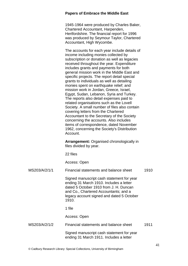1945-1964 were produced by Charles Baker, Chartered Accountant, Harpenden, Hertfordshire. The financial report for 1996 was produced by Seymour Taylor, Chartered Accountant, High Wycombe.

The accounts for each year include details of income including monies collected by subscription or donation as well as legacies received throughout the year. Expenditure includes grants and payments for both general mission work in the Middle East and specific projects. The report detail special grants to individuals as well as detailing monies spent on earthquake relief; and mission work in Jordan, Greece, Israel, Egypt, Sudan, Lebanon, Syria and Turkey. The reports also detail expenses paid to related organisations such as the Lovell Society. A small number of files also contain covering letters from the Chartered Accountant to the Secretary of the Society concerning the accounts. Also includes items of correspondence, dated November 1962, concerning the Society's Distribution Account.

**Arrangement:** Organised chronologically in files divided by year.

22 files

Access: Open

| MS203/A/2/1/1 | Financial statements and balance sheet                                                                                                                                                                                        | 1910 |
|---------------|-------------------------------------------------------------------------------------------------------------------------------------------------------------------------------------------------------------------------------|------|
|               | Signed manuscript cash statement for year<br>ending 31 March 1910. Includes a letter<br>dated 5 October 1910 from J. H. Duncan<br>and Co., Chartered Accountants; and a<br>legacy account signed and dated 5 October<br>1910. |      |
|               | 1 file                                                                                                                                                                                                                        |      |
|               | Access: Open                                                                                                                                                                                                                  |      |
| MS203/A/2/1/2 | Financial statements and balance sheet                                                                                                                                                                                        | 1911 |
|               | Signed manuscript cash statement for year<br>ending 31 March 1911. Includes a letter                                                                                                                                          |      |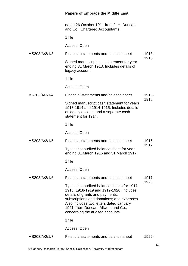|               | dated 26 October 1911 from J. H. Duncan<br>and Co., Chartered Accountants.                                                                                                                                                                                                                    |       |
|---------------|-----------------------------------------------------------------------------------------------------------------------------------------------------------------------------------------------------------------------------------------------------------------------------------------------|-------|
|               | 1 file                                                                                                                                                                                                                                                                                        |       |
|               | Access: Open                                                                                                                                                                                                                                                                                  |       |
| MS203/A/2/1/3 | Financial statements and balance sheet                                                                                                                                                                                                                                                        | 1913- |
|               | Signed manuscript cash statement for year<br>ending 31 March 1913. Includes details of<br>legacy account.                                                                                                                                                                                     | 1915  |
|               | 1 file                                                                                                                                                                                                                                                                                        |       |
|               | Access: Open                                                                                                                                                                                                                                                                                  |       |
| MS203/A/2/1/4 | Financial statements and balance sheet                                                                                                                                                                                                                                                        | 1913- |
|               | Signed manuscript cash statement for years<br>1913-1914 and 1914-1915. Includes details<br>of legacy account and a separate cash<br>statement for 1914.                                                                                                                                       | 1915  |
|               | 1 file                                                                                                                                                                                                                                                                                        |       |
|               | Access: Open                                                                                                                                                                                                                                                                                  |       |
| MS203/A/2/1/5 | Financial statements and balance sheet                                                                                                                                                                                                                                                        | 1916- |
|               | Typescript audited balance sheet for year<br>ending 31 March 1916 and 31 March 1917.                                                                                                                                                                                                          | 1917  |
|               | 1 file                                                                                                                                                                                                                                                                                        |       |
|               | Access: Open                                                                                                                                                                                                                                                                                  |       |
| MS203/A/2/1/6 | Financial statements and balance sheet                                                                                                                                                                                                                                                        | 1917- |
|               | Typescript audited balance sheets for 1917-<br>1918, 1918-1919 and 1919-1920. Includes<br>details of grants and payments;<br>subscriptions and donations; and expenses.<br>Also includes two letters dated January<br>1921, from Duncan, Allwork and Co.,<br>concerning the audited accounts. | 1920  |
|               | 1 file                                                                                                                                                                                                                                                                                        |       |
|               | Access: Open                                                                                                                                                                                                                                                                                  |       |
| MS203/A/2/1/7 | Financial statements and balance sheet                                                                                                                                                                                                                                                        | 1922- |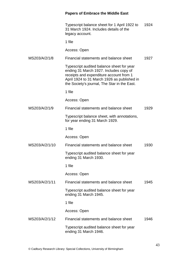|                | Typescript balance sheet for 1 April 1922 to<br>31 March 1924. Includes details of the<br>legacy account.                                                                                                                     | 1924 |
|----------------|-------------------------------------------------------------------------------------------------------------------------------------------------------------------------------------------------------------------------------|------|
|                | 1 file                                                                                                                                                                                                                        |      |
|                | Access: Open                                                                                                                                                                                                                  |      |
| MS203/A/2/1/8  | Financial statements and balance sheet                                                                                                                                                                                        | 1927 |
|                | Typescript audited balance sheet for year<br>ending 31 March 1927. Includes copy of<br>receipts and expenditure account from 1<br>April 1924 to 31 March 1926 as published in<br>the Society's journal, The Star in the East. |      |
|                | 1 file                                                                                                                                                                                                                        |      |
|                | Access: Open                                                                                                                                                                                                                  |      |
| MS203/A/2/1/9  | Financial statements and balance sheet                                                                                                                                                                                        | 1929 |
|                | Typescript balance sheet, with annotations,<br>for year ending 31 March 1929.                                                                                                                                                 |      |
|                | 1 file                                                                                                                                                                                                                        |      |
|                | Access: Open                                                                                                                                                                                                                  |      |
| MS203/A/2/1/10 | Financial statements and balance sheet                                                                                                                                                                                        | 1930 |
|                | Typescript audited balance sheet for year<br>ending 31 March 1930.                                                                                                                                                            |      |
|                | 1 file                                                                                                                                                                                                                        |      |
|                | Access: Open                                                                                                                                                                                                                  |      |
| MS203/A/2/1/11 | Financial statements and balance sheet                                                                                                                                                                                        | 1945 |
|                | Typescript audited balance sheet for year<br>ending 31 March 1945.                                                                                                                                                            |      |
|                | 1 file                                                                                                                                                                                                                        |      |
|                | Access: Open                                                                                                                                                                                                                  |      |
| MS203/A/2/1/12 | Financial statements and balance sheet                                                                                                                                                                                        | 1946 |
|                | Typescript audited balance sheet for year<br>ending 31 March 1946.                                                                                                                                                            |      |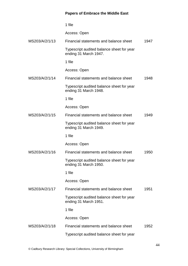|                | 1 file                                                             |      |
|----------------|--------------------------------------------------------------------|------|
|                | Access: Open                                                       |      |
| MS203/A/2/1/13 | Financial statements and balance sheet                             | 1947 |
|                | Typescript audited balance sheet for year<br>ending 31 March 1947. |      |
|                | 1 file                                                             |      |
|                | Access: Open                                                       |      |
| MS203/A/2/1/14 | Financial statements and balance sheet                             | 1948 |
|                | Typescript audited balance sheet for year<br>ending 31 March 1948. |      |
|                | 1 file                                                             |      |
|                | Access: Open                                                       |      |
| MS203/A/2/1/15 | Financial statements and balance sheet                             | 1949 |
|                | Typescript audited balance sheet for year<br>ending 31 March 1949. |      |
|                | 1 file                                                             |      |
|                | Access: Open                                                       |      |
| MS203/A/2/1/16 | Financial statements and balance sheet                             | 1950 |
|                | Typescript audited balance sheet for year<br>ending 31 March 1950. |      |
|                | 1 file                                                             |      |
|                | Access: Open                                                       |      |
| MS203/A/2/1/17 | Financial statements and balance sheet                             | 1951 |
|                | Typescript audited balance sheet for year<br>ending 31 March 1951. |      |
|                | 1 file                                                             |      |
|                | Access: Open                                                       |      |
| MS203/A/2/1/18 | Financial statements and balance sheet                             | 1952 |
|                | Typescript audited balance sheet for year                          |      |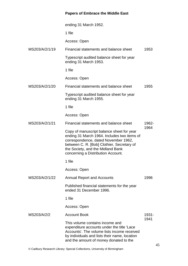|                | ending 31 March 1952.                                                                                                                                                                                                                                     |               |
|----------------|-----------------------------------------------------------------------------------------------------------------------------------------------------------------------------------------------------------------------------------------------------------|---------------|
|                | 1 file                                                                                                                                                                                                                                                    |               |
|                | Access: Open                                                                                                                                                                                                                                              |               |
| MS203/A/2/1/19 | Financial statements and balance sheet                                                                                                                                                                                                                    | 1953          |
|                | Typescript audited balance sheet for year<br>ending 31 March 1953.                                                                                                                                                                                        |               |
|                | 1 file                                                                                                                                                                                                                                                    |               |
|                | Access: Open                                                                                                                                                                                                                                              |               |
| MS203/A/2/1/20 | Financial statements and balance sheet                                                                                                                                                                                                                    | 1955          |
|                | Typescript audited balance sheet for year<br>ending 31 March 1955.                                                                                                                                                                                        |               |
|                | 1 file                                                                                                                                                                                                                                                    |               |
|                | Access: Open                                                                                                                                                                                                                                              |               |
| MS203/A/2/1/21 | Financial statements and balance sheet                                                                                                                                                                                                                    | 1962-         |
|                | Copy of manuscript balance sheet for year<br>ending 31 March 1964. Includes two items of<br>correspondence, dated November 1962,<br>between C. R. [Bob] Clothier, Secretary of<br>the Society, and the Midland Bank<br>concerning a Distribution Account. | 1964          |
|                | 1 file                                                                                                                                                                                                                                                    |               |
|                | Access: Open                                                                                                                                                                                                                                              |               |
| MS203/A/2/1/22 | <b>Annual Report and Accounts</b>                                                                                                                                                                                                                         | 1996          |
|                | Published financial statements for the year<br>ended 31 December 1996.                                                                                                                                                                                    |               |
|                | 1 file                                                                                                                                                                                                                                                    |               |
|                | Access: Open                                                                                                                                                                                                                                              |               |
| MS203/A/2/2    | <b>Account Book</b>                                                                                                                                                                                                                                       | 1931-<br>1941 |
|                | This volume contains income and<br>expenditure accounts under the title 'Lace<br>Accounts'. The volume lists income received<br>by individuals and lists their name, location<br>and the amount of money donated to the                                   |               |

© Cadbury Research Library: Special Collections, University of Birmingham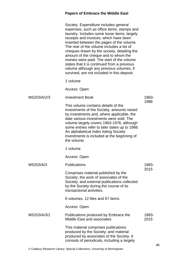|             | Society. Expenditure includes general<br>expenses, such as office items, stamps and<br>laundry. Includes some loose items, largely<br>receipts and invoices, which have been<br>inserted between the pages of the volume.<br>The rear of the volume includes a list of<br>cheques drawn by the society, detailing the<br>amount of the cheque and to whom the<br>monies were paid. The start of the volume<br>states that it is continued from a previous<br>volume although any previous volumes, if<br>survived, are not included in this deposit. |               |
|-------------|------------------------------------------------------------------------------------------------------------------------------------------------------------------------------------------------------------------------------------------------------------------------------------------------------------------------------------------------------------------------------------------------------------------------------------------------------------------------------------------------------------------------------------------------------|---------------|
|             | 1 volume                                                                                                                                                                                                                                                                                                                                                                                                                                                                                                                                             |               |
|             | Access: Open                                                                                                                                                                                                                                                                                                                                                                                                                                                                                                                                         |               |
| MS203/A/2/3 | <b>Investment Book</b>                                                                                                                                                                                                                                                                                                                                                                                                                                                                                                                               | 1963-         |
|             | This volume contains details of the<br>investments of the Society, amounts raised<br>by investments and, where applicable, the<br>date various investments were sold. The<br>volume largely covers 1963-1976, although<br>some entries refer to later dates up to 1988.<br>An alphabetical index listing Society<br>investments is included at the beginning of<br>the volume.                                                                                                                                                                       | 1988          |
|             | 1 volume                                                                                                                                                                                                                                                                                                                                                                                                                                                                                                                                             |               |
|             | Access: Open                                                                                                                                                                                                                                                                                                                                                                                                                                                                                                                                         |               |
| MS203/A/3   | Publications                                                                                                                                                                                                                                                                                                                                                                                                                                                                                                                                         | 1883-<br>2015 |
|             | Comprises material published by the<br>Society; the work of associates of the<br>Society; and external publications collected<br>by the Society during the course of its<br>transactional activities.                                                                                                                                                                                                                                                                                                                                                |               |
|             | 9 volumes, 12 files and 67 items                                                                                                                                                                                                                                                                                                                                                                                                                                                                                                                     |               |
|             | Access: Open                                                                                                                                                                                                                                                                                                                                                                                                                                                                                                                                         |               |
| MS203/A/3/1 | Publications produced by Embrace the<br><b>Middle East and associates</b>                                                                                                                                                                                                                                                                                                                                                                                                                                                                            | 1883-<br>2015 |
|             | This material comprises publications<br>produced by the Society; and material<br>produced by associates of the Society. It<br>consists of periodicals, including a largely                                                                                                                                                                                                                                                                                                                                                                           |               |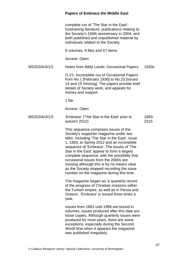complete run of 'The Star in the East'; fundraising literature; publications relating to the Society's 150th anniversary in 2004; and both published and unpublished material by individuals related to the Society.

9 volumes, 9 files and 67 items

Access: Open

MS203/A/3/1/1 Notes from Bible Lands: Occasional Papers 1930s

> /1-21: Incomplete run of Occasional Papers from No.1 [February 1936] to No.23 [issues 14 and 15 missing]. The papers provide brief details of Society work; and appeals for money and support.

1 file

Access: Open

MS203/A/3/1/2 'Embrace' ('The Star in the East' prior to autumn 2012) 1883- 2015

> This sequence comprises issues of the Society's supporter magazine under two titles. Including 'The Star in the East', issue 1, 1883, to Spring 2012 and an incomplete sequence of 'Embrace'. The issues of 'The Star in the East' appear to form a largely complete sequence, with the possibility that occasional issues from the 2000s are missing although this is by no means clear as the Society stopped recording the issue number on the magazine during this time.

> The magazine began as 'a quarterly record of the progress of Christian missions within the Turkish empire, as well as in Persia and Greece'. 'Embrace' is issued three times a year.

Issues from 1883 until 1996 are bound in volumes, issues produced after this date are loose copies. Although quarterly issues were produced for most years, there are some exceptions, especially during the Second World War when it appears the magazine was published irregularly.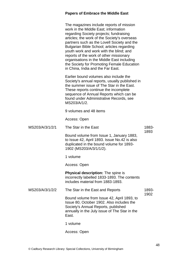|                 | The magazines include reports of mission<br>work in the Middle East; information<br>regarding Society projects; fundraising<br>articles; the work of the Society's overseas<br>partners such as the Lovell Society and the<br>Bulgarian Bible School; articles regarding<br>youth work and work with the blind; and<br>reports of the work of other missionary<br>organisations in the Middle East including<br>the Society for Promoting Female Education<br>in China, India and the Far East. |       |
|-----------------|-------------------------------------------------------------------------------------------------------------------------------------------------------------------------------------------------------------------------------------------------------------------------------------------------------------------------------------------------------------------------------------------------------------------------------------------------------------------------------------------------|-------|
|                 | Earlier bound volumes also include the<br>Society's annual reports, usually published in<br>the summer issue of The Star in the East.<br>These reports continue the incomplete<br>sequence of Annual Reports which can be<br>found under Administrative Records, see<br>MS203/A/1/2.                                                                                                                                                                                                            |       |
|                 | 9 volumes and 48 items                                                                                                                                                                                                                                                                                                                                                                                                                                                                          |       |
|                 | Access: Open                                                                                                                                                                                                                                                                                                                                                                                                                                                                                    |       |
| MS203/A/3/1/2/1 | The Star in the East                                                                                                                                                                                                                                                                                                                                                                                                                                                                            | 1883- |
|                 | Bound volume from Issue 1, January 1883,<br>to Issue 42, April 1893. Issue No.42 is also<br>duplicated in the bound volume for 1893-<br>1902 (MS203/A/3/1/1/2).                                                                                                                                                                                                                                                                                                                                 | 1893  |
|                 | 1 volume                                                                                                                                                                                                                                                                                                                                                                                                                                                                                        |       |
|                 | Access: Open                                                                                                                                                                                                                                                                                                                                                                                                                                                                                    |       |
|                 | <b>Physical description:</b> The spine is<br>incorrectly labelled 1833-1893. The contents<br>includes material from 1883-1893.                                                                                                                                                                                                                                                                                                                                                                  |       |
| MS203/A/3/1/2/2 | The Star in the East and Reports                                                                                                                                                                                                                                                                                                                                                                                                                                                                | 1893- |
|                 | Bound volume from Issue 42, April 1893, to<br>Issue 80, October 1902. Also includes the<br>Society's Annual Reports, published<br>annually in the July issue of The Star in the<br>East.                                                                                                                                                                                                                                                                                                        | 1902  |
|                 | 1 volume                                                                                                                                                                                                                                                                                                                                                                                                                                                                                        |       |

Access: Open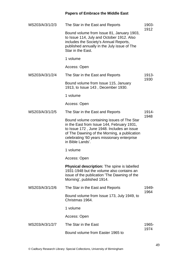| MS203/A/3/1/2/3 | The Star in the East and Reports                                                                                                                                                                                                                          | 1903-<br>1912 |
|-----------------|-----------------------------------------------------------------------------------------------------------------------------------------------------------------------------------------------------------------------------------------------------------|---------------|
|                 | Bound volume from Issue 81, January 1903,<br>to Issue 114, July and October 1912. Also<br>includes the Society's Annual Reports,<br>published annually in the July issue of The<br>Star in the East.                                                      |               |
|                 | 1 volume                                                                                                                                                                                                                                                  |               |
|                 | Access: Open                                                                                                                                                                                                                                              |               |
| MS203/A/3/1/2/4 | The Star in the East and Reports                                                                                                                                                                                                                          | 1913-         |
|                 | Bound volume from Issue 115, January<br>1913, to Issue 143, December 1930.                                                                                                                                                                                | 1930          |
|                 | 1 volume                                                                                                                                                                                                                                                  |               |
|                 | Access: Open                                                                                                                                                                                                                                              |               |
| MS203/A/3/1/2/5 | The Star in the East and Reports                                                                                                                                                                                                                          | 1914-         |
|                 | Bound volume containing issues of The Star<br>in the East from Issue 144, February 1931,<br>to Issue 172, June 1948. Includes an issue<br>of The Dawning of the Morning, a publication<br>celebrating '60 years missionary enterprise<br>in Bible Lands'. | 1948          |
|                 | 1 volume                                                                                                                                                                                                                                                  |               |
|                 | Access: Open                                                                                                                                                                                                                                              |               |
|                 | <b>Physical description:</b> The spine is labelled<br>1931-1948 but the volume also contains an<br>issue of the publication 'The Dawning of the<br>Morning', published 1914.                                                                              |               |
| MS203/A/3/1/2/6 | The Star in the East and Reports                                                                                                                                                                                                                          | 1949-         |
|                 | Bound volume from Issue 173, July 1949, to<br>Christmas 1964.                                                                                                                                                                                             | 1964          |
|                 | 1 volume                                                                                                                                                                                                                                                  |               |
|                 | Access: Open                                                                                                                                                                                                                                              |               |
| MS203/A/3/1/2/7 | The Star in the East                                                                                                                                                                                                                                      | 1965-<br>1974 |
|                 | Bound volume from Easter 1965 to                                                                                                                                                                                                                          |               |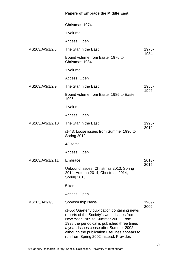|                  | Christmas 1974.                                                                                                                                                                                                                                                                                                         |          |
|------------------|-------------------------------------------------------------------------------------------------------------------------------------------------------------------------------------------------------------------------------------------------------------------------------------------------------------------------|----------|
|                  | 1 volume                                                                                                                                                                                                                                                                                                                |          |
|                  | Access: Open                                                                                                                                                                                                                                                                                                            |          |
| MS203/A/3/1/2/8  | The Star in the East                                                                                                                                                                                                                                                                                                    | 1975-    |
|                  | Bound volume from Easter 1975 to<br>Christmas 1984.                                                                                                                                                                                                                                                                     | 1984     |
|                  | 1 volume                                                                                                                                                                                                                                                                                                                |          |
|                  | Access: Open                                                                                                                                                                                                                                                                                                            |          |
| MS203/A/3/1/2/9  | The Star in the East                                                                                                                                                                                                                                                                                                    | 1985-    |
|                  | Bound volume from Easter 1985 to Easter<br>1996.                                                                                                                                                                                                                                                                        | 1996     |
|                  | 1 volume                                                                                                                                                                                                                                                                                                                |          |
|                  | Access: Open                                                                                                                                                                                                                                                                                                            |          |
| MS203/A/3/1/2/10 | The Star in the East                                                                                                                                                                                                                                                                                                    | 1996-    |
|                  | /1-43: Loose issues from Summer 1996 to<br>Spring 2012                                                                                                                                                                                                                                                                  | 2012     |
|                  | 43 items                                                                                                                                                                                                                                                                                                                |          |
|                  | Access: Open                                                                                                                                                                                                                                                                                                            |          |
| MS203/A/3/1/2/11 | Embrace                                                                                                                                                                                                                                                                                                                 | $2013 -$ |
|                  | Unbound issues: Christmas 2013; Spring<br>2014; Autumn 2014; Christmas 2014;<br>Spring 2015                                                                                                                                                                                                                             | 2015     |
|                  | 5 items                                                                                                                                                                                                                                                                                                                 |          |
|                  | Access: Open                                                                                                                                                                                                                                                                                                            |          |
| MS203/A/3/1/3    | <b>Sponsorship News</b>                                                                                                                                                                                                                                                                                                 | 1989-    |
|                  | /1-55: Quarterly publication containing news<br>reports of the Society's work. Issues from<br>New Year 1989 to Summer 2002. From<br>1998 the periodical is published three times<br>a year. Issues cease after Summer 2002 -<br>although the publication LifeLines appears to<br>run from Spring 2002 instead. Provides | 2002     |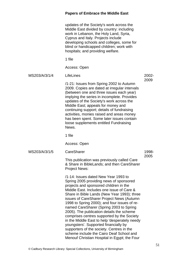|               | updates of the Society's work across the<br>Middle East divided by country: including<br>work in Lebanon, the Holy Land, Syria,<br>Cyprus and Italy. Projects include<br>developing schools and colleges, some for<br>blind or handicapped children; work with<br>hospitals; and providing welfare.                                                                                                                                                                                                                                                                                                                                                                                         |               |
|---------------|---------------------------------------------------------------------------------------------------------------------------------------------------------------------------------------------------------------------------------------------------------------------------------------------------------------------------------------------------------------------------------------------------------------------------------------------------------------------------------------------------------------------------------------------------------------------------------------------------------------------------------------------------------------------------------------------|---------------|
|               | 1 file                                                                                                                                                                                                                                                                                                                                                                                                                                                                                                                                                                                                                                                                                      |               |
|               | Access: Open                                                                                                                                                                                                                                                                                                                                                                                                                                                                                                                                                                                                                                                                                |               |
| MS203/A/3/1/4 | LifeLines                                                                                                                                                                                                                                                                                                                                                                                                                                                                                                                                                                                                                                                                                   | 2002-         |
|               | /1-21: Issues from Spring 2002 to Autumn<br>2009. Copies are dated at irregular intervals<br>(between one and three issues each year)<br>implying the series in incomplete. Provides<br>updates of the Society's work across the<br>Middle East; appeals for money and<br>continuing support; details of fundraising<br>activities, monies raised and areas money<br>has been spent. Some later issues contain<br>loose supplements entitled Fundraising<br>News.                                                                                                                                                                                                                           | 2009          |
|               | 1 file                                                                                                                                                                                                                                                                                                                                                                                                                                                                                                                                                                                                                                                                                      |               |
|               | Access: Open                                                                                                                                                                                                                                                                                                                                                                                                                                                                                                                                                                                                                                                                                |               |
| MS203/A/3/1/5 | CareSharer                                                                                                                                                                                                                                                                                                                                                                                                                                                                                                                                                                                                                                                                                  | 1998-<br>2005 |
|               | This publication was previously called Care<br>& Share in BibleLands; and then CareSharer<br><b>Project News:</b>                                                                                                                                                                                                                                                                                                                                                                                                                                                                                                                                                                           |               |
|               | /1-14: Issues dated New Year 1993 to<br>Spring 2005 providing news of sponsored<br>projects and sponsored children in the<br>Middle East. Includes one issue of Care &<br>Share in Bible Lands (New Year 1993); three<br>issues of CareSharer Project News (Autumn<br>1998 to Spring 2000); and four issues of re-<br>named CareSharer (Spring 2003 to Spring<br>2005). The publication details the scheme<br>comprises centres supported by the Society<br>in the Middle East to help 'desperately needy<br>youngsters'. Supported financially by<br>supporters of the society. Centres in the<br>scheme include the Cairo Deaf School and<br>Menouf Christian Hospital in Egypt; the Four |               |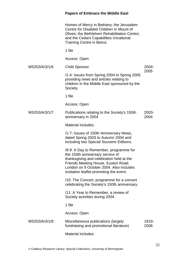Homes of Mercy in Bethany; the Jerusalem Centre for Disabled Children in Mount of Olives; the Bethlehem Rehabilitation Centre; and the Cedars Capabilities Vocational Training Centre in Beirut.

1 file

Access: Open

MS203/A/3/1/6 Child Sponsor

2004- 2005

/1-4: Issues from Spring 2004 to Spring 2005 providing news and articles relating to children in the Middle East sponsored by the Society.

1 file

Access: Open

MS203/A/3/1/7 Publications relating to the Society's 150th anniversary in 2004 2003- 2004

Material includes:

/1-7: Issues of 150th Anniversary News, dated Spring 2003 to Autumn 2004 and including two Special Souvenir Editions.

/8-9: A Day to Remember, programme for the 150th anniversary service of thanksgiving and celebration held at the Friends Meeting House, Euston Road, London on 9 October 2004. Also includes invitation leaflet promoting the event.

/10: The Concert, programme for a concert celebrating the Society's 150th anniversary.

/11: A Year to Remember, a review of Society activities during 2004.

1 file

Access: Open

| MS203/A/3/1/8 | Miscellaneous publications (largely     | 1919- |
|---------------|-----------------------------------------|-------|
|               | fundraising and promotional literature) | 2008  |

Material includes: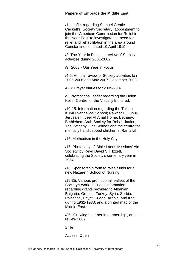/1: Leaflet regarding Samuel Gentle-Cackett's [Society Secretary] appointment to join the 'American Commission for Relief in the Near East' to investigate the need for relief and rehabilitation in the area around Constantinople, dated 10 April 1919.

/2: The Year in Focus, a review of Society activities during 2001-2002.

/3: '2003 - Our Year in Focus'.

/4-5: Annual review of Society activities fo r 2005-2006 and May 2007-December 2008.

/6-8: Prayer diaries for 2005-2007.

/9: Promotional leaflet regarding the Helen Keller Centre for the Visually Impaired.

/10-15: Information regarding the Talitha Kumi Evangelical School; Rawdat El Zuhur, Jerusalem; Jeel Al Amal Home, Bethany; Bethlehem Arab Society for Rehabilitation; The Bethany Girls School; and the centre for mentally handicapped children in Ramallah.

/16: Methodism in the Holy City.

/17: Photocopy of 'Bible Lands Missions' Aid Society' by Revd David S T Izzett, celebrating the Society's centenary year in 1954.

/18: Sponsorship form to raise funds for a new Nazareth School of Nursing.

/19-35: Various promotional leaflets of the Society's work. Includes information regarding grants provided to Albanian, Bulgaria, Greece, Turkey, Syria, Serbia, Palestine, Egypt, Sudan, Arabia, and Iraq during 1932-1933; and a printed map of the Middle East.

/36: 'Growing together in partnership', annual review 2009.

1 file

Access: Open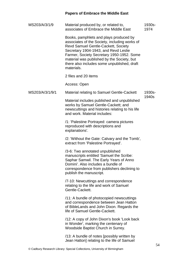| MS203/A/3/1/9   | Material produced by, or related to,<br>associates of Embrace the Middle East                                                                                                                                                                                                                                                  | 1930s-<br>1974 |
|-----------------|--------------------------------------------------------------------------------------------------------------------------------------------------------------------------------------------------------------------------------------------------------------------------------------------------------------------------------|----------------|
|                 | Books, pamphlets and plays produced by<br>associates of the Society, including works of<br>Revd Samuel Gentle-Cackett, Society<br>Secretary 1904-1943, and Revd Leslie<br>Farmer, Society Secretary 1950-1952. Some<br>material was published by the Society, but<br>there also includes some unpublished, draft<br>materials. |                |
|                 | 2 files and 20 items                                                                                                                                                                                                                                                                                                           |                |
|                 | Access: Open                                                                                                                                                                                                                                                                                                                   |                |
| MS203/A/3/1/9/1 | Material relating to Samuel Gentle-Cackett                                                                                                                                                                                                                                                                                     | 1930s-         |
|                 | Material includes published and unpublished<br>works by Samuel Gentle-Cackett; and<br>newscuttings and histories relating to his life<br>and work. Material includes:                                                                                                                                                          | 1940s          |
|                 | /1: 'Palestine Portrayed: camera pictures<br>reproduced with descriptions and<br>explanations'.                                                                                                                                                                                                                                |                |
|                 | /2: 'Without the Gate: Calvary and the Tomb',<br>extract from 'Palestine Portrayed'.                                                                                                                                                                                                                                           |                |
|                 | /3-6: Two annotated unpublished<br>manuscripts entitled 'Samuel the Scribe:<br>Saphar Samwil. The Early Years of Anno<br>Domini'. Also includes a bundle of<br>correspondence from publishers declining to<br>publish the manuscript.                                                                                          |                |
|                 | /7-10: Newcuttings and correspondence<br>relating to the life and work of Samuel<br>Gentle-Cackett.                                                                                                                                                                                                                            |                |
|                 | /11: A bundle of photocopied newscuttings<br>and correspondence between Jean Hatton<br>of BibleLands and John Dixon. Regards the<br>life of Samuel Gentle-Cackett.                                                                                                                                                             |                |
|                 | /12: A copy of John Dixon's book 'Look back<br>in Wonder', marking the centenary of<br>Woodside Baptist Church in Surrey.                                                                                                                                                                                                      |                |
|                 | /13: A bundle of notes [possibly written by<br>Jean Hatton] relating to the life of Samuel                                                                                                                                                                                                                                     |                |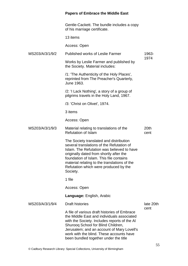Gentle-Cackett. The bundle includes a copy of his marriage certificate.

13 items

Access: Open

| MS203/A/3/1/9/2 | <b>Published works of Leslie Farmer</b>                                                                                                                                                                                                                                                                                       | 1963-        |
|-----------------|-------------------------------------------------------------------------------------------------------------------------------------------------------------------------------------------------------------------------------------------------------------------------------------------------------------------------------|--------------|
|                 | Works by Leslie Farmer and published by<br>the Society. Material includes:                                                                                                                                                                                                                                                    | 1974         |
|                 | /1: 'The Authenticity of the Holy Places',<br>reprinted from The Preacher's Quarterly,<br>June 1963.                                                                                                                                                                                                                          |              |
|                 | /2: 'I Lack Nothing', a story of a group of<br>pilgrims travels in the Holy Land, 1967.                                                                                                                                                                                                                                       |              |
|                 | /3: 'Christ on Olivet', 1974.                                                                                                                                                                                                                                                                                                 |              |
|                 | 3 items                                                                                                                                                                                                                                                                                                                       |              |
|                 | Access: Open                                                                                                                                                                                                                                                                                                                  |              |
| MS203/A/3/1/9/3 | Material relating to translations of the<br><b>Refutation of Islam</b>                                                                                                                                                                                                                                                        | 20th<br>cent |
|                 | The Society translated and distribution<br>several translations of the Refutation of<br>Islam. The Refutation was believed to have<br>originally dated from shortly after the<br>foundation of Islam. This file contains<br>material relating to the translations of the<br>Refutation which were produced by the<br>Society. |              |
|                 | 1 file                                                                                                                                                                                                                                                                                                                        |              |
|                 | Access: Open                                                                                                                                                                                                                                                                                                                  |              |
|                 | <b>Language: English, Arabic</b>                                                                                                                                                                                                                                                                                              |              |
| MS203/A/3/1/9/4 | <b>Draft histories</b>                                                                                                                                                                                                                                                                                                        | late 20th    |
|                 | A file of various draft histories of Embrace<br>the Middle East and individuals associated<br>with the Society. Includes reports of the AI<br>Shurooq School for Blind Children,<br>Jerusalem; and an account of Mary Lovell's<br>work with the blind. These accounts have<br>been bundled together under the title           | cent         |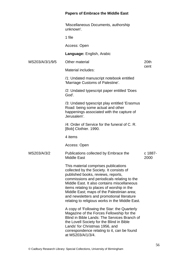'Miscellaneous Documents, authorship unknown'.

1 file

Access: Open

Material includes:

**Language:** English, Arabic

MS203/A/3/1/9/5 Other material

20th cent

/1: Undated manuscript notebook entitled 'Marriage Customs of Palestine'.

/2: Undated typescript paper entitled 'Does God'.

/3: Undated typescript play entitled 'Erasmus Road: being some actual and other happenings associated with the capture of Jerusalem'.

/4: Order of Service for the funeral of C. R. [Bob] Clothier. 1990.

4 items

Access: Open

MS203/A/3/2 Publications collected by Embrace the Middle East c 1887- 2000

> This material comprises publications collected by the Society. It consists of published books, reviews, reports, commissions and periodicals relating to the Middle East. It also contains miscellaneous items relating to places of worship in the Middle East; maps of the Palestinian area; and newsletters and promotional literature relating to religious works in the Middle East.

> A copy of 'Following the Star: the Quarterly Magazine of the Forces Fellowship for the Blind in Bible Lands: The Services Branch of the Lovell Society for the Blind in Bible Lands' for Christmas 1956, and correspondence relating to it, can be found at MS203/A/1/3/4.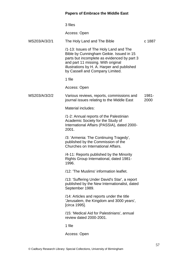|               | 3 files                                                                                                                                                                                                                                                   |               |
|---------------|-----------------------------------------------------------------------------------------------------------------------------------------------------------------------------------------------------------------------------------------------------------|---------------|
|               | Access: Open                                                                                                                                                                                                                                              |               |
| MS203/A/3/2/1 | The Holy Land and The Bible                                                                                                                                                                                                                               | c 1887        |
|               | /1-13: Issues of The Holy Land and The<br>Bible by Cunningham Geikie. Issued in 15<br>parts but incomplete as evidenced by part 3<br>and part 11 missing. With original<br>illustrations by H. A. Harper and published<br>by Cassell and Company Limited. |               |
|               | 1 file                                                                                                                                                                                                                                                    |               |
|               | Access: Open                                                                                                                                                                                                                                              |               |
| MS203/A/3/2/2 | Various reviews, reports, commissions and<br>journal issues relating to the Middle East                                                                                                                                                                   | 1981-<br>2000 |
|               | <b>Material includes:</b>                                                                                                                                                                                                                                 |               |
|               | /1-2: Annual reports of the Palestinian<br>Academic Society for the Study of<br>International Affairs (PASSIA), dated 2000-<br>2001.                                                                                                                      |               |
|               | /3: 'Armenia: The Continuing Tragedy',<br>published by the Commission of the<br>Churches on International Affairs.                                                                                                                                        |               |
|               | /4-11: Reports published by the Minority<br>Rights Group International, dated 1981-<br>1996.                                                                                                                                                              |               |
|               | /12: 'The Muslims' information leaflet.                                                                                                                                                                                                                   |               |
|               | /13: 'Suffering Under David's Star', a report<br>published by the New Internationalist, dated<br>September 1989.                                                                                                                                          |               |
|               | /14: Articles and reports under the title<br>'Jerusalem, the Kingdom and 3000 years',<br>[circa 1995].                                                                                                                                                    |               |
|               | /15: 'Medical Aid for Palestinians', annual<br>review dated 2000-2001.                                                                                                                                                                                    |               |
|               | 1 file                                                                                                                                                                                                                                                    |               |
|               | Access: Open                                                                                                                                                                                                                                              |               |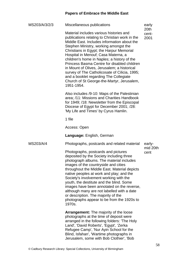| MS203/A/3/2/3 | Miscellaneous publications                                                                                                                                                                                                                                                                                                                                                                                                                                                                                                                                               | early                 |
|---------------|--------------------------------------------------------------------------------------------------------------------------------------------------------------------------------------------------------------------------------------------------------------------------------------------------------------------------------------------------------------------------------------------------------------------------------------------------------------------------------------------------------------------------------------------------------------------------|-----------------------|
|               | Material includes various histories and<br>publications relating to Christian work in the<br>Middle East. Includes information about the<br>Stephen Ministry, working amongst the<br>Christians in Egypt; the Harpur Memorial<br>Hospital in Menouf; Casa Materna, a<br>children's home in Naples; a history of the<br>Princess Basma Centre for disabled children<br>in Mount of Olives, Jerusalem; a historical<br>survey of The Catholicosate of Cilicia, 1995;<br>and a booklet regarding The Collegiate<br>Church of St George-the-Martyr, Jerusalem,<br>1951-1954. | 20th<br>cent-<br>2001 |
|               | Also includes /9-10: Maps of the Palestinian<br>area; /11: Missions and Charities Handbook<br>for 1949; /18: Newsletter from the Episcopal<br>Diocese of Egypt for December 2001; /28:<br>'My Life and Times' by Cyrus Hamlin.                                                                                                                                                                                                                                                                                                                                           |                       |
|               | 1 file                                                                                                                                                                                                                                                                                                                                                                                                                                                                                                                                                                   |                       |
|               | Access: Open                                                                                                                                                                                                                                                                                                                                                                                                                                                                                                                                                             |                       |
|               | Language: English, German                                                                                                                                                                                                                                                                                                                                                                                                                                                                                                                                                |                       |
|               |                                                                                                                                                                                                                                                                                                                                                                                                                                                                                                                                                                          |                       |
| MS203/A/4     | Photographs, postcards and related material                                                                                                                                                                                                                                                                                                                                                                                                                                                                                                                              | early-                |
|               | Photographs, postcards and pictures<br>deposited by the Society including three<br>photograph albums. The material includes<br>images of the countryside and cities<br>throughout the Middle East. Material depicts<br>native peoples at work and play; and the<br>Society's involvement working with the<br>youth, the destitute and the blind. Some<br>images have been annotated on the reverse,<br>although many are not labelled with a date<br>or description. The majority of the<br>photographs appear to be from the 1920s to<br>1970s.                         | mid 20th<br>cent      |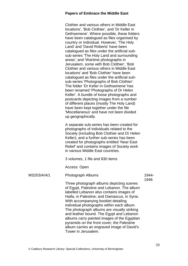Clothier and various others in Middle East locations', 'Bob Clothier', and 'Dr Keller in Gethsemene'. Where possible, these folders have been catalogued as files organised by country or individual. However, 'The Holy Land' and 'David Roberts' have been catalogued as files under the artificial subsub-series 'The Holy Land and surrounding areas'; and 'Wartime photographs in Jerusalem, some with Bob Clothier', 'Bob Clothier and various others in Middle East locations' and 'Bob Clothier' have been catalogued as files under the artificial subsub-series 'Photographs of Bob Clothier'. The folder 'Dr Keller in Gethsemene' has been renamed 'Photographs of Dr Helen Keller'. A bundle of loose photographs and postcards depicting images from a number of different places (mostly The Holy Land) have been kept together under the file 'Miscellaneous' and have not been divided up geographically.

A separate sub-series has been created for photographs of individuals related to the Society (including Bob Clothier and Dr Helen Keller); and a further sub-series has been created for photographs entitled 'Near East Relief' and contains images of Society work in various Middle East countries.

3 volumes, 1 file and 830 items

Access: Open

MS203/A/4/1 Photograph Albums Three photograph albums depicting scenes of Egypt, Palestine and Lebanon. The album labelled Lebanon also contains images of Haifa, in Palestine; and Damascus, in Syria. With accompanying booklet detailing individual photographs within each album. The photograph albums are visually striking and leather bound. The Egypt and Lebanon albums carry painted images of the Egyptian pyramids on the front cover; the Palestine 1944- 1946

album carries an engraved image of David's

Tower in Jerusalem.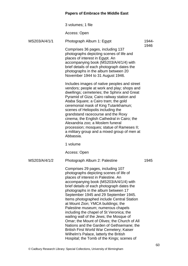|               | 3 volumes; 1 file                                                                                                                                                                                                                                                                                                                                                                                                                                                                                                                                                                                                                                                                                                                             |       |
|---------------|-----------------------------------------------------------------------------------------------------------------------------------------------------------------------------------------------------------------------------------------------------------------------------------------------------------------------------------------------------------------------------------------------------------------------------------------------------------------------------------------------------------------------------------------------------------------------------------------------------------------------------------------------------------------------------------------------------------------------------------------------|-------|
|               | Access: Open                                                                                                                                                                                                                                                                                                                                                                                                                                                                                                                                                                                                                                                                                                                                  |       |
| MS203/A/4/1/1 | Photograph Album 1: Egypt                                                                                                                                                                                                                                                                                                                                                                                                                                                                                                                                                                                                                                                                                                                     | 1944- |
|               | Comprises 36 pages, including 137<br>photographs depicting scenes of life and<br>places of interest in Egypt. An<br>accompanying book (MS203/A/4/1/4) with<br>brief details of each photograph dates the<br>photographs in the album between 20<br>November 1944 to 31 August 1946.                                                                                                                                                                                                                                                                                                                                                                                                                                                           | 1946  |
|               | Includes images of native peoples and street<br>vendors; people at work and play; shops and<br>dwellings; cemeteries; the Sphinx and Great<br>Pyramid of Giza; Cairo railway station and<br>Ataba Square; a Cairo tram; the gold<br>ceremonial mask of King Tutankhamun;<br>scenes of Heliopolis including the<br>grandstand racecourse and the Roxy<br>cinema; the English Cathedral in Cairo; the<br>Alexandria zoo; a Moslem funeral<br>procession; mosques; statue of Rameses II;<br>a military group and a mixed group of men at<br>Abbassia.                                                                                                                                                                                            |       |
|               | 1 volume                                                                                                                                                                                                                                                                                                                                                                                                                                                                                                                                                                                                                                                                                                                                      |       |
|               | Access: Open                                                                                                                                                                                                                                                                                                                                                                                                                                                                                                                                                                                                                                                                                                                                  |       |
| MS203/A/4/1/2 | Photograph Album 2: Palestine                                                                                                                                                                                                                                                                                                                                                                                                                                                                                                                                                                                                                                                                                                                 | 1945  |
|               | Comprises 29 pages, including 107<br>photographs depicting scenes of life of<br>places of interest in Palestine. An<br>accompanying book (MS203/A/4/1/4) with<br>brief details of each photograph dates the<br>photographs in the album between 17<br>September 1945 and 29 September 1945.<br>Items photographed include Central Station<br>at Mount Zion; YMCA buildings; the<br>Palestine museum; numerous chapels<br>including the chapel of St Veronica; the<br>wailing wall of the Jews; the Mosque of<br>Omar; the Mount of Olives; the Church of All<br>Nations and the Garden of Gethsemane; the<br>British First World War Cemetery; Kaiser<br>Wilhelm's Palace, latterly the British<br>Hospital; the Tomb of the Kings; scenes of |       |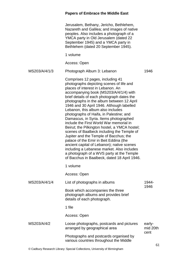| Jerusalem, Bethany, Jericho, Bethlehem,    |
|--------------------------------------------|
| Nazareth and Galilea; and images of native |
| peoples. Also includes a photograph of a   |
| YMCA party in Old Jerusalem (dated 22      |
| September 1945) and a YMCA party in        |
| Bethlehem (dated 20 September 1945).       |
|                                            |

1 volume

Access: Open

| MS203/A/4/1/3 | Photograph Album 3: Lebanon     | 1946 |
|---------------|---------------------------------|------|
|               | Comprisos 12 nagos including 11 |      |

Comprises 12 pages, including 41 photographs depicting scenes of life and places of interest in Lebanon. An accompanying book (MS203/A/4/1/4) with brief details of each photograph dates the photographs in the album between 12 April 1946 and 30 April 1946. Although labelled Lebanon, this album also includes photographs of Haifa, in Palestine; and Damascus, in Syria. Items photographed include the First World War memorial in Beirut; the Pilkington hostel, a YMCA hostel; scenes of Baalbeck including the Temple of Jupiter and the Temple of Bacchus; the palace of the Emir in Beit Eddina (the ancient capital of Lebanon); native scenes including a Lebanese market. Also includes a photograph of a WVS party at the Temple of Bacchus in Baalbeck, dated 18 April 1946.

1 volume

Access: Open

| MS203/A/4/1/4 | List of photographs in albums                                                                           | 1944-<br>1946      |
|---------------|---------------------------------------------------------------------------------------------------------|--------------------|
|               | Book which accompanies the three<br>photograph albums and provides brief<br>details of each photograph. |                    |
|               | 1 file                                                                                                  |                    |
|               | Access: Open                                                                                            |                    |
| MS203/A/4/2   | Loose photographs, postcards and pictures<br>arranged by geographical area                              | early-<br>mid 20th |
|               | Photographs and postcards organised by<br>various countries throughout the Middle                       | cent               |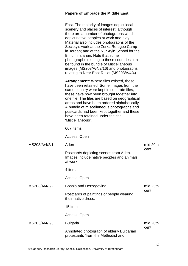|               | East. The majority of images depict local<br>scenery and places of interest, although<br>there are a number of photographs which<br>depict native peoples at work and play.<br>Material also includes photographs of the<br>Society's work at the Zerka Refugee Camp<br>in Jordan; and at the Nur Ayin School for the<br>Blind in Isfahan. Note that some<br>photographs relating to these countries can<br>be found in the bundle of Miscellaneous<br>images (MS203/A/4/2/16) and photographs<br>relating to Near East Relief (MS203/A/4/4). |          |
|---------------|-----------------------------------------------------------------------------------------------------------------------------------------------------------------------------------------------------------------------------------------------------------------------------------------------------------------------------------------------------------------------------------------------------------------------------------------------------------------------------------------------------------------------------------------------|----------|
|               | <b>Arrangement:</b> Where files existed, these<br>have been retained. Some images from the<br>same country were kept in separate files,<br>these have now been brought together into<br>one file. The files are based on geographical<br>areas and have been ordered alphabetically.<br>A bundle of miscellaneous photographs and<br>postcards had been kept together and these<br>have been retained under the title<br>'Miscellaneous'.                                                                                                     |          |
|               | 667 items                                                                                                                                                                                                                                                                                                                                                                                                                                                                                                                                     |          |
|               | Access: Open                                                                                                                                                                                                                                                                                                                                                                                                                                                                                                                                  |          |
| MS203/A/4/2/1 | Aden                                                                                                                                                                                                                                                                                                                                                                                                                                                                                                                                          | mid 20th |
|               | Postcards depicting scenes from Aden.<br>Images include native peoples and animals<br>at work.                                                                                                                                                                                                                                                                                                                                                                                                                                                | cent     |
|               | 4 items                                                                                                                                                                                                                                                                                                                                                                                                                                                                                                                                       |          |
|               | Access: Open                                                                                                                                                                                                                                                                                                                                                                                                                                                                                                                                  |          |
| MS203/A/4/2/2 | Bosnia and Herzegovina                                                                                                                                                                                                                                                                                                                                                                                                                                                                                                                        | mid 20th |
|               | Postcards of paintings of people wearing<br>their native dress.                                                                                                                                                                                                                                                                                                                                                                                                                                                                               | cent     |
|               | 15 items                                                                                                                                                                                                                                                                                                                                                                                                                                                                                                                                      |          |
|               | Access: Open                                                                                                                                                                                                                                                                                                                                                                                                                                                                                                                                  |          |
| MS203/A/4/2/3 | <b>Bulgaria</b>                                                                                                                                                                                                                                                                                                                                                                                                                                                                                                                               | mid 20th |
|               | Annotated photograph of elderly Bulgarian<br>protestants 'from the Methodist and                                                                                                                                                                                                                                                                                                                                                                                                                                                              | cent     |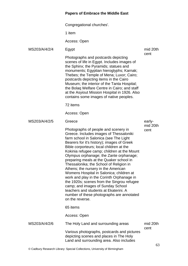Congregational churches'.

1 item

Access: Open

MS203/A/4/2/4 Egypt

Photographs and postcards depicting scenes of life in Egypt. Includes images of the Sphinx; the Pyramids; statues and monuments; Egyptian hieroglyphs; Karnak; Thebes; the Temple of Mena; Luxor; Cairo; postcards depicting items in the Cairo Museum; the interior of the Tanta Hospital; the Bolaq Welfare Centre in Cairo; and staff at the Asyiout Mission Hospital in 1926. Also contains some images of native peoples.

72 items

Access: Open

MS203/A/4/2/5 Greece

Photographs of people and scenery in Greece. Includes images of Thessaloniki farm school in Salonica (see The Light Bearers for it's history); images of Greek Bible corporteurs; local children at the Kokinia refugee camp; children at the Mount Olympus orphanage; the Zante orphanage; preparing meals at the Quaker school in Thessalonika; the School of Religion in Athens; the nursery in the American Womens Hospital in Salonica; children at work and play in the Corinth Orphanage in the 1920s; scenes from the Singrou refugee camp; and images of Sunday School teachers and students at Ekaterini. A number of these photographs are annotated on the reverse.

65 items

Access: Open

| MS203/A/4/2/6 | The Holy Land and surrounding areas         | mid 20th |
|---------------|---------------------------------------------|----------|
|               |                                             | cent     |
|               | Various photographs, postcards and pictures |          |
|               | depicting scenes and places in The Holy     |          |
|               | Land and surrounding area. Also includes    |          |

mid 20th cent

earlymid 20th cent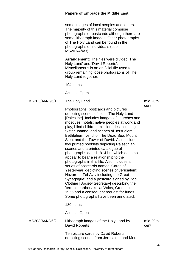#### **Papers of Embrace the Middle East** some images of local peoples and lepers. The majority of this material comprise photographs or postcards although there are some lithograph images. Other photographs of The Holy Land can be found in the photographs of individuals (see MS203/A/4/3). **Arrangement:** The files were divided 'The Holy Land' and 'David Roberts'. Miscellaneous is an artificial file used to group remaining loose photographs of The Holy Land together. 194 items Access: Open MS203/A/4/2/6/1 The Holy Land Photographs, postcards and pictures depicting scenes of life in The Holy Land [Palestine]. Includes images of churches and mosques; hotels; native peoples at work and play; blind children; missionaries including Sister Joanna; and scenes of Jersualem; Bethlehem; Jericho; The Dead Sea; Mount Sion; and the Tower of David. Also includes two printed booklets depicting Palestinian scenes and a printed catalogue of photographs dated 1914 but which does not appear to bear a relationship to the photographs in this file. Also includes a series of postcards named 'Cards of Yesteryear' depicting scenes of Jerusalem; Nazareth; Tel-Aviv including the Great Synagogue; and a postcard signed by Bob Clothier [Society Secretary] describing the 'terrible earthquake' at Volos, Greece in 1955 and a consequent request for funds. Some photographs have been annotated. 180 items Access: Open mid 20th cent MS203/A/4/2/6/2 Lithograph images of the Holy Land by David Roberts Ten picture cards by David Roberts, depicting scenes from Jerusalem and Mount mid 20th cent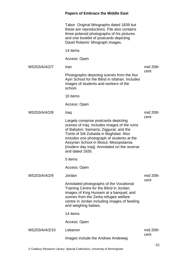|                | <b>Papers of Embrace the Middle East</b>                                                                                                                                                                                                                                                                                         |                  |
|----------------|----------------------------------------------------------------------------------------------------------------------------------------------------------------------------------------------------------------------------------------------------------------------------------------------------------------------------------|------------------|
|                | Tabor. Original lithographs dated 1839 but<br>these are reproductions. File also contains<br>three polaroid photographs of his pictures<br>and one booklet of postcards depicting<br>David Roberts' lithograph images.                                                                                                           |                  |
|                | 14 items                                                                                                                                                                                                                                                                                                                         |                  |
|                | Access: Open                                                                                                                                                                                                                                                                                                                     |                  |
| MS203/A/4/2/7  | Iran                                                                                                                                                                                                                                                                                                                             | mid 20th<br>cent |
|                | Photographs depicting scenes from the Nur<br>Ayin School for the Blind in Isfahan. Includes<br>images of students and workers of the<br>school.                                                                                                                                                                                  |                  |
|                | 10 items                                                                                                                                                                                                                                                                                                                         |                  |
|                | Access: Open                                                                                                                                                                                                                                                                                                                     |                  |
| MS203/A/4/2/8  | Iraq                                                                                                                                                                                                                                                                                                                             | mid 20th<br>cent |
|                | Largely comprise postcards depicting<br>scenes of Iraq. Includes images of the ruins<br>of Babylon; Samarra; Ziggurat; and the<br>Tomb of Sitt Zubaida in Baghdad. Also<br>includes one photograph of students at the<br>Assyrian School in Mosul, Mesopotamia<br>[modern day Iraq]. Annotated on the reverse<br>and dated 1926. |                  |
|                | 5 items                                                                                                                                                                                                                                                                                                                          |                  |
|                | Access: Open                                                                                                                                                                                                                                                                                                                     |                  |
| MS203/A/4/2/9  | Jordan                                                                                                                                                                                                                                                                                                                           | mid 20th         |
|                | Annotated photographs of the Vocational<br>Training Centre for the Blind in Jordan;<br>images of King Hussein at a banquet; and<br>scenes from the Zerka refugee welfare<br>centre in Jordan including images of feeding<br>and weighing babies.                                                                                 | cent             |
|                | 14 items                                                                                                                                                                                                                                                                                                                         |                  |
|                | Access: Open                                                                                                                                                                                                                                                                                                                     |                  |
| MS203/A/4/2/10 | Lebanon                                                                                                                                                                                                                                                                                                                          | mid 20th<br>cent |
|                | Images include the Andrew Andeweg                                                                                                                                                                                                                                                                                                |                  |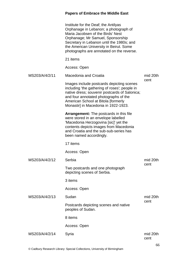|                | Institute for the Deaf; the Antilyas<br>Orphanage in Lebanon; a photograph of<br>Maria Jacobsen of the Birds' Nest<br>Orphanage; Mr Samuel, Sponsorship<br>Secretary in Lebanon until the 1980s; and<br>the American University in Beirut. Some<br>photographs are annotated on the reverse. |                  |
|----------------|----------------------------------------------------------------------------------------------------------------------------------------------------------------------------------------------------------------------------------------------------------------------------------------------|------------------|
|                | 21 items                                                                                                                                                                                                                                                                                     |                  |
|                | Access: Open                                                                                                                                                                                                                                                                                 |                  |
| MS203/A/4/2/11 | Macedonia and Croatia                                                                                                                                                                                                                                                                        | mid 20th         |
|                | Images include postcards depicting scenes<br>including 'the gathering of roses'; people in<br>native dress; souvenir postcards of Salonica;<br>and four annotated photographs of the<br>American School at Bitola [formerly<br>Monastir] in Macedonia in 1922-1923.                          | cent             |
|                | <b>Arrangement:</b> The postcards in this file<br>were stored in an envelope labelled<br>'Macedonia Herzogovina [sic]' yet the<br>contents depicts images from Macedonia<br>and Croatia and the sub-sub-series has<br>been named accordingly.                                                |                  |
|                | 17 items                                                                                                                                                                                                                                                                                     |                  |
|                | Access: Open                                                                                                                                                                                                                                                                                 |                  |
| MS203/A/4/2/12 | Serbia                                                                                                                                                                                                                                                                                       | mid 20th<br>cent |
|                | Two postcards and one photograph<br>depicting scenes of Serbia.                                                                                                                                                                                                                              |                  |
|                | 3 items                                                                                                                                                                                                                                                                                      |                  |
|                | Access: Open                                                                                                                                                                                                                                                                                 |                  |
| MS203/A/4/2/13 | Sudan                                                                                                                                                                                                                                                                                        | mid 20th         |
|                | Postcards depicting scenes and native<br>peoples of Sudan.                                                                                                                                                                                                                                   | cent             |
|                | 8 items                                                                                                                                                                                                                                                                                      |                  |
|                | Access: Open                                                                                                                                                                                                                                                                                 |                  |
| MS203/A/4/2/14 | Syria                                                                                                                                                                                                                                                                                        | mid 20th<br>cent |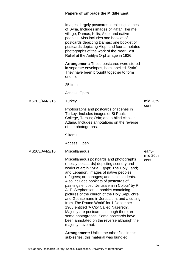|                | <b>Papers of Embrace the Middle East</b>                                                                                                                                                                                                                                                                                                                                                                                                                                                                                                                                                                                                                                                                     |                            |
|----------------|--------------------------------------------------------------------------------------------------------------------------------------------------------------------------------------------------------------------------------------------------------------------------------------------------------------------------------------------------------------------------------------------------------------------------------------------------------------------------------------------------------------------------------------------------------------------------------------------------------------------------------------------------------------------------------------------------------------|----------------------------|
|                | Images, largely postcards, depicting scenes<br>of Syria. Includes images of Kafar Tkerime<br>village; Damas; Killis; Alep; and native<br>peoples. Also includes one booklet of<br>postcards depicting Damas; one booklet of<br>postcards depicting Alep; and four annotated<br>photographs of the work of the Near East<br>Relief at the Antilya Orphanage in 1926.                                                                                                                                                                                                                                                                                                                                          |                            |
|                | <b>Arrangement:</b> These postcards were stored<br>in separate envelopes, both labelled 'Syria'.<br>They have been brought together to form<br>one file.                                                                                                                                                                                                                                                                                                                                                                                                                                                                                                                                                     |                            |
|                | 25 items                                                                                                                                                                                                                                                                                                                                                                                                                                                                                                                                                                                                                                                                                                     |                            |
|                | Access: Open                                                                                                                                                                                                                                                                                                                                                                                                                                                                                                                                                                                                                                                                                                 |                            |
| MS203/A/4/2/15 | Turkey                                                                                                                                                                                                                                                                                                                                                                                                                                                                                                                                                                                                                                                                                                       | mid 20th                   |
|                | Photographs and postcards of scenes in<br>Turkey. Includes images of St Paul's<br>College, Tarsus; Orfa; and a blind class in<br>Adana. Includes annotations on the reverse<br>of the photographs.                                                                                                                                                                                                                                                                                                                                                                                                                                                                                                           | cent                       |
|                | 9 items                                                                                                                                                                                                                                                                                                                                                                                                                                                                                                                                                                                                                                                                                                      |                            |
|                | Access: Open                                                                                                                                                                                                                                                                                                                                                                                                                                                                                                                                                                                                                                                                                                 |                            |
| MS203/A/4/2/16 | <b>Miscellaneous</b>                                                                                                                                                                                                                                                                                                                                                                                                                                                                                                                                                                                                                                                                                         | early-<br>mid 20th<br>cent |
|                | Miscellaneous postcards and photographs<br>(mostly postcards) depicting scenery and<br>works of art in Syria, Egypt; The Holy Land;<br>and Lebanon. Images of native peoples;<br>refugees; orphanages; and bible students.<br>Also includes booklets of postcards of<br>paintings entitled 'Jerusalem in Colour' by P.<br>A. F. Stephenson; a booklet containing<br>pictures of the church of the Holy Sepulchre<br>and Gethsemane in Jerusalem; and a cutting<br>from 'The Round World' for 1 December<br>1908 entitled 'A City Called Nazereth'.<br>Majority are postcards although there are<br>some photographs. Some postcards have<br>been annotated on the reverse although the<br>majority have not. |                            |
|                | <b>Arrangement:</b> Unlike the other files in this<br>sub-series, this material was bundled                                                                                                                                                                                                                                                                                                                                                                                                                                                                                                                                                                                                                  |                            |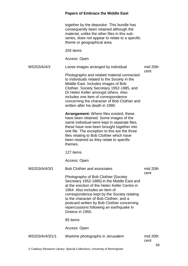together by the depositor. This bundle has consequently been retained although the material, unlike the other files in this subseries, does not appear to relate to a specific theme or geographical area.

204 items

Access: Open

MS203/A/4/3 Loose images arranged by individual

mid 20th cent

Photographs and related material connected to individuals related to the Society in the Middle East. Includes images of Bob Clothier, Society Secretary 1952-1985, and Dr Helen Keller amongst others. Also includes one item of correspondence concerning the character of Bob Clothier and written after his death in 1990.

**Arrangement:** Where files existed, these have been retained. Some images of the same individual were kept in separate files, these have now been brought together into one file. The exception to this are the three files relating to Bob Clothier which have been retained as they relate to specific themes.

127 items

Access: Open

| MS203/A/4/3/1   | <b>Bob Clothier and associates</b>                                                                                                                                                                                                                                                                                                                                              | mid 20th<br>cent |    |
|-----------------|---------------------------------------------------------------------------------------------------------------------------------------------------------------------------------------------------------------------------------------------------------------------------------------------------------------------------------------------------------------------------------|------------------|----|
|                 | Photographs of Bob Clothier [Society]<br>Secretary 1952-1985] in the Middle East and<br>at the erection of the Helen Keller Centre in<br>1964. Also includes an item of<br>correspondence kept by the Society relating<br>to the character of Bob Clothier; and a<br>postcard written by Bob Clothier concerning<br>repercussions following an earthquake in<br>Greece in 1955. |                  |    |
|                 | 85 items                                                                                                                                                                                                                                                                                                                                                                        |                  |    |
|                 | Access: Open                                                                                                                                                                                                                                                                                                                                                                    |                  |    |
| MS203/A/4/3/1/1 | Wartime photographs in Jerusalem                                                                                                                                                                                                                                                                                                                                                | mid 20th<br>cent | 68 |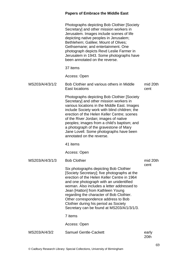|                 | <b>Photographs depicting Bob Clothier [Society</b><br>Secretary] and other mission workers in<br>Jerusalem. Images include scenes of life<br>depicting native peoples in Jerusalem;<br>Bethlehem; Galilee; Mount of Olives;<br>Gethsemane; and entertainment. One<br>photograph depicts Revd Leslie Farmer in<br>Jerusalem in 1943. Some photographs have<br>been annotated on the reverse.                                                             |                  |
|-----------------|---------------------------------------------------------------------------------------------------------------------------------------------------------------------------------------------------------------------------------------------------------------------------------------------------------------------------------------------------------------------------------------------------------------------------------------------------------|------------------|
|                 | 37 items                                                                                                                                                                                                                                                                                                                                                                                                                                                |                  |
|                 | Access: Open                                                                                                                                                                                                                                                                                                                                                                                                                                            |                  |
| MS203/A/4/3/1/2 | Bob Clothier and various others in Middle<br>East locations                                                                                                                                                                                                                                                                                                                                                                                             | mid 20th<br>cent |
|                 | <b>Photographs depicting Bob Clothier [Society</b><br>Secretary] and other mission workers in<br>various locations in the Middle East. Images<br>include Society work with blind children; the<br>erection of the Helen Keller Centre; scenes<br>of the River Jordan; images of native<br>peoples; images from a child's baptism; and<br>a photograph of the gravestone of Mary<br>Jane Lovell. Some photographs have been<br>annotated on the reverse. |                  |
|                 | 41 items                                                                                                                                                                                                                                                                                                                                                                                                                                                |                  |
|                 | Access: Open                                                                                                                                                                                                                                                                                                                                                                                                                                            |                  |
| MS203/A/4/3/1/3 | <b>Bob Clothier</b>                                                                                                                                                                                                                                                                                                                                                                                                                                     | mid 20th         |
|                 | Six photographs depicting Bob Clothier<br>[Society Secretary]; five photographs at the<br>erection of the Helen Keller Centre in 1964<br>and one photograph with an unidentified<br>woman. Also includes a letter addressed to<br>Jean [Hatton] from Kathleen Young<br>regarding the character of Bob Clothier.<br>Other correspondence address to Bob<br>Clothier during his period as Society<br>Secretary can be found at MS203/A/1/3/1/3.           | cent             |
|                 | 7 items                                                                                                                                                                                                                                                                                                                                                                                                                                                 |                  |
|                 | Access: Open                                                                                                                                                                                                                                                                                                                                                                                                                                            |                  |
| MS203/A/4/3/2   | <b>Samuel Gentle-Cackett</b>                                                                                                                                                                                                                                                                                                                                                                                                                            | early<br>20th    |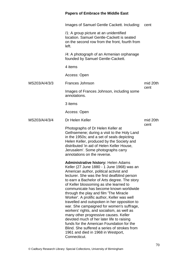|               | <b>Papers of Embrace the Middle East</b>                                                                                                                                                                                                                                                                                                                                                                                                                                                                                                                                                                                                                                                                                                                                                             |          |
|---------------|------------------------------------------------------------------------------------------------------------------------------------------------------------------------------------------------------------------------------------------------------------------------------------------------------------------------------------------------------------------------------------------------------------------------------------------------------------------------------------------------------------------------------------------------------------------------------------------------------------------------------------------------------------------------------------------------------------------------------------------------------------------------------------------------------|----------|
|               | Images of Samuel Gentle Cackett. Including:                                                                                                                                                                                                                                                                                                                                                                                                                                                                                                                                                                                                                                                                                                                                                          | cent     |
|               | /1: A group picture at an unidentified<br>location. Samuel Gentle-Cackett is seated<br>on the second row from the front, fourth from<br>left.                                                                                                                                                                                                                                                                                                                                                                                                                                                                                                                                                                                                                                                        |          |
|               | /4: A photograph of an Armenian orphanage<br>founded by Samuel Gentle-Cackett.                                                                                                                                                                                                                                                                                                                                                                                                                                                                                                                                                                                                                                                                                                                       |          |
|               | 4 items                                                                                                                                                                                                                                                                                                                                                                                                                                                                                                                                                                                                                                                                                                                                                                                              |          |
|               | Access: Open                                                                                                                                                                                                                                                                                                                                                                                                                                                                                                                                                                                                                                                                                                                                                                                         |          |
| MS203/A/4/3/3 | Frances Johnson                                                                                                                                                                                                                                                                                                                                                                                                                                                                                                                                                                                                                                                                                                                                                                                      | mid 20th |
|               | Images of Frances Johnson, including some<br>annotations.                                                                                                                                                                                                                                                                                                                                                                                                                                                                                                                                                                                                                                                                                                                                            | cent     |
|               | 3 items                                                                                                                                                                                                                                                                                                                                                                                                                                                                                                                                                                                                                                                                                                                                                                                              |          |
|               | Access: Open                                                                                                                                                                                                                                                                                                                                                                                                                                                                                                                                                                                                                                                                                                                                                                                         |          |
| MS203/A/4/3/4 | Dr Helen Keller                                                                                                                                                                                                                                                                                                                                                                                                                                                                                                                                                                                                                                                                                                                                                                                      | mid 20th |
|               | Photographs of Dr Helen Keller at<br>Gethsemene; during a visit to the Holy Land<br>in the 1950s; and a set of seals depicting<br>Helen Keller, produced by the Society and<br>distributed 'in aid of Helen Keller House,<br>Jerusalem'. Some photographs carry<br>annotations on the reverse.                                                                                                                                                                                                                                                                                                                                                                                                                                                                                                       | cent     |
|               | <b>Administrative history: Helen Adams</b><br>Keller (27 June 1880 - 1 June 1968) was an<br>American author, political activist and<br>lecturer. She was the first deafblind person<br>to earn a Bachelor of Arts degree. The story<br>of Keller blossoming as she learned to<br>communicate has become known worldwide<br>through the play and film 'The Miracle<br>Worker'. A prolific author, Keller was well<br>travelled and outspoken in her opposition to<br>war. She campaigned for women's suffrage,<br>workers' rights, and socialism, as well as<br>many other progressive causes. Keller<br>devoted much of her later life to raising<br>funds for the American Foundation for the<br>Blind. She suffered a series of strokes from<br>1961 and died in 1968 in Westport,<br>Connecticut. |          |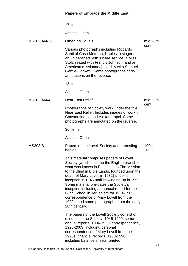|                | 17 items                                                                                                                                                                                                                                                                                                                                                                                                                                                                                                                           |               |
|----------------|------------------------------------------------------------------------------------------------------------------------------------------------------------------------------------------------------------------------------------------------------------------------------------------------------------------------------------------------------------------------------------------------------------------------------------------------------------------------------------------------------------------------------------|---------------|
|                | Access: Open                                                                                                                                                                                                                                                                                                                                                                                                                                                                                                                       |               |
| MS203/A/4/3/5  | Other individuals                                                                                                                                                                                                                                                                                                                                                                                                                                                                                                                  | mid 20th      |
|                | Various photographs including Riccardo<br>Santi of Casa Meterna, Naples; a singer at<br>an unidentified 50th jubilee service; a Miss<br>Stolz seated with Francis Johnson; and an<br>American missionary [possibly with Samuel<br>Gentle-Cackett]. Some photographs carry<br>annotations on the reverse.                                                                                                                                                                                                                           | cent          |
|                | 18 items                                                                                                                                                                                                                                                                                                                                                                                                                                                                                                                           |               |
|                | Access: Open                                                                                                                                                                                                                                                                                                                                                                                                                                                                                                                       |               |
| MS203/A/4/4    | <b>Near East Relief</b>                                                                                                                                                                                                                                                                                                                                                                                                                                                                                                            | mid 20th      |
|                | Photographs of Society work under the title<br>Near East Relief. Includes images of work in<br>Constantinople and Alexandropol. Some<br>photographs are annotated on the reverse.                                                                                                                                                                                                                                                                                                                                                  | cent          |
|                | 36 items                                                                                                                                                                                                                                                                                                                                                                                                                                                                                                                           |               |
|                | Access: Open                                                                                                                                                                                                                                                                                                                                                                                                                                                                                                                       |               |
| <b>MS203/B</b> | Papers of the Lovell Society and preceding<br>bodies                                                                                                                                                                                                                                                                                                                                                                                                                                                                               | 1904-<br>2003 |
|                | This material comprises papers of Lovell<br>Society [which became the English branch of<br>what was known in Palestine as The Mission<br>to the Blind in Bible Lands, founded upon the<br>death of Mary Lovell in 1932] since its<br>inception in 1946 until its winding-up in 1999.<br>Some material pre-dates the Society's<br>inception including an annual report for the<br>Blind School in Jerusalem for 1904-1905;<br>correspondence of Mary Lovell from the<br>1920s; and some photographs from the early<br>20th century. |               |
|                | The papers of the Lovell Society consist of<br>minutes of the Society, 1946-1999; some<br>annual reports, 1904-1958; correspondence,<br>1920-2003, including personal<br>correspondence of Mary Lovell from the<br>1920s; financial records, 1963-1998,<br>including balance sheets; printed                                                                                                                                                                                                                                       |               |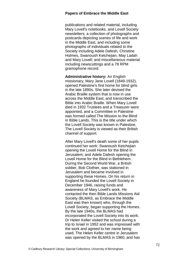publications and related material, including Mary Lovell's notebooks, and Lovell Society newsletters; a collection of photographs and postcards depicting scenes of life and work in the Middle East, and including some photographs of individuals related to the Society including Adele Dafesh, Christine Holmes, Swanoush Ketchejian, May Ladah and Mary Lovell; and miscellaneous material including newscuttings and a 78 RPM gramophone record.

**Administrative history:** An English missionary, Mary Jane Lovell (1849-1932), opened Palestine's first home for blind girls in the late 1890s. She later devised the Arabic Braille system that is now in use across the Middle East, and transcribed the Bible into Arabic Braille. When Mary Lovell died in 1932 Trustees and a Treasurer were appointed, and a Committee in Palestine was formed called The Mission to the Blind in Bible Lands. This is the title under which the Lovell Society was known in Palestine. The Lovell Society is viewed as their British channel of support.

After Mary Lovell's death some of her pupils continued her work: Swanoush Ketchejian opening the Lovell Home for the Blind in Jerusalem; and Adele Dafesh opening the Lovell Home for the Blind in Bethlehem. During the Second World War, a British soldier, Bob Clothier, was stationed in Jerusalem and became involved in supporting these Homes. On his return in England he founded the Lovell Society in December 1946, raising funds and awareness of Mary Lovell's work. He contacted the then Bible Lands Missions Aid Society (BLMAS, as Embrace the Middle East was then known) who, through the Lovell Society, began supporting the Homes. By the late 1940s, the BLMAS had incorporated the Lovell Society into its work. Dr Helen Keller visited the school during a trip to Israel in 1952 and was impressed with the work and agreed to her name being used. The Helen Keller centre in Jerusalem was opened by the BLMAS in 1960, and has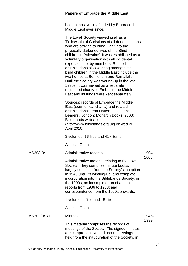been almost wholly funded by Embrace the Middle East ever since.

|             | The Lovell Society viewed itself as a<br>'Fellowship of Christians of all denominations<br>who are striving to bring Light into the<br>physically darkened lives of the Blind<br>children in Palestine'. It was established as a<br>voluntary organisation with all incidental<br>expenses met by members. Related<br>organisations also working amongst the<br>blind children in the Middle East include the<br>two homes at Bethlehem and Ramallah.<br>Until the Society was wound-up in the late<br>1990s, it was viewed as a separate<br>registered charity to Embrace the Middle<br>East and its funds were kept separately. |               |
|-------------|-----------------------------------------------------------------------------------------------------------------------------------------------------------------------------------------------------------------------------------------------------------------------------------------------------------------------------------------------------------------------------------------------------------------------------------------------------------------------------------------------------------------------------------------------------------------------------------------------------------------------------------|---------------|
|             | Sources: records of Embrace the Middle<br>East (ecumenical charity) and related<br>organisations; Jean Hatton, 'The Light<br>Bearers', London: Monarch Books, 2003;<br><b>BibleLands website</b><br>(http://www.biblelands.org.uk) viewed 20<br>April 2010.                                                                                                                                                                                                                                                                                                                                                                       |               |
|             | 3 volumes, 16 files and 417 items                                                                                                                                                                                                                                                                                                                                                                                                                                                                                                                                                                                                 |               |
|             | Access: Open                                                                                                                                                                                                                                                                                                                                                                                                                                                                                                                                                                                                                      |               |
| MS203/B/1   | Administrative records                                                                                                                                                                                                                                                                                                                                                                                                                                                                                                                                                                                                            | 1904-<br>2003 |
|             | Administrative material relating to the Lovell<br>Society. They comprise minute books,<br>largely complete from the Society's inception<br>in 1946 until it's winding-up, and complete<br>incorporation into the BibleLands Society, in<br>the 1990s; an incomplete run of annual<br>reports from 1936 to 1958; and<br>correspondence from the 1920s onwards.                                                                                                                                                                                                                                                                     |               |
|             | 1 volume, 4 files and 151 items                                                                                                                                                                                                                                                                                                                                                                                                                                                                                                                                                                                                   |               |
|             | Access: Open                                                                                                                                                                                                                                                                                                                                                                                                                                                                                                                                                                                                                      |               |
| MS203/B/1/1 | <b>Minutes</b>                                                                                                                                                                                                                                                                                                                                                                                                                                                                                                                                                                                                                    | 1946-<br>1999 |
|             | This material comprises the records of<br>meetings of the Society. The signed minutes<br>are comprehensive and record meetings<br>held from the inauguration of the Society, in                                                                                                                                                                                                                                                                                                                                                                                                                                                   |               |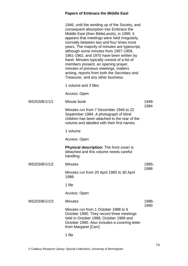|               | 1946, until the winding up of the Society, and<br>consequent absorption into Embrace the<br>Middle East (then BibleLands), in 1999. It<br>appears that meetings were held irregularly,<br>normally between two and four times most<br>years. The majority of minutes are typescript,<br>although some minutes from 1957-1959,<br>1961-1962, and 1970 have been written by<br>hand. Minutes typically consist of a list of<br>members present, an opening prayer,<br>minutes of previous meetings, matters<br>arising, reports from both the Secretary and<br>Treasurer, and any other business. |               |
|---------------|-------------------------------------------------------------------------------------------------------------------------------------------------------------------------------------------------------------------------------------------------------------------------------------------------------------------------------------------------------------------------------------------------------------------------------------------------------------------------------------------------------------------------------------------------------------------------------------------------|---------------|
|               | 1 volume and 3 files                                                                                                                                                                                                                                                                                                                                                                                                                                                                                                                                                                            |               |
|               | Access: Open                                                                                                                                                                                                                                                                                                                                                                                                                                                                                                                                                                                    |               |
| MS203/B/1/1/1 | Minute book                                                                                                                                                                                                                                                                                                                                                                                                                                                                                                                                                                                     | 1946-<br>1984 |
|               | Minutes run from 7 December 1946 to 22<br>September 1984. A photograph of blind<br>children has been attached to the rear of the<br>volume and labelled with their first names.                                                                                                                                                                                                                                                                                                                                                                                                                 |               |
|               | 1 volume                                                                                                                                                                                                                                                                                                                                                                                                                                                                                                                                                                                        |               |
|               | Access: Open                                                                                                                                                                                                                                                                                                                                                                                                                                                                                                                                                                                    |               |
|               | <b>Physical description:</b> The front cover is<br>detached and this volume needs careful<br>handling.                                                                                                                                                                                                                                                                                                                                                                                                                                                                                          |               |
| MS203/B/1/1/2 | <b>Minutes</b>                                                                                                                                                                                                                                                                                                                                                                                                                                                                                                                                                                                  | 1985-         |
|               | Minutes run from 20 April 1985 to 30 April<br>1988.                                                                                                                                                                                                                                                                                                                                                                                                                                                                                                                                             | 1988          |
|               | 1 file                                                                                                                                                                                                                                                                                                                                                                                                                                                                                                                                                                                          |               |
|               | Access: Open                                                                                                                                                                                                                                                                                                                                                                                                                                                                                                                                                                                    |               |
| MS203/B/1/1/3 | <b>Minutes</b>                                                                                                                                                                                                                                                                                                                                                                                                                                                                                                                                                                                  | 1988-<br>1990 |
|               | Minutes run from 1 October 1988 to 6<br>October 1990. They record three meetings<br>held in October 1988, October 1989 and<br>October 1990. Also includes a covering letter<br>from Margaret [Carr].                                                                                                                                                                                                                                                                                                                                                                                            |               |
|               |                                                                                                                                                                                                                                                                                                                                                                                                                                                                                                                                                                                                 |               |

1 file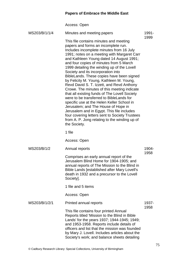Access: Open

| MS203/B/1/1/4 | Minutes and meeting papers                                                                                                                                                                                                                                                                                                                                                                                                                                                                                                                                                                                                                                                                                                                                                                                                                                                                   | 1991-         |
|---------------|----------------------------------------------------------------------------------------------------------------------------------------------------------------------------------------------------------------------------------------------------------------------------------------------------------------------------------------------------------------------------------------------------------------------------------------------------------------------------------------------------------------------------------------------------------------------------------------------------------------------------------------------------------------------------------------------------------------------------------------------------------------------------------------------------------------------------------------------------------------------------------------------|---------------|
|               | This file contains minutes and meeting<br>papers and forms an incomplete run.<br>Includes incomplete minutes from 16 July<br>1991; notes on a meeting with Margaret Carr<br>and Kathleen Young dated 14 August 1991;<br>and four copies of minutes from 5 March<br>1999 detailing the winding up of the Lovell<br>Society and its incorporation into<br>BibleLands. These copies have been signed<br>by Felicity M. Young, Kathleen M. Young,<br>Revd David S. T. Izzett, and Revd Anthony<br>Crowe. The minutes of this meeting indicate<br>that all existing funds of The Lovell Society<br>were to be transferred to BibleLands for<br>specific use at the Helen Keller School in<br>Jerusalem; and The House of Hope in<br>Jerusalem and in Egypt. This file includes<br>four covering letters sent to Society Trustees<br>from A. P. Jong relating to the winding up of<br>the Society. | 1999          |
|               | 1 file                                                                                                                                                                                                                                                                                                                                                                                                                                                                                                                                                                                                                                                                                                                                                                                                                                                                                       |               |
|               | Access: Open                                                                                                                                                                                                                                                                                                                                                                                                                                                                                                                                                                                                                                                                                                                                                                                                                                                                                 |               |
| MS203/B/1/2   | Annual reports                                                                                                                                                                                                                                                                                                                                                                                                                                                                                                                                                                                                                                                                                                                                                                                                                                                                               | 1904-<br>1958 |
|               | Comprises an early annual report of the<br>Jerusalem Blind Home for 1904-1905; and<br>annual reports of The Mission to the Blind in<br>Bible Lands [established after Mary Lovell's<br>death in 1932 and a precursor to the Lovell<br>Society].                                                                                                                                                                                                                                                                                                                                                                                                                                                                                                                                                                                                                                              |               |
|               | 1 file and 5 items                                                                                                                                                                                                                                                                                                                                                                                                                                                                                                                                                                                                                                                                                                                                                                                                                                                                           |               |
|               | Access: Open                                                                                                                                                                                                                                                                                                                                                                                                                                                                                                                                                                                                                                                                                                                                                                                                                                                                                 |               |
| MS203/B/1/2/1 | Printed annual reports                                                                                                                                                                                                                                                                                                                                                                                                                                                                                                                                                                                                                                                                                                                                                                                                                                                                       | 1937-         |
|               | This file contains four printed Annual<br>Reports titled 'Mission to the Blind in Bible<br>Lands' for the years 1937; 1944-1945; 1949;<br>and 1953-1958. Reports include details of<br>officers and list that the mission was founded<br>by Mary J. Lovell. Includes articles about the<br>Society's work; and balance sheets detailing                                                                                                                                                                                                                                                                                                                                                                                                                                                                                                                                                      | 1958          |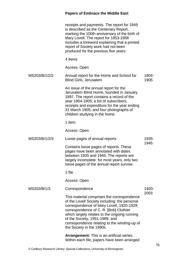|               | receipts and payments. The report for 1949<br>is described as the Centenary Report,<br>marking the 100th anniversary of the birth of<br>Mary Lovell. The report for 1953-1958<br>includes a foreword explaining that a printed<br>report of Society work had not been<br>produced for the previous five years.                                    |               |
|---------------|---------------------------------------------------------------------------------------------------------------------------------------------------------------------------------------------------------------------------------------------------------------------------------------------------------------------------------------------------|---------------|
|               | 4 items                                                                                                                                                                                                                                                                                                                                           |               |
|               | Access: Open                                                                                                                                                                                                                                                                                                                                      |               |
| MS203/B/1/2/2 | Annual report for the Home and School for<br><b>Blind Girls, Jerusalem</b>                                                                                                                                                                                                                                                                        | 1904-<br>1905 |
|               | An issue of the annual report for the<br>Jerusalem Blind Home, founded in January<br>1897. The report contains a record of the<br>year 1904-1905; a list of subscribers;<br>receipts and expenditure for the year ending<br>31 March 1905; and four photographs of<br>children studying in the home.                                              |               |
|               | 1 item                                                                                                                                                                                                                                                                                                                                            |               |
|               | Access: Open                                                                                                                                                                                                                                                                                                                                      |               |
| MS203/B/1/2/3 | Loose pages of annual reports                                                                                                                                                                                                                                                                                                                     | 1935-<br>1945 |
|               | Contains loose pages of reports. These<br>pages have been annotated with dates<br>between 1935 and 1945. The reports are<br>largely incomplete: for most years, only two<br>loose pages of the annual report survive.                                                                                                                             |               |
|               | 1 file                                                                                                                                                                                                                                                                                                                                            |               |
|               | Access: Open                                                                                                                                                                                                                                                                                                                                      |               |
| MS203/B/1/3   | Correspondence                                                                                                                                                                                                                                                                                                                                    | 1920-         |
|               | This material comprises the correspondence<br>of the Lovell Society including: the personal<br>correspondence of Mary Lovell, 1920-1929;<br>correspondence of C. R. [Bob] Clothier<br>which largely relates to the ongoing running<br>of the Society, 1951-1989; and<br>correspondence relating to the winding-up of<br>the Society in the 1990s. | 2003          |
|               | <b>Arrangement:</b> This is an artificial series.                                                                                                                                                                                                                                                                                                 |               |

Within each file, papers have been arranged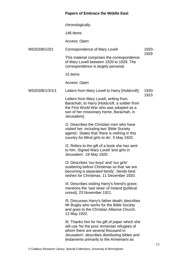chronologically.

146 items

Access: Open

MS203/B/1/3/1 Correspondence of Mary Lovell 1920- 1929

> This material comprises the correspondence of Mary Lovell between 1920 to 1929. The correspondence is largely personal.

15 items

Access: Open

#### MS203/B/1/3/1/1 Letters from Mary Lovell to Harry [Holdcroft] 1920-

1923

Letters from Mary Lovell, writing from Barachah, to Harry [Holdcroft, a soldier from the First World War who was adopted as a son of her missionary home, Barachah, in Jerusalem]:

/1: Describes the Christian men who have visited her, including two 'Bible Society agents'. States that 'there is nothing in this country for Blind girls to do'. 5 May 1920.

/2: Refers to the gift of a book she has sent to him. Signed Mary Lovell 'and girls in Jerusalem'. 18 May 1920.

/3: Describes 'our boys' and 'our girls' scattering before Christmas so that 'we are becoming a separated family'. Sends best wishes for Christmas. 11 December 1920.

/4: Describes visiting Harry's friend's grave; mentions the 'sad news' of Ireland [political unrest]. 23 November 1921.

/5: Discusses Harry's father death; describes Mr Bugby who works for the Bible Society and goes to the Christian Alliance Church. 12 May 1922.

/6: Thanks him for his gift of paper which she will use 'for the poor Armenian refugees of whom there are several thousand in Jerusalem'; describes distributing bibles and testaments primarily to the Armenians as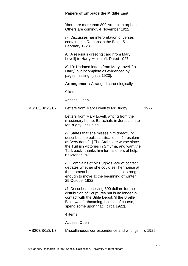|                 | <b>Papers of Embrace the Middle East</b>                                                                                                                                                                                                                         |        |
|-----------------|------------------------------------------------------------------------------------------------------------------------------------------------------------------------------------------------------------------------------------------------------------------|--------|
|                 | 'there are more than 800 Armenian orphans.<br>Others are coming'. 4 November 1922.                                                                                                                                                                               |        |
|                 | /7: Discusses her interpretation of verses<br>contained in Romans in the Bible. 5<br>February 1923.                                                                                                                                                              |        |
|                 | /8: A religious greeting card [from Mary<br>Lovell] to Harry Holdcroft. Dated 1927.                                                                                                                                                                              |        |
|                 | /9-10: Undated letters from Mary Lovell [to<br>Harry] but incomplete as evidenced by<br>pages missing. [circa 1920].                                                                                                                                             |        |
|                 | <b>Arrangement:</b> Arranged chronologically.                                                                                                                                                                                                                    |        |
|                 | 9 items                                                                                                                                                                                                                                                          |        |
|                 | Access: Open                                                                                                                                                                                                                                                     |        |
| MS203/B/1/3/1/2 | Letters from Mary Lovell to Mr Bugby                                                                                                                                                                                                                             | 1922   |
|                 | Letters from Mary Lovell, writing from the<br>missionary home, Barachah, in Jerusalem to<br>Mr Bugby. Including:                                                                                                                                                 |        |
|                 | /2: States that she misses him dreadfully;<br>describes the political situation in Jerusalem<br>as 'very dark [] The Arabs are worse since<br>the Turkish victories in Smyrna, and want the<br>Turk back'; thanks him for his offers of help.<br>6 October 1922. |        |
|                 | /3: Complains of Mr Bugby's lack of contact;<br>debates whether she could sell her house at<br>the moment but suspects she is not strong<br>enough to move at the beginning of winter.<br>25 October 1922.                                                       |        |
|                 | /4: Describes receiving 500 dollars for the<br>distribution of Scriptures but is no longer in<br>contact with the Bible Depot: 'if the Braille<br>Bible was forthcoming, I could, of course,<br>spend some upon that'. [circa 1922].                             |        |
|                 | 4 items                                                                                                                                                                                                                                                          |        |
|                 | Access: Open                                                                                                                                                                                                                                                     |        |
| MS203/B/1/3/1/3 | Miscellaneous correspondence and writings                                                                                                                                                                                                                        | c 1929 |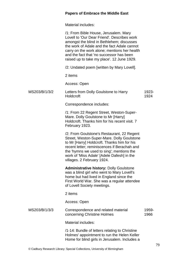Material includes:

|               | /1: From Bible House, Jerusalem. Mary<br>Lovell to 'Our Dear Friend'. Describes work<br>amongst the blind in Bethlehem; discusses<br>the work of Adale and the fact Adale cannot<br>carry on the work alone; mentions her health<br>and the fact that 'no successor has been<br>raised up to take my place'. 12 June 1929. |               |
|---------------|----------------------------------------------------------------------------------------------------------------------------------------------------------------------------------------------------------------------------------------------------------------------------------------------------------------------------|---------------|
|               | /2: Undated poem [written by Mary Lovell].                                                                                                                                                                                                                                                                                 |               |
|               | 2 items                                                                                                                                                                                                                                                                                                                    |               |
|               | Access: Open                                                                                                                                                                                                                                                                                                               |               |
| MS203/B/1/3/2 | Letters from Dolly Goulstone to Harry<br>Holdcroft                                                                                                                                                                                                                                                                         | 1923-<br>1924 |
|               | Correspondence includes:                                                                                                                                                                                                                                                                                                   |               |
|               | /1: From 22 Regent Street, Weston-Super-<br>Mare. Dolly Goulstone to Mr [Harry]<br>Holdcroft. Thanks him for his recent visit. 7<br>February 1923.                                                                                                                                                                         |               |
|               | /2: From Goulstone's Restaurant, 22 Regent<br>Street, Weston-Super-Mare. Dolly Goulstone<br>to Mr [Harry] Holdcroft. Thanks him for his<br>recent letter; reminiscences if Berachah and<br>the 'hymns we used to sing'; mentions the<br>work of 'Miss Adale' [Adele Dafesh] in the<br>villages. 2 February 1924.           |               |
|               | <b>Administrative history: Dolly Goulstone</b><br>was a blind girl who went to Mary Lovell's<br>home but had lived in England since the<br>First World War. She was a regular attendee<br>of Lovell Society meetings.                                                                                                      |               |
|               | 2 items                                                                                                                                                                                                                                                                                                                    |               |
|               | Access: Open                                                                                                                                                                                                                                                                                                               |               |
| MS203/B/1/3/3 | Correspondence and related material<br>concerning Christine Holmes                                                                                                                                                                                                                                                         | 1959-<br>1966 |
|               | Material includes:                                                                                                                                                                                                                                                                                                         |               |
|               | /1-14: Bundle of letters relating to Christine<br>Holmes' appointment to run the Helen Keller<br>Home for blind girls in Jerusalem. Includes a                                                                                                                                                                             |               |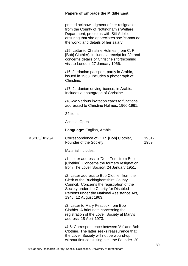printed acknowledgment of her resignation from the County of Nottingham's Welfare Department; problems with Sitt Adele, ensuring that she appreciates she 'cannot do the work'; and details of her salary.

/15: Letter to Christine Holmes [from C. R. [Bob] Clothier]. Includes a receipt for £2; and concerns details of Christine's forthcoming visit to London. 27 January 1966.

/16: Jordanian passport, partly in Arabic, issued in 1963. Includes a photograph of Christine.

/17: Jordanian driving license, in Arabic. Includes a photograph of Christine.

/18-24: Various invitation cards to functions, addressed to Christine Holmes. 1960-1961.

24 items

Access: Open

**Language:** English, Arabic

MS203/B/1/3/4 Correspondence of C. R. [Bob] Clothier, Founder of the Society 1951- 1989

Material includes:

/1: Letter address to 'Dear Tom' from Bob [Clothier]. Concerns the formers resignation from The Lovell Society. 24 January 1951.

/2: Letter address to Bob Clothier from the Clerk of the Buckinghamshire County Council. Concerns the registration of the Society under the Charity for Disabled Persons under the National Assistance Act, 1948. 12 August 1963.

/3: Letter to Mary Peacock from Bob Clothier. A brief note concerning the registration of the Lovell Society at Mary's address. 18 April 1973.

/4-5: Correspondence between 'Alf' and Bob Clothier. The latter seeks reassurance that the Lovell Society will not be wound-up without first consulting him, the Founder. 20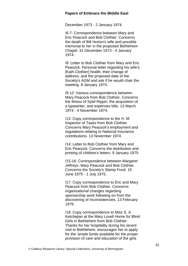December 1973 - 2 January 1974.

/6-7: Correspondence between Mary and Eric Peacock and Bob Clothier. Concerns the death of Bill Horton's wife and possible memorial to her in the proposed Bethlehem Chapel. 31 December 1973 - 4 January 1974.

/8: Letter to Bob Clothier from Mary and Eric Peacock. Personal letter regarding his wife's [Kath Clothier] health; their change of address; and the proposed date of the Society's AGM and ask if he would chair the meeting. 8 January 1974.

/9-12: Various correspondence between Mary Peacock from Bob Clothier. Concerns the illness of Sybil Rippin; the acquisition of a typewriter; and expenses bills. 13 March 1974 - 4 November 1974.

/13: Copy correspondence to the H. M. Inspector of Taxes from Bob Clothier. Concerns Mary Peacock's employment and regulations relating to National Insurance contributions. 13 November 1974.

/14: Letter to Bob Clothier from Mary and Eric Peacock. Concerns the distribution and printing of children's letters. 9 January 1975.

/15-16: Correspondence between Margaret Jeffreys, Mary Peacock and Bob Clothier. Concerns the Society's Stamp Fund. 15 June 1975 - 1 July 1975.

/17: Copy correspondence to Eric and Mary Peacock from Bob Clothier. Concerns organisational changes regarding sponsorship work following on from the discovering of inconsistencies. 13 February 1976.

/18: Copy correspondence to Miss S. A. Ketchejian at the Mary Lovell Home for Blind Girls in Bethlehem from Bob Clothier. Thanks for her hospitality during his recent visit to Bethlehem; encourages her to apply for the 'ample funds available for the proper provision of care and education of the girls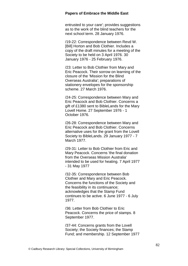entrusted to your care'; provides suggestions as to the work of the blind teachers for the next school term. 28 January 1976.

/19-22: Correspondence between Revd W. [Bill] Horton and Bob Clothier. Includes a copy of the draft minutes for a meeting of the Society to be held on 3 April 1976. 30 January 1976 - 25 February 1976.

/23: Letter to Bob Clothier from Mary and Eric Peacock. Their sorrow on learning of the closure of the 'Mission for the Blind Overseas Australia'; preparations of stationery envelopes for the sponsorship scheme. 27 March 1976.

/24-25: Correspondence between Mary and Eric Peacock and Bob Clothier. Concerns a gift of £1380 sent to BibleLands for the Mary Lovell Home. 27 September 1976 - 1 October 1976.

/26-28: Correspondence between Mary and Eric Peacock and Bob Clothier. Concerns alternative uses for the grant from the Lovell Society to BibleLands. 29 January 1977 - 7 March 1977.

/29-31: Letter to Bob Clothier from Eric and Mary Peacock. Concerns 'the final donation from the Overseas Mission Australia' intended to be used for heating. 7 April 1977 - 31 May 1977

/32-35: Correspondence between Bob Clothier and Mary and Eric Peacock. Concerns the functions of the Society and the feasibility in its continuance; acknowledges that the Stamp Fund continues to be active. 6 June 1977 - 6 July 1977.

/36: Letter from Bob Clothier to Eric Peacock. Concerns the price of stamps. 8 September 1977.

/37-44: Concerns grants from the Lovell Society; the Society finances; the Stamp Fund; and membership. 12 September 1977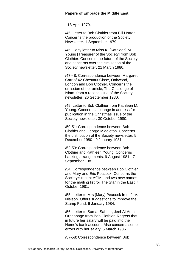- 18 April 1979.

/45: Letter to Bob Clothier from Bill Horton. Concerns the production of the Society Newsletter. 1 September 1979.

/46: Copy letter to Miss K. [Kathleen] M. Young [Treasurer of the Society] from Bob Clothier. Concerns the future of the Society and concerns over the circulation of the Society newsletter. 21 March 1980.

/47-48: Correspondence between Margaret Carr of 42 Chestnut Close, Oakwood, London and Bob Clothier. Concerns the omission of her article, The Challenge of Islam, from a recent issue of the Society newsletter. 26 September 1980.

/49: Letter to Bob Clothier from Kathleen M. Young. Concerns a change in address for publication in the Christmas issue of the Society newsletter. 30 October 1980.

/50-51: Correspondence between Bob Clothier and George Middleton. Concerns the distribution of the Society newsletter. 5 December 1980 - 9 January 1981.

/52-53: Correspondence between Bob Clothier and Kathleen Young. Concerns banking arrangements. 9 August 1981 - 7 September 1981.

/54: Correspondence between Bob Clothier and Mary and Eric Peacock. Concerns the Society's recent AGM; and two new names for the mailing list for The Star in the East. 4 October 1981.

/55: Letter to Mrs [Mary] Peacock from J. V. Nielson. Offers suggestions to improve the Stamp Fund. 6 January 1984.

/56: Letter to Samar Sahhar, Jeel-Al-Amal Orphanage from Bob Clothier. Regrets that in future her salary will be paid into the Home's bank account. Also concerns some errors with her salary. 6 March 1986.

/57-58: Correspondence between Bob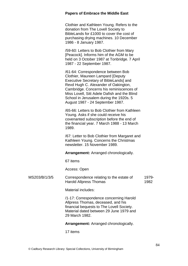Clothier and Kathleen Young. Refers to the donation from The Lovell Society to BibleLands for £1000 to cover the cost of purchasing drying machines. 10 December 1986 - 8 January 1987.

/59-60: Letters to Bob Clothier from Mary [Peacock]. Informs him of the AGM to be held on 3 October 1987 at Tonbridge. 7 April 1987 - 22 September 1987.

/61-64: Correspondence between Bob Clothier, Maureen Lampard [Deputy Executive Secretary of BibleLands] and Revd Hugh C. Alexander of Oakington, Cambridge. Concerns his reminiscences of Miss Lovell, Sitt Adele Dafish and the Blind School in Jerusalem during the 1920s. 5 August 1987 - 24 September 1987.

/65-66: Letters to Bob Clothier from Kathleen Young. Asks if she could receive his covenanted subscription before the end of the financial year. 7 March 1988 - 13 March 1989.

/67: Letter to Bob Clothier from Margaret and Kathleen Young. Concerns the Christmas newsletter. 15 November 1989.

**Arrangement:** Arranged chronologically.

67 items

Access: Open

#### MS203/B/1/3/5 Correspondence relating to the estate of Harold Allpress Thomas 1979- 1982

Material includes:

/1-17: Correspondence concerning Harold Allpress Thomas, deceased, and his financial bequests to The Lovell Society. Material dated between 29 June 1979 and 29 March 1982.

**Arrangement:** Arranged chronologically.

17 items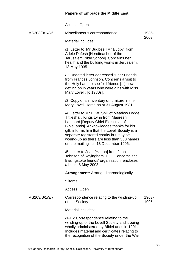Access: Open

| MS203/B/1/3/6 | Miscellaneous correspondence                                                                                                                                                                                                                                                                                                                               | 1935-         |
|---------------|------------------------------------------------------------------------------------------------------------------------------------------------------------------------------------------------------------------------------------------------------------------------------------------------------------------------------------------------------------|---------------|
|               | Material includes:                                                                                                                                                                                                                                                                                                                                         | 2003          |
|               | /1: Letter to 'Mr Bugbee' [Mr Bugby] from<br>Adele Dafesh [Headteacher of the<br>Jerusalem Bible School]. Concerns her<br>health and the building works in Jerusalem.<br>13 May 1935.                                                                                                                                                                      |               |
|               | /2: Undated letter addressed 'Dear Friends'<br>from Frances Johnson, Concerns a visit to<br>the Holy Land to see 'old friends [] now<br>getting on in years who were girls with Miss<br>Mary Lovell'. [c 1980s].                                                                                                                                           |               |
|               | /3: Copy of an inventory of furniture in the<br>Mary Lovell Home as at 31 August 1981.                                                                                                                                                                                                                                                                     |               |
|               | /4: Letter to Mr E. W. Shill of Meadow Lodge,<br>Tittleshall, Kings Lynn from Maureen<br>Lampard [Deputy Chief Executive of<br>BibleLands]. Acknowledges thanks for his<br>gift; informs him that the Lovell Society is a<br>separate registered charity but may be<br>wound-up as there are less than 300 names<br>on the mailing list. 13 December 1996. |               |
|               | /5: Letter to Jean [Hatton] from Joan<br>Johnson of Keyingham, Hull. Concerns 'the<br>Basingstoke friends' organisation; encloses<br>a book. 8 May 2003.                                                                                                                                                                                                   |               |
|               | <b>Arrangement:</b> Arranged chronologically.                                                                                                                                                                                                                                                                                                              |               |
|               | 5 items                                                                                                                                                                                                                                                                                                                                                    |               |
|               | Access: Open                                                                                                                                                                                                                                                                                                                                               |               |
| MS203/B/1/3/7 | Correspondence relating to the winding-up<br>of the Society                                                                                                                                                                                                                                                                                                | 1963-<br>1995 |
|               | Material includes:                                                                                                                                                                                                                                                                                                                                         |               |
|               | /1-16: Correspondence relating to the<br>winding-up of the Lovell Society and it being<br>wholly administered by BibleLands in 1991.<br>Includes material and certificates relating to<br>the recognition of the Society under the War                                                                                                                     |               |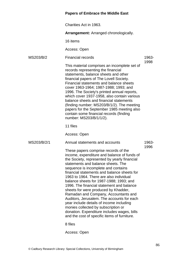### **Papers of Embrace the Middle East** Charities Act in 1963. **Arrangement:** Arranged chronologically. 16 items Access: Open MS203/B/2 Financial records This material comprises an incomplete set of records representing the financial statements, balance sheets and other financial papers of The Lovell Society. Financial statements and balance sheets cover 1963-1964; 1987-1988; 1993; and 1996. The Society's printed annual reports, which cover 1937-1958, also contain various balance sheets and financial statements (finding number: MS203/B/1/2). The meeting papers for the September 1985 meeting also contain some financial records (finding number: MS203/B/1/1/2). 11 files Access: Open 1963- 1998 MS203/B/2/1 Annual statements and accounts These papers comprise records of the income, expenditure and balance of funds of the Society, represented by yearly financial statements and balance sheets. The sequence is incomplete and contains financial statements and balance sheets for 1963 to 1964. There are also individual balance sheets for 1987-1988; 1993; and 1996. The financial statement and balance sheets for were produced by Khadder, Ramadan and Company, Accountants and Auditors, Jerusalem. The accounts for each year include details of income including monies collected by subscription or donation. Expenditure includes wages, bills and the cost of specific items of furniture. 8 files 1963- 1996

Access: Open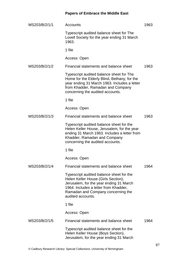| MS203/B/2/1/1 | Accounts                                                                                                                                                                                                                       | 1963 |
|---------------|--------------------------------------------------------------------------------------------------------------------------------------------------------------------------------------------------------------------------------|------|
|               | Typescript audited balance sheet for The<br>Lovell Society for the year ending 31 March<br>1963.                                                                                                                               |      |
|               | 1 file                                                                                                                                                                                                                         |      |
|               | Access: Open                                                                                                                                                                                                                   |      |
| MS203/B/2/1/2 | Financial statements and balance sheet                                                                                                                                                                                         | 1963 |
|               | Typescript audited balance sheet for The<br>Home for the Elderly Blind, Bethany, for the<br>year ending 31 March 1963. Includes a letter<br>from Khadder, Ramadan and Company<br>concerning the audited accounts.              |      |
|               | 1 file                                                                                                                                                                                                                         |      |
|               | Access: Open                                                                                                                                                                                                                   |      |
| MS203/B/2/1/3 | Financial statements and balance sheet                                                                                                                                                                                         | 1963 |
|               | Typescript audited balance sheet for the<br>Helen Keller House, Jerusalem, for the year<br>ending 31 March 1963. Includes a letter from<br>Khadder, Ramadan and Company<br>concerning the audited accounts.                    |      |
|               | 1 file                                                                                                                                                                                                                         |      |
|               | Access: Open                                                                                                                                                                                                                   |      |
| MS203/B/2/1/4 | Financial statements and balance sheet                                                                                                                                                                                         | 1964 |
|               | Typescript audited balance sheet for the<br>Helen Keller House (Girls Section),<br>Jerusalem, for the year ending 31 March<br>1964. Includes a letter from Khadder,<br>Ramadan and Company concerning the<br>audited accounts. |      |
|               | 1 file                                                                                                                                                                                                                         |      |
|               | Access: Open                                                                                                                                                                                                                   |      |
| MS203/B/2/1/5 | Financial statements and balance sheet                                                                                                                                                                                         | 1964 |
|               | Typescript audited balance sheet for the<br>Helen Keller House (Boys Section),<br>Jerusalem, for the year ending 31 March                                                                                                      |      |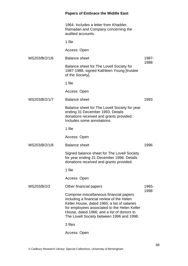|               | <b>Papers of Embrace the Middle East</b>                                                                                                                                                                                                                                        |       |
|---------------|---------------------------------------------------------------------------------------------------------------------------------------------------------------------------------------------------------------------------------------------------------------------------------|-------|
|               | 1964. Includes a letter from Khadder,<br>Ramadan and Company concerning the<br>audited accounts.                                                                                                                                                                                |       |
|               | 1 file                                                                                                                                                                                                                                                                          |       |
|               | Access: Open                                                                                                                                                                                                                                                                    |       |
| MS203/B/2/1/6 | <b>Balance sheet</b>                                                                                                                                                                                                                                                            | 1987- |
|               | Balance sheet for The Lovell Society for<br>1987-1988, signed Kathleen Young [trustee<br>of the Society].                                                                                                                                                                       | 1988  |
|               | 1 file                                                                                                                                                                                                                                                                          |       |
|               | Access: Open                                                                                                                                                                                                                                                                    |       |
| MS203/B/2/1/7 | <b>Balance sheet</b>                                                                                                                                                                                                                                                            | 1993  |
|               | Balance sheet for The Lovell Society for year<br>ending 31 December 1993. Details<br>donations received and grants provided.<br>Includes some annotations.                                                                                                                      |       |
|               | 1 file                                                                                                                                                                                                                                                                          |       |
|               | Access: Open                                                                                                                                                                                                                                                                    |       |
| MS203/B/2/1/8 | <b>Balance sheet</b>                                                                                                                                                                                                                                                            | 1996  |
|               | Signed balance sheet for The Lovell Society<br>for year ending 31 December 1996. Details<br>donations received and grants provided.                                                                                                                                             |       |
|               | 1 file                                                                                                                                                                                                                                                                          |       |
|               | Access: Open                                                                                                                                                                                                                                                                    |       |
| MS203/B/2/2   | Other financial papers                                                                                                                                                                                                                                                          | 1965- |
|               | Comprise miscellaneous financial papers<br>including a financial review of the Helen<br>Keller House, dated 1965; a list of salaries<br>for employees associated to the Helen Keller<br>House, dated 1966; and a list of donors to<br>The Lovell Society between 1996 and 1998. | 1998  |
|               | 3 files                                                                                                                                                                                                                                                                         |       |
|               | Access: Open                                                                                                                                                                                                                                                                    |       |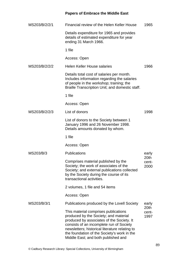| MS203/B/2/2/1 | Financial review of the Helen Keller House                                                                                                                                                                                                                                                                     | 1965                  |
|---------------|----------------------------------------------------------------------------------------------------------------------------------------------------------------------------------------------------------------------------------------------------------------------------------------------------------------|-----------------------|
|               | Details expenditure for 1965 and provides<br>details of estimated expenditure for year<br>ending 31 March 1966.                                                                                                                                                                                                |                       |
|               | 1 file                                                                                                                                                                                                                                                                                                         |                       |
|               | Access: Open                                                                                                                                                                                                                                                                                                   |                       |
| MS203/B/2/2/2 | <b>Helen Keller House salaries</b>                                                                                                                                                                                                                                                                             | 1966                  |
|               | Details total cost of salaries per month.<br>Includes information regarding the salaries<br>of people in the workshop; training; the<br>Braille Transcription Unit; and domestic staff.                                                                                                                        |                       |
|               | 1 file                                                                                                                                                                                                                                                                                                         |                       |
|               | Access: Open                                                                                                                                                                                                                                                                                                   |                       |
| MS203/B/2/2/3 | List of donors                                                                                                                                                                                                                                                                                                 | 1998                  |
|               | List of donors to the Society between 1<br>January 1996 and 26 November 1998.<br>Details amounts donated by whom.                                                                                                                                                                                              |                       |
|               | 1 file                                                                                                                                                                                                                                                                                                         |                       |
|               | Access: Open                                                                                                                                                                                                                                                                                                   |                       |
| MS203/B/3     | <b>Publications</b>                                                                                                                                                                                                                                                                                            | early                 |
|               | Comprises material published by the<br>Society; the work of associates of the<br>Society; and external publications collected<br>by the Society during the course of its<br>transactional activities.                                                                                                          | 20th<br>cent-<br>2000 |
|               | 2 volumes, 1 file and 54 items                                                                                                                                                                                                                                                                                 |                       |
|               | Access: Open                                                                                                                                                                                                                                                                                                   |                       |
| MS203/B/3/1   | Publications produced by the Lovell Society                                                                                                                                                                                                                                                                    | early                 |
|               | This material comprises publications<br>produced by the Society; and material<br>produced by associates of the Society. It<br>consists of an incomplete run of Society<br>newsletters; historical literature relating to<br>the foundation of the Society's work in the<br>Middle East; and both published and | 20th<br>cent-<br>1997 |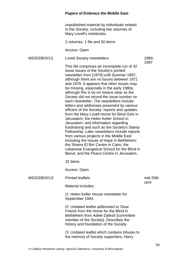unpublished material by individuals related to the Society, including two volumes of Mary Lovell's notebooks.

2 volumes, 1 file and 50 items

Access: Open

MS203/B/3/1/1 Lovell Society newsletters

1980- 1997

This file comprises an incomplete run of 32 loose issues of the Society's printed newsletter from [1970] until Summer 1997, although there are no issues between 1971 and 1979. It appears that other issues may be missing, especially in the early 1980s, although this is by no means clear as the Society did not record the issue number on each newsletter. The newsletters include letters and addresses presented by various officers of the Society; reports and updates from the Mary Lovell Home for Blind Girls in Jerusalem; the Helen Keller School in Jerusalem; and information regarding fundraising and such as the Society's Stamp Fellowship. Later newsletters include reports from various projects in the Middle East including the House of Hope in Bethlehem; the Shams El Birr Centre in Cairo; the Lebanese Evangelical School for the Blind in Beirut; and the Peace Centre in Jerusalem.

32 items

Access: Open

#### MS203/B/3/1/2 Printed leaflets

Material includes:

/1: Helen Keller House newsletter for September 1963.

/2: Undated leaflet addressed to 'Dear Friend' from the Home for the Blind in Bethlehem from Adele Dafesh [committee member of the Society]. Describes the history and foundation of the Society.

/3: Undated leaflet which contains tributes to the memory of Society supporters, Harry

mid 20th cent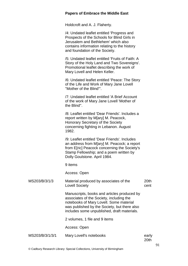Holdcroft and A. J. Flaherty.

/4: Undated leaflet entitled 'Progress and Prospects of the Schools for Blind Girls in Jerusalem and Bethlehem' which also contains information relating to the history and foundation of the Society.

/5: Undated leaflet entitled 'Fruits of Faith: A Story of the Holy Land and Two Sovereigns'. Promotional leaflet describing the work of Mary Lovell and Helen Keller.

/6: Undated leaflet entitled 'Peace: The Story of the Life and Work of Mary Jane Lovell ''Mother of the Blind'''.

/7: Undated leaflet entitled 'A Brief Account of the work of Mary Jane Lovell 'Mother of the Blind''.

/8: Leaflet entitled 'Dear Friends'. Includes a report written by M[ary] M. Peacock, Honorary Secretary of the Society concerning fighting in Lebanon. August 1982.

/9: Leaflet entitled 'Dear Friends'. Includes an address from M[ary] M. Peacock; a report from Efricl Peacock concerning the Society's Stamp Fellowship; and a poem written by Dolly Goulstone. April 1984.

9 items

Access: Open

| MS203/B/3/1/3   | Material produced by associates of the<br><b>Lovell Society</b>                                                                                                                                                                   | 20th<br>cent  |
|-----------------|-----------------------------------------------------------------------------------------------------------------------------------------------------------------------------------------------------------------------------------|---------------|
|                 | Manuscripts, books and articles produced by<br>associates of the Society, including the<br>notebooks of Mary Lovell. Some material<br>was published by the Society, but there also<br>includes some unpublished, draft materials. |               |
|                 | 2 volumes, 1 file and 9 items                                                                                                                                                                                                     |               |
|                 | Access: Open                                                                                                                                                                                                                      |               |
| MS203/B/3/1/3/1 | Mary Lovell's notebooks                                                                                                                                                                                                           | early<br>20th |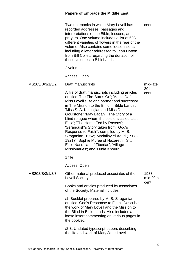|                 | Two notebooks in which Mary Lovell has<br>recorded addresses; passages and<br>interpretations of the Bible; lessons; and<br>prayers. One volume includes a list of 603<br>different varieties of flowers in the rear of the<br>volume. Also contains some loose inserts<br>including a letter addressed to Jean Hatton<br>from Bill Collett regarding the donation of<br>these volumes to BibleLands.                                                                                                                                                                                                                            | cent              |
|-----------------|----------------------------------------------------------------------------------------------------------------------------------------------------------------------------------------------------------------------------------------------------------------------------------------------------------------------------------------------------------------------------------------------------------------------------------------------------------------------------------------------------------------------------------------------------------------------------------------------------------------------------------|-------------------|
|                 | 2 volumes                                                                                                                                                                                                                                                                                                                                                                                                                                                                                                                                                                                                                        |                   |
|                 | Access: Open                                                                                                                                                                                                                                                                                                                                                                                                                                                                                                                                                                                                                     |                   |
| MS203/B/3/1/3/2 | Draft manuscripts                                                                                                                                                                                                                                                                                                                                                                                                                                                                                                                                                                                                                | mid-late          |
|                 | A file of draft manuscripts including articles<br>entitled 'The Fire Burns On'; 'Adele Dafesh:<br>Miss Lovell's lifelong partner and successor<br>in The Mission to the Blind in Bible Lands':<br>'Miss S. A. Ketchijian and Miss D.<br>Goulstone'; 'May Ladah'; 'The Story of a<br>blind refugee whom the soldiers called Little<br>Elsie'; 'The Home Fed by Ravens';<br>'Seranoush's Story taken from "God's<br>Response to Faith", compiled by M. B.<br>Siraganian, 1952; 'Madallay el Aoud (1908-<br>1921); 'Sophie Muree of Nazareth'; 'Sitt<br>Elsie Nasrallah of Tiberias'; 'Village<br>Missionaries'; and 'Huda Khouri'. | 20th<br>cent      |
|                 | 1 file                                                                                                                                                                                                                                                                                                                                                                                                                                                                                                                                                                                                                           |                   |
|                 | Access: Open                                                                                                                                                                                                                                                                                                                                                                                                                                                                                                                                                                                                                     |                   |
| MS203/B/3/1/3/3 | Other material produced associates of the<br><b>Lovell Society</b>                                                                                                                                                                                                                                                                                                                                                                                                                                                                                                                                                               | 1933-<br>mid 20th |
|                 | Books and articles produced by associates<br>of the Society. Material includes:                                                                                                                                                                                                                                                                                                                                                                                                                                                                                                                                                  | cent              |
|                 | /1: Booklet prepared by M. B. Siraganian<br>entitled 'God's Response to Faith'. Describes<br>the work of Mary Lovell and the Mission to<br>the Blind in Bible Lands. Also includes a<br>loose insert commenting on various pages in<br>the booklet.                                                                                                                                                                                                                                                                                                                                                                              |                   |
|                 | /2-3: Undated typescript papers describing<br>the life and work of Mary Jane Lovell.                                                                                                                                                                                                                                                                                                                                                                                                                                                                                                                                             |                   |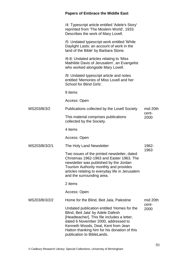|               | <b>Papers of Embrace the Middle East</b>                                                                                                                                                                                                                                                    |               |
|---------------|---------------------------------------------------------------------------------------------------------------------------------------------------------------------------------------------------------------------------------------------------------------------------------------------|---------------|
|               | /4: Typescript article entitled 'Adele's Story'<br>reprinted from 'The Moslem World', 1933.<br>Describes the work of Mary Lovell.                                                                                                                                                           |               |
|               | /5: Undated typescript work entitled 'While<br>Daylight Lasts: an account of work in the<br>land of the Bible' by Barbara Stone.                                                                                                                                                            |               |
|               | /6-8: Undated articles relating to 'Miss<br>Mathilde Davis of Jerusalem', an Evangelist<br>who worked alongside Mary Lovell.                                                                                                                                                                |               |
|               | /9: Undated typescript article and notes<br>entitled 'Memories of Miss Lovell and her<br>School for Blind Girls'.                                                                                                                                                                           |               |
|               | 9 items                                                                                                                                                                                                                                                                                     |               |
|               | Access: Open                                                                                                                                                                                                                                                                                |               |
| MS203/B/3/2   | Publications collected by the Lovell Society                                                                                                                                                                                                                                                | mid 20th      |
|               | This material comprises publications<br>collected by the Society.                                                                                                                                                                                                                           | cent-<br>2000 |
|               | 4 items                                                                                                                                                                                                                                                                                     |               |
|               | Access: Open                                                                                                                                                                                                                                                                                |               |
| MS203/B/3/2/1 | The Holy Land Newsletter                                                                                                                                                                                                                                                                    | 1962-         |
|               | Two issues of the printed newsletter, dated<br>Christmas 1962-1963 and Easter 1963. The<br>newsletter was published by the Jordan<br>Tourism Authority monthly and provides<br>articles relating to everyday life in Jerusalem<br>and the surrounding area.                                 | 1963          |
|               | 2 items                                                                                                                                                                                                                                                                                     |               |
|               | Access: Open                                                                                                                                                                                                                                                                                |               |
| MS203/B/3/2/2 | Home for the Blind, Beit Jala, Palestine                                                                                                                                                                                                                                                    | mid 20th      |
|               | Undated publication entitled 'Homes for the<br>Blind, Beit Jala' by Adele Dafesh<br>[Headteacher]. This file includes a letter,<br>dated 6 November 2000, addressed to<br>Kenneth Woods, Deal, Kent from Jean<br>Hatton thanking him for his donation of this<br>publication to BibleLands. | cent-<br>2000 |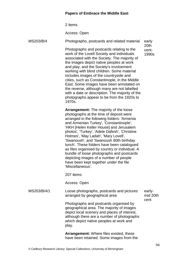2 items

Access: Open

MS203/B/4 Photographs, postcards and related material Photographs and postcards relating to the work of the Lovell Society and individuals associated with the Society. The majority of the images depict native peoples at work and play; and the Society's involvement working with blind children. Some material includes images of the countryside and cities, such as Constantinople, in the Middle East. Some images have been annotated on the reverse, although many are not labelled with a date or description. The majority of the photographs appear to be from the 1920s to 1970s. **Arrangement:** The majority of the loose photographs at the time of deposit were arranged in the following folders: 'Armenia and Armenian Turkey', 'Constantinople', 'HKH [Helen Keller House] and Jerusalem photos', 'Turkey', 'Adele Dafesh', 'Christine Holmes', 'May Ladah', 'Mary Lovell', 'Swanoush', and 'Swanoush 80th birthday lunch'. These folders have been catalogued as files organised by country or individual. A bundle of loose photographs and postcards depicting images of a number of people have been kept together under the file 'Miscellaneous'. 207 items Access: Open early 20th cent-1990s MS203/B/4/1 Loose photographs, postcards and pictures arranged by geographical area Photographs and postcards organised by geographical area. The majority of images depict local scenery and places of interest, although there are a number of photographs which depict native peoples at work and play. **Arrangement:** Where files existed, these have been retained. Some images from the earlymid 20th cent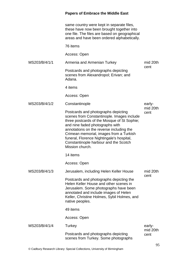|               | same country were kept in separate files,<br>these have now been brought together into<br>one file. The files are based on geographical<br>areas and have been ordered alphabetically.                                                                                                                                                                              |                  |
|---------------|---------------------------------------------------------------------------------------------------------------------------------------------------------------------------------------------------------------------------------------------------------------------------------------------------------------------------------------------------------------------|------------------|
|               | 76 items                                                                                                                                                                                                                                                                                                                                                            |                  |
|               | Access: Open                                                                                                                                                                                                                                                                                                                                                        |                  |
| MS203/B/4/1/1 | Armenia and Armenian Turkey                                                                                                                                                                                                                                                                                                                                         | mid 20th         |
|               | Postcards and photographs depicting<br>scenes from Alexandropol; Erivan; and<br>Adana.                                                                                                                                                                                                                                                                              | cent             |
|               | 4 items                                                                                                                                                                                                                                                                                                                                                             |                  |
|               | Access: Open                                                                                                                                                                                                                                                                                                                                                        |                  |
| MS203/B/4/1/2 | Constantinople                                                                                                                                                                                                                                                                                                                                                      | early-           |
|               | Postcards and photographs depicting<br>scenes from Constantinople. Images include<br>three postcards of the Mosque of St Sophie;<br>and nine faded photographs with<br>annotations on the reverse including the<br>Crimean memorial, images from a Turkish<br>funeral, Florence Nightingale's hospital,<br>Constantinople harbour and the Scotch<br>Mission church. | mid 20th<br>cent |
|               | 14 items                                                                                                                                                                                                                                                                                                                                                            |                  |
|               | Access: Open                                                                                                                                                                                                                                                                                                                                                        |                  |
| MS203/B/4/1/3 | Jerusalem, including Helen Keller House                                                                                                                                                                                                                                                                                                                             | mid 20th         |
|               | Postcards and photographs depicting the<br>Helen Keller House and other scenes in<br>Jerusalem. Some photographs have been<br>annotated and include images of Helen<br>Keller, Christine Holmes, Sybil Holmes, and<br>native peoples.                                                                                                                               | cent             |
|               | 49 items                                                                                                                                                                                                                                                                                                                                                            |                  |
|               | Access: Open                                                                                                                                                                                                                                                                                                                                                        |                  |
| MS203/B/4/1/4 | Turkey                                                                                                                                                                                                                                                                                                                                                              | early-           |
|               | Postcards and photographs depicting<br>scenes from Turkey. Some photographs                                                                                                                                                                                                                                                                                         | mid 20th<br>cent |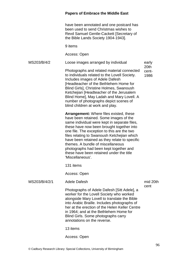have been annotated and one postcard has been used to send Christmas wishes to Revd Samuel Gentle-Cackett [Secretary of the Bible Lands Society 1904-1943].

9 items

Access: Open

MS203/B/4/2 Loose images arranged by individual Photographs and related material connected to individuals related to the Lovell Society. Includes images of Adele Dafesh [Headteacher of the Bethlehem Home for Blind Girls], Christine Holmes, Swanoush Ketchejian [Headteacher of the Jerusalem Blind Home], May Ladah and Mary Lovell. A number of photographs depict scenes of blind children at work and play. early 20th cent-1986

> **Arrangement:** Where files existed, these have been retained. Some images of the same individual were kept in separate files, these have now been brought together into one file. The exception to this are the two files relating to Swanoush Ketchejian which have been retained as they relate to specific themes. A bundle of miscellaneous photographs had been kept together and these have been retained under the title 'Miscellaneous'.

131 items

Access: Open

MS203/B/4/2/1 Adele Dafesh

mid 20th cent

Photographs of Adele Dafesh [Sitt Adele], a worker for the Lovell Society who worked alongside Mary Lovell to translate the Bible into Arabic Braille. Includes photographs of her at the erection of the Helen Keller Centre in 1964; and at the Bethlehem Home for Blind Girls. Some photographs carry annotations on the reverse.

13 items

Access: Open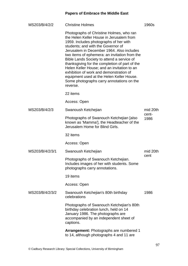| MS203/B/4/2/2   | <b>Christine Holmes</b>                                                                                                                                                                                                                                                                                                                                                                                                                                                                                                                                            | 1960s         |
|-----------------|--------------------------------------------------------------------------------------------------------------------------------------------------------------------------------------------------------------------------------------------------------------------------------------------------------------------------------------------------------------------------------------------------------------------------------------------------------------------------------------------------------------------------------------------------------------------|---------------|
|                 | Photographs of Christine Holmes, who ran<br>the Helen Keller House in Jerusalem from<br>1959. Includes photographs of her with<br>students; and with the Governor of<br>Jerusalem in December 1964. Also includes<br>two items of ephemera: an invitation from the<br>Bible Lands Society to attend a service of<br>thanksgiving for the completion of part of the<br>Helen Keller House; and an invitation to an<br>exhibition of work and demonstration of<br>equipment used at the Helen Keller House.<br>Some photographs carry annotations on the<br>reverse. |               |
|                 | 22 items                                                                                                                                                                                                                                                                                                                                                                                                                                                                                                                                                           |               |
|                 | Access: Open                                                                                                                                                                                                                                                                                                                                                                                                                                                                                                                                                       |               |
| MS203/B/4/2/3   | Swanoush Ketchejian                                                                                                                                                                                                                                                                                                                                                                                                                                                                                                                                                | mid 20th      |
|                 | Photographs of Swanouch Ketchejian [also]<br>known as 'Mamma'], the Headteacher of the<br>Jerusalem Home for Blind Girls.                                                                                                                                                                                                                                                                                                                                                                                                                                          | cent-<br>1986 |
|                 | 32 items                                                                                                                                                                                                                                                                                                                                                                                                                                                                                                                                                           |               |
|                 | Access: Open                                                                                                                                                                                                                                                                                                                                                                                                                                                                                                                                                       |               |
| MS203/B/4/2/3/1 | Swanoush Ketchejian                                                                                                                                                                                                                                                                                                                                                                                                                                                                                                                                                | mid 20th      |
|                 | Photographs of Swanouch Ketchejian.<br>Includes images of her with students. Some<br>photographs carry annotations.                                                                                                                                                                                                                                                                                                                                                                                                                                                | cent          |
|                 | 19 items                                                                                                                                                                                                                                                                                                                                                                                                                                                                                                                                                           |               |
|                 | Access: Open                                                                                                                                                                                                                                                                                                                                                                                                                                                                                                                                                       |               |
| MS203/B/4/2/3/2 | Swanoush Ketchejian's 80th birthday<br>celebrations                                                                                                                                                                                                                                                                                                                                                                                                                                                                                                                | 1986          |
|                 | Photographs of Swanouch Ketchejian's 80th<br>birthday celebration lunch, held on 14<br>January 1986. The photographs are<br>accompanied by an independent sheet of<br>captions.                                                                                                                                                                                                                                                                                                                                                                                    |               |
|                 | <b>Arrangement:</b> Photographs are numbered 1<br>to 14, although photographs 4 and 11 are                                                                                                                                                                                                                                                                                                                                                                                                                                                                         |               |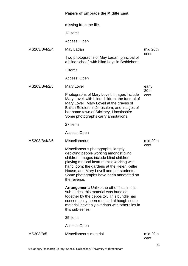|               | missing from the file.                                                                                                                                                                                                                                                                                                    |                  |
|---------------|---------------------------------------------------------------------------------------------------------------------------------------------------------------------------------------------------------------------------------------------------------------------------------------------------------------------------|------------------|
|               | 13 items                                                                                                                                                                                                                                                                                                                  |                  |
|               | Access: Open                                                                                                                                                                                                                                                                                                              |                  |
| MS203/B/4/2/4 | May Ladah                                                                                                                                                                                                                                                                                                                 | mid 20th<br>cent |
|               | Two photographs of May Ladah [principal of<br>a blind school] with blind boys in Bethlehem.                                                                                                                                                                                                                               |                  |
|               | 2 items                                                                                                                                                                                                                                                                                                                   |                  |
|               | Access: Open                                                                                                                                                                                                                                                                                                              |                  |
| MS203/B/4/2/5 | Mary Lovell                                                                                                                                                                                                                                                                                                               | early            |
|               | Photographs of Mary Lovell. Images include<br>Mary Lovell with blind children; the funeral of<br>Mary Lovell; Mary Lovell at the graves of<br>British Soldiers in Jerusalem; and images of<br>her home town of Stickney, Lincolnshire.<br>Some photographs carry annotations.                                             | 20th<br>cent     |
|               | 27 items                                                                                                                                                                                                                                                                                                                  |                  |
|               | Access: Open                                                                                                                                                                                                                                                                                                              |                  |
| MS203/B/4/2/6 | <b>Miscellaneous</b>                                                                                                                                                                                                                                                                                                      | mid 20th         |
|               | Miscellaneous photographs, largely<br>depicting people working amongst blind<br>children. Images include blind children<br>playing musical instruments; working with<br>hand loom; the gardens at the Helen Keller<br>House; and Mary Lovell and her students.<br>Some photographs have been annotated on<br>the reverse. | cent             |
|               | <b>Arrangement:</b> Unlike the other files in this<br>sub-series, this material was bundled<br>together by the depositor. This bundle has<br>consequently been retained although some<br>material inevitably overlaps with other files in<br>this sub-series.                                                             |                  |
|               | 35 items                                                                                                                                                                                                                                                                                                                  |                  |
|               | Access: Open                                                                                                                                                                                                                                                                                                              |                  |
| MS203/B/5     | Miscellaneous material                                                                                                                                                                                                                                                                                                    | mid 20th<br>cent |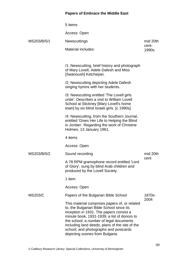|                | 5 items                                                                                                                                                                                                                                                                                                                                                      |                |
|----------------|--------------------------------------------------------------------------------------------------------------------------------------------------------------------------------------------------------------------------------------------------------------------------------------------------------------------------------------------------------------|----------------|
|                | Access: Open                                                                                                                                                                                                                                                                                                                                                 |                |
| MS203/B/5/1    | <b>Newscuttings</b>                                                                                                                                                                                                                                                                                                                                          | mid 20th       |
|                | <b>Material includes:</b>                                                                                                                                                                                                                                                                                                                                    | cent-<br>1990s |
|                |                                                                                                                                                                                                                                                                                                                                                              |                |
|                | /1: Newscutting, brief history and photograph<br>of Mary Lovell, Adele Dafesh and Miss<br>[Swanoush] Ketchejian.                                                                                                                                                                                                                                             |                |
|                | /2: Newscutting depicting Adele Dafesh<br>singing hymns with her students.                                                                                                                                                                                                                                                                                   |                |
|                | /3: Newscutting entitled 'The Lovell girls<br>unite'. Describes a visit to William Lovell<br>School at Stickney [Mary Lovell's home<br>town] by six blind Israeli girls. [c 1990s].                                                                                                                                                                          |                |
|                | /4: Newscutting, from the Southern Journal,<br>entitled 'Gives Her Life to Helping the Blind<br>in Jordan'. Regarding the work of Christine<br>Holmes. 13 January 1961.                                                                                                                                                                                      |                |
|                | 4 items                                                                                                                                                                                                                                                                                                                                                      |                |
|                | Access: Open                                                                                                                                                                                                                                                                                                                                                 |                |
| MS203/B/5/2    | Sound recording                                                                                                                                                                                                                                                                                                                                              | mid 20th       |
|                | A 78 RPM gramophone record entitled 'Lord<br>of Glory', sung by blind Arab children and<br>produced by the Lovell Society.                                                                                                                                                                                                                                   | cent           |
|                | 1 item                                                                                                                                                                                                                                                                                                                                                       |                |
|                | Access: Open                                                                                                                                                                                                                                                                                                                                                 |                |
| <b>MS203/C</b> | Papers of the Bulgarian Bible School                                                                                                                                                                                                                                                                                                                         | 1870s-         |
|                | This material comprises papers of, or related<br>to, the Bulgarian Bible School since its<br>inception in 1931. The papers consist a<br>minute book, 1931-1939; a list of donors to<br>the school; a number of legal documents<br>including land deeds; plans of the site of the<br>school; and photographs and postcards<br>depicting scenes from Bulgaria. | 2004           |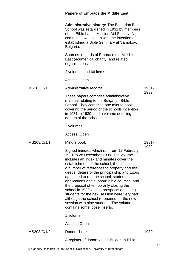|             | <b>Papers of Embrace the Middle East</b>                                                                                                                                                                                                                                                                                                                                                                                                                                                                                                                                                                                                  |               |
|-------------|-------------------------------------------------------------------------------------------------------------------------------------------------------------------------------------------------------------------------------------------------------------------------------------------------------------------------------------------------------------------------------------------------------------------------------------------------------------------------------------------------------------------------------------------------------------------------------------------------------------------------------------------|---------------|
|             | <b>Administrative history: The Bulgarian Bible</b><br>School was established in 1931 by members<br>of the Bible Lands Mission Aid Society. A<br>committee was set up with the intention of<br>establishing a Bible Seminary at Samokov,<br>Bulgaria.                                                                                                                                                                                                                                                                                                                                                                                      |               |
|             | Sources: records of Embrace the Middle<br>East (ecumenical charity) and related<br>organisations.                                                                                                                                                                                                                                                                                                                                                                                                                                                                                                                                         |               |
|             | 2 volumes and 66 items                                                                                                                                                                                                                                                                                                                                                                                                                                                                                                                                                                                                                    |               |
|             | Access: Open                                                                                                                                                                                                                                                                                                                                                                                                                                                                                                                                                                                                                              |               |
| MS203/C/1   | Administrative records                                                                                                                                                                                                                                                                                                                                                                                                                                                                                                                                                                                                                    | 1931-         |
|             | These papers comprise administrative<br>material relating to the Bulgarian Bible<br>School. They comprise one minute book,<br>covering the period of the schools inception<br>in 1931 to 1939; and a volume detailing<br>donors of the school.                                                                                                                                                                                                                                                                                                                                                                                            | 1939          |
|             | 2 volumes                                                                                                                                                                                                                                                                                                                                                                                                                                                                                                                                                                                                                                 |               |
|             | Access: Open                                                                                                                                                                                                                                                                                                                                                                                                                                                                                                                                                                                                                              |               |
| MS203/C/1/1 | Minute book                                                                                                                                                                                                                                                                                                                                                                                                                                                                                                                                                                                                                               | 1931-<br>1939 |
|             | Signed minutes which run from 12 February<br>1931 to 28 December 1939. The volume<br>includes an index and minutes cover the<br>establishment of the school; the constitution;<br>a number of references to property and title<br>deeds; details of the principalship and tutors<br>appointed to run the school; students<br>applications and support; bible courses; and<br>the proposal of temporarily closing the<br>school in 1939 'as the prospects of getting<br>students for the new session were very bad'<br>although the school re-opened for the new<br>session with nine students. The volume<br>contains some loose inserts. |               |
|             | 1 volume                                                                                                                                                                                                                                                                                                                                                                                                                                                                                                                                                                                                                                  |               |
|             | Access: Open                                                                                                                                                                                                                                                                                                                                                                                                                                                                                                                                                                                                                              |               |
| MS203/C/1/2 | Donors' book                                                                                                                                                                                                                                                                                                                                                                                                                                                                                                                                                                                                                              | 1930s         |
|             | A register of donors of the Bulgarian Bible                                                                                                                                                                                                                                                                                                                                                                                                                                                                                                                                                                                               |               |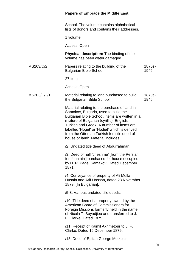School. The volume contains alphabetical lists of donors and contains their addresses.

1 volume

Access: Open

**Physical description:** The binding of the volume has been water damaged.

MS203/C/2 Papers relating to the building of the Bulgarian Bible School 1870s-1946

27 items

Access: Open

#### MS203/C/2/1 Material relating to land purchased to build the Bulgarian Bible School 1870s-1946

Material relating to the purchase of land in Samokov, Bulgaria, used to build the Bulgarian Bible School. Items are written in a mixture of Bulgarian (cyrillic), English, Turkish and Greek. A number of items are labelled 'Hoget' or 'Hodjet' which is derived from the Ottoman Turkish for 'title deed of house or land'. Material includes:

/2: Undated title deed of Abdurrahman.

/3: Deed of half 'cheshme' [from the Persian for 'fountain'] purchased for house occupied by H. P. Page, Samakov. Dated December 1871.

/4: Conveyance of property of Ali Molla Husain and Arif Hassan, dated 23 November 1879. [In Bulgarian].

/5-8: Various undated title deeds.

/10: Title deed of a property owned by the American Board of Commissioners for Foreign Missions formerly held in the name of Nicola T. Boyadjieu and transferred to J. F. Clarke. Dated 1875.

/11: Receipt of Kaimil Akhmetour to J. F. Clarke. Dated 16 December 1879.

/13: Deed of Epifan George Metkolu.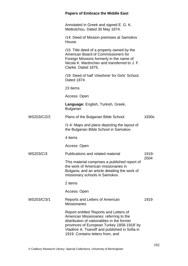|             | <b>Papers of Embrace the Middle East</b>                                                                                                                                                                                                                             |               |
|-------------|----------------------------------------------------------------------------------------------------------------------------------------------------------------------------------------------------------------------------------------------------------------------|---------------|
|             | Annotated in Greek and signed E. G. K.<br>Metkolchou. Dated 30 May 1874.                                                                                                                                                                                             |               |
|             | /14: Deed of Mission premises at Samokov<br>House.                                                                                                                                                                                                                   |               |
|             | /15: Title deed of a property owned by the<br>American Board of Commissioners for<br>Foreign Missions formerly in the name of<br>Nicola K. Martinchev and transferred to J. F.<br>Clarke. Dated 1875.                                                                |               |
|             | /19: Deed of half 'cheshme' for Girls' School.<br>Dated 1874.                                                                                                                                                                                                        |               |
|             | 23 items                                                                                                                                                                                                                                                             |               |
|             | Access: Open                                                                                                                                                                                                                                                         |               |
|             | Language: English, Turkish, Greek,<br><b>Bulgarian</b>                                                                                                                                                                                                               |               |
| MS203/C/2/2 | Plans of the Bulgarian Bible School                                                                                                                                                                                                                                  | 1930s         |
|             | /1-4: Maps and plans depicting the layout of<br>the Bulgarian Bible School in Samokov.                                                                                                                                                                               |               |
|             | 4 items                                                                                                                                                                                                                                                              |               |
|             | Access: Open                                                                                                                                                                                                                                                         |               |
| MS203/C/3   | Publications and related material                                                                                                                                                                                                                                    | 1919-<br>2004 |
|             | This material comprises a published report of<br>the work of American missionaries in<br>Bulgaria; and an article detailing the work of<br>missionary schools in Samokov.                                                                                            |               |
|             | 2 items                                                                                                                                                                                                                                                              |               |
|             | Access: Open                                                                                                                                                                                                                                                         |               |
| MS203/C/3/1 | Reports and Letters of American<br><b>Missionaries</b>                                                                                                                                                                                                               | 1919          |
|             | Report entitled 'Reports and Letters of<br>American Missionaries: referring to the<br>distribution of nationalities in the former<br>provinces of European Turkey 1858-1918' by<br>Vladimir A. Tsanoff and published in Sofia in<br>1919. Contains letters from, and |               |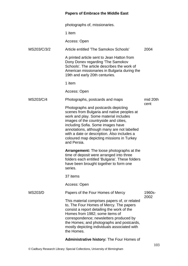|             | photographs of, missionaries.                                                                                                                                                                                                                                                                                                                                      |                |
|-------------|--------------------------------------------------------------------------------------------------------------------------------------------------------------------------------------------------------------------------------------------------------------------------------------------------------------------------------------------------------------------|----------------|
|             | 1 item                                                                                                                                                                                                                                                                                                                                                             |                |
|             | Access: Open                                                                                                                                                                                                                                                                                                                                                       |                |
| MS203/C/3/2 | Article entitled 'The Samokov Schools'                                                                                                                                                                                                                                                                                                                             | 2004           |
|             | A printed article sent to Jean Hatton from<br>Dony Donev regarding 'The Samokov<br>Schools'. The article describes the work of<br>American missionaries in Bulgaria during the<br>19th and early 20th centuries.                                                                                                                                                   |                |
|             | 1 item                                                                                                                                                                                                                                                                                                                                                             |                |
|             | Access: Open                                                                                                                                                                                                                                                                                                                                                       |                |
| MS203/C/4   | Photographs, postcards and maps                                                                                                                                                                                                                                                                                                                                    | mid 20th       |
|             | Photographs and postcards depicting<br>scenes from Bulgaria and native peoples at<br>work and play. Some material includes<br>images of the countryside and cities,<br>including Sofia. Some images have<br>annotations, although many are not labelled<br>with a date or description. Also includes a<br>coloured map depicting missions in Turkey<br>and Persia. | cent           |
|             | <b>Arrangement:</b> The loose photographs at the<br>time of deposit were arranged into three<br>folders each entitled 'Bulgaria'. These folders<br>have been brought together to form one<br>series.                                                                                                                                                               |                |
|             | 37 items                                                                                                                                                                                                                                                                                                                                                           |                |
|             | Access: Open                                                                                                                                                                                                                                                                                                                                                       |                |
| MS203/D     | Papers of the Four Homes of Mercy                                                                                                                                                                                                                                                                                                                                  | 1960s-<br>2002 |
|             | This material comprises papers of, or related<br>to, The Four Homes of Mercy. The papers<br>consist a report detailing the work of the<br>Homes from 1982; some items of<br>correspondence; newsletters produced by<br>the Homes; and photographs and postcards,<br>mostly depicting individuals associated with<br>the Homes.                                     |                |

### **Administrative history:** The Four Homes of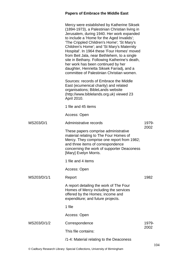|             | Mercy were established by Katherine Siksek<br>(1894-1973), a Palestinian Christian living in<br>Jerusalem, during 1940. Her work expanded<br>to include a 'Home for the Aged Invalids';<br>'The Crippled Children's Home'; 'St Mary's<br>Children's Home'; and 'St Mary's Maternity<br>Hospital'. In 1964 these 'Four Homes' moved<br>from Beit Jala, near Bethlehem, to a single<br>site in Bethany. Following Katherine's death,<br>her work has been continued by her<br>daughter, Henrietta Siksek Farradj, and a<br>committee of Palestinian Christian women. |               |
|-------------|--------------------------------------------------------------------------------------------------------------------------------------------------------------------------------------------------------------------------------------------------------------------------------------------------------------------------------------------------------------------------------------------------------------------------------------------------------------------------------------------------------------------------------------------------------------------|---------------|
|             | Sources: records of Embrace the Middle<br>East (ecumenical charity) and related<br>organisations; BibleLands website<br>(http://www.biblelands.org.uk) viewed 23<br>April 2010.                                                                                                                                                                                                                                                                                                                                                                                    |               |
|             | 1 file and 45 items                                                                                                                                                                                                                                                                                                                                                                                                                                                                                                                                                |               |
|             | Access: Open                                                                                                                                                                                                                                                                                                                                                                                                                                                                                                                                                       |               |
| MS203/D/1   | Administrative records                                                                                                                                                                                                                                                                                                                                                                                                                                                                                                                                             | 1979-         |
|             | These papers comprise administrative<br>material relating to The Four Homes of<br>Mercy. They comprise one report from 1982;<br>and three items of correspondence<br>concerning the work of supporter Deaconess<br>[Mary] Evelyn Morris.                                                                                                                                                                                                                                                                                                                           | 2002          |
|             | 1 file and 4 items                                                                                                                                                                                                                                                                                                                                                                                                                                                                                                                                                 |               |
|             | Access: Open                                                                                                                                                                                                                                                                                                                                                                                                                                                                                                                                                       |               |
| MS203/D/1/1 | Report                                                                                                                                                                                                                                                                                                                                                                                                                                                                                                                                                             | 1982          |
|             | A report detailing the work of The Four<br>Homes of Mercy including the services<br>offered by the Homes; income and<br>expenditure; and future projects.                                                                                                                                                                                                                                                                                                                                                                                                          |               |
|             | 1 file                                                                                                                                                                                                                                                                                                                                                                                                                                                                                                                                                             |               |
|             | Access: Open                                                                                                                                                                                                                                                                                                                                                                                                                                                                                                                                                       |               |
| MS203/D/1/2 | Correspondence                                                                                                                                                                                                                                                                                                                                                                                                                                                                                                                                                     | 1979-<br>2002 |
|             | This file contains:                                                                                                                                                                                                                                                                                                                                                                                                                                                                                                                                                |               |
|             | /1-4: Material relating to the Deaconess                                                                                                                                                                                                                                                                                                                                                                                                                                                                                                                           |               |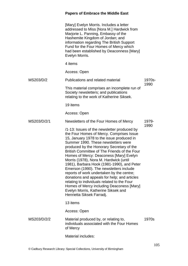|             | [Mary] Evelyn Morris. Includes a letter<br>addressed to Miss [Nora M.] Hardwick from<br>Marjorie L. Panning, Embassy of the<br>Hashemite Kingdom of Jordan; and<br>information regarding The British Support<br>Fund for the Four Homes of Mercy which<br>had been established by Deaconness [Mary]<br>Evelyn Morris.                                                                                                                                                                                                                                                                                                                                                                                               |        |
|-------------|---------------------------------------------------------------------------------------------------------------------------------------------------------------------------------------------------------------------------------------------------------------------------------------------------------------------------------------------------------------------------------------------------------------------------------------------------------------------------------------------------------------------------------------------------------------------------------------------------------------------------------------------------------------------------------------------------------------------|--------|
|             | 4 items                                                                                                                                                                                                                                                                                                                                                                                                                                                                                                                                                                                                                                                                                                             |        |
|             | Access: Open                                                                                                                                                                                                                                                                                                                                                                                                                                                                                                                                                                                                                                                                                                        |        |
| MS203/D/2   | Publications and related material                                                                                                                                                                                                                                                                                                                                                                                                                                                                                                                                                                                                                                                                                   | 1970s- |
|             | This material comprises an incomplete run of<br>Society newsletters; and publications<br>relating to the work of Katherine Siksek.                                                                                                                                                                                                                                                                                                                                                                                                                                                                                                                                                                                  | 1990   |
|             | 19 items                                                                                                                                                                                                                                                                                                                                                                                                                                                                                                                                                                                                                                                                                                            |        |
|             | Access: Open                                                                                                                                                                                                                                                                                                                                                                                                                                                                                                                                                                                                                                                                                                        |        |
| MS203/D/2/1 | Newsletters of the Four Homes of Mercy                                                                                                                                                                                                                                                                                                                                                                                                                                                                                                                                                                                                                                                                              | 1979-  |
|             | /1-13: Issues of the newsletter produced by<br>the Four Homes of Mercy. Comprises Issue<br>15, January 1978 to the issue produced in<br>Summer 1990. These newsletters were<br>produced by the Honorary Secretary of the<br>British Committee of The Friends of the Four<br>Homes of Mercy: Deaconess [Mary] Evelyn<br>Morris (1978), Nora M. Hardwick (until<br>1981), Barbara Hook (1981-1990), and Peter<br>Emerson (1990). The newsletters include<br>reports of work undertaken by the centre;<br>donations and appeals for help; and articles<br>relating to individuals related to the Four<br>Homes of Mercy including Deaconess [Mary]<br>Evelyn Morris, Katherine Siksek and<br>Henrietta Siksek Farradj. | 1990   |
|             | 13 items                                                                                                                                                                                                                                                                                                                                                                                                                                                                                                                                                                                                                                                                                                            |        |
|             | Access: Open                                                                                                                                                                                                                                                                                                                                                                                                                                                                                                                                                                                                                                                                                                        |        |
| MS203/D/2/2 | Material produced by, or relating to,<br>individuals associated with the Four Homes<br>of Mercy                                                                                                                                                                                                                                                                                                                                                                                                                                                                                                                                                                                                                     | 1970s  |
|             | Material includes:                                                                                                                                                                                                                                                                                                                                                                                                                                                                                                                                                                                                                                                                                                  |        |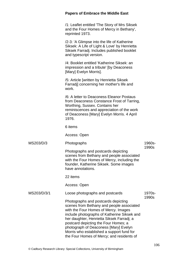|             | <b>Papers of Embrace the Middle East</b>                                                                                                                                                                                                                                                                                                                                                        |                 |
|-------------|-------------------------------------------------------------------------------------------------------------------------------------------------------------------------------------------------------------------------------------------------------------------------------------------------------------------------------------------------------------------------------------------------|-----------------|
|             | /1: Leaflet entitled 'The Story of Mrs Siksek<br>and the Four Homes of Mercy in Bethany',<br>reprinted 1973.                                                                                                                                                                                                                                                                                    |                 |
|             | /2-3: 'A Glimpse into the life of Katherine<br>Siksek: A Life of Light & Love' by Henrietta<br>Siksek Farradj. Includes published booklet<br>and typescript version.                                                                                                                                                                                                                            |                 |
|             | /4: Booklet entitled 'Katherine Siksek: an<br>impression and a tribute' [by Deaconess<br>[Mary] Evelyn Morris].                                                                                                                                                                                                                                                                                 |                 |
|             | /5: Article [written by Henrietta Siksek]<br>Farradj] concerning her mother's life and<br>work.                                                                                                                                                                                                                                                                                                 |                 |
|             | /6: A letter to Deaconess Eleanor Postaus<br>from Deaconess Constance Frost of Tarring,<br>Worthing, Sussex. Contains her<br>reminiscences and appreciation of the work<br>of Deaconess [Mary] Evelyn Morris. 4 April<br>1976.                                                                                                                                                                  |                 |
|             | 6 items                                                                                                                                                                                                                                                                                                                                                                                         |                 |
|             | Access: Open                                                                                                                                                                                                                                                                                                                                                                                    |                 |
| MS203/D/3   | Photographs                                                                                                                                                                                                                                                                                                                                                                                     | 1960s-<br>1990s |
|             | Photographs and postcards depicting<br>scenes from Bethany and people associated<br>with the Four Homes of Mercy, including the<br>founder, Katherine Siksek. Some images<br>have annotations.                                                                                                                                                                                                  |                 |
|             | 22 items                                                                                                                                                                                                                                                                                                                                                                                        |                 |
|             | Access: Open                                                                                                                                                                                                                                                                                                                                                                                    |                 |
| MS203/D/3/1 | Loose photographs and postcards                                                                                                                                                                                                                                                                                                                                                                 | 1970s-<br>1990s |
|             | Photographs and postcards depicting<br>scenes from Bethany and people associated<br>with the Four Homes of Mercy. Images<br>include photographs of Katherine Siksek and<br>her daughter, Henrietta Siksek Farradj; a<br>postcard depicting the Four Homes; a<br>photograph of Deaconess [Mary] Evelyn<br>Morris who established a support fund for<br>the Four Homes of Mercy; and residents of |                 |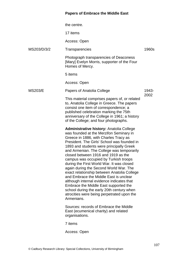|                | the centre.                                                                                                                                                                                                                                                                                                                                                                                                                                                                                                                                                                                                                                                                                                                         |       |
|----------------|-------------------------------------------------------------------------------------------------------------------------------------------------------------------------------------------------------------------------------------------------------------------------------------------------------------------------------------------------------------------------------------------------------------------------------------------------------------------------------------------------------------------------------------------------------------------------------------------------------------------------------------------------------------------------------------------------------------------------------------|-------|
|                | 17 items                                                                                                                                                                                                                                                                                                                                                                                                                                                                                                                                                                                                                                                                                                                            |       |
|                | Access: Open                                                                                                                                                                                                                                                                                                                                                                                                                                                                                                                                                                                                                                                                                                                        |       |
| MS203/D/3/2    | Transparencies                                                                                                                                                                                                                                                                                                                                                                                                                                                                                                                                                                                                                                                                                                                      | 1960s |
|                | Photograph transparencies of Deaconess<br>[Mary] Evelyn Morris, supporter of the Four<br>Homes of Mercy.                                                                                                                                                                                                                                                                                                                                                                                                                                                                                                                                                                                                                            |       |
|                | 5 items                                                                                                                                                                                                                                                                                                                                                                                                                                                                                                                                                                                                                                                                                                                             |       |
|                | Access: Open                                                                                                                                                                                                                                                                                                                                                                                                                                                                                                                                                                                                                                                                                                                        |       |
| <b>MS203/E</b> | Papers of Anatolia College                                                                                                                                                                                                                                                                                                                                                                                                                                                                                                                                                                                                                                                                                                          | 1943- |
|                | This material comprises papers of, or related<br>to, Anatolia College in Greece. The papers<br>consist one item of correspondence; a<br>published celebration marking the 75th<br>anniversary of the College in 1961; a history<br>of the College; and four photographs.                                                                                                                                                                                                                                                                                                                                                                                                                                                            | 2002  |
|                | Administrative history: Anatolia College<br>was founded at the Merzifon Seminary in<br>Greece in 1886, with Charles Tracy as<br>President. The Girls' School was founded in<br>1893 and students were principally Greek<br>and Armenian. The College was temporarily<br>closed between 1916 and 1919 as the<br>campus was occupied by Turkish troops<br>during the First World War. It was closed<br>again during the Second World War. The<br>exact relationship between Anatolia College<br>and Embrace the Middle East is unclear<br>although internal evidence indicates that<br>Embrace the Middle East supported the<br>school during the early 20th century when<br>atrocities were being perpetrated upon the<br>Armenians. |       |
|                | Sources: records of Embrace the Middle<br>East (ecumenical charity) and related<br>organisations.                                                                                                                                                                                                                                                                                                                                                                                                                                                                                                                                                                                                                                   |       |
|                | 7 items                                                                                                                                                                                                                                                                                                                                                                                                                                                                                                                                                                                                                                                                                                                             |       |
|                | Access: Open                                                                                                                                                                                                                                                                                                                                                                                                                                                                                                                                                                                                                                                                                                                        |       |